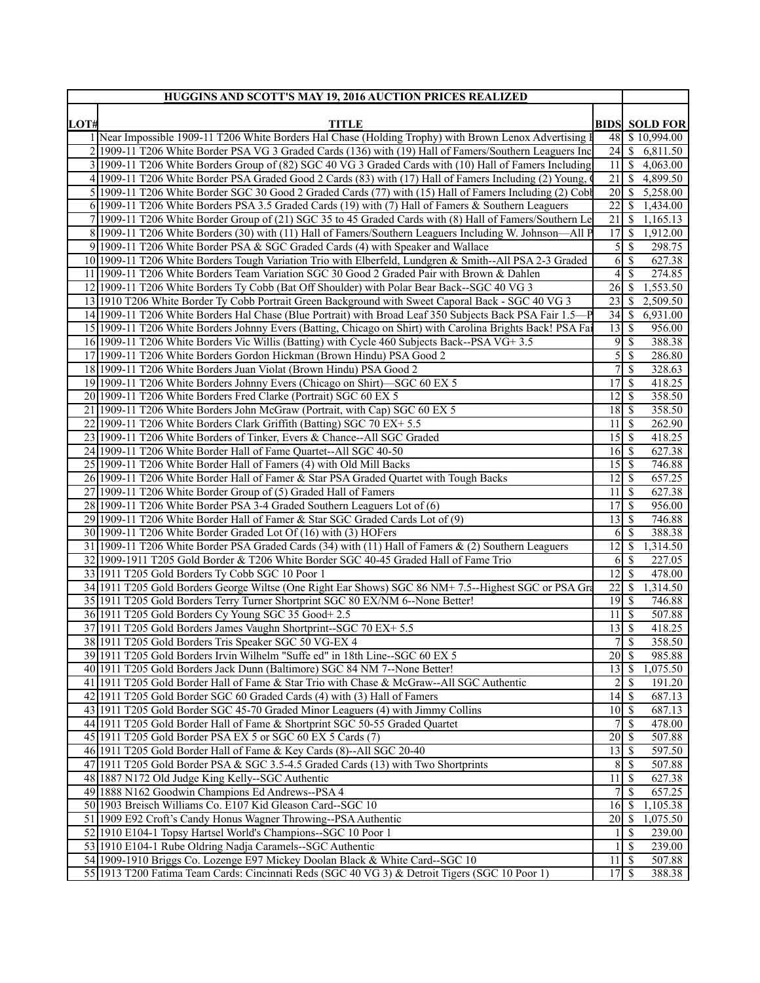|      | HUGGINS AND SCOTT'S MAY 19, 2016 AUCTION PRICES REALIZED                                                                                         |                                  |               |                        |  |
|------|--------------------------------------------------------------------------------------------------------------------------------------------------|----------------------------------|---------------|------------------------|--|
| LOT# | <b>TITLE</b>                                                                                                                                     | <b>BIDS SOLD FOR</b>             |               |                        |  |
|      | 1 Near Impossible 1909-11 T206 White Borders Hal Chase (Holding Trophy) with Brown Lenox Advertising                                             |                                  |               | 48 \$10,994.00         |  |
|      | 2 1909-11 T206 White Border PSA VG 3 Graded Cards (136) with (19) Hall of Famers/Southern Leaguers Inc                                           |                                  |               | 24 \$ 6,811.50         |  |
|      | 3 1909-11 T206 White Borders Group of (82) SGC 40 VG 3 Graded Cards with (10) Hall of Famers Including                                           |                                  |               | $11 \mid $4,063.00$    |  |
|      | 4 1909-11 T206 White Border PSA Graded Good 2 Cards (83) with (17) Hall of Famers Including (2) Young,                                           | 21                               |               | $\frac{1}{2}$ 4,899.50 |  |
|      | 5 1909-11 T206 White Border SGC 30 Good 2 Graded Cards (77) with (15) Hall of Famers Including (2) Cobb                                          |                                  |               | 20 \$ 5,258.00         |  |
|      | 6 1909-11 T206 White Borders PSA 3.5 Graded Cards (19) with (7) Hall of Famers & Southern Leaguers                                               | 22                               | <sup>\$</sup> | 1,434.00               |  |
|      | 7 1909-11 T206 White Border Group of (21) SGC 35 to 45 Graded Cards with (8) Hall of Famers/Southern Lo                                          | $21 \overline{\smash{\circ}}$    |               | 1,165.13               |  |
|      | 8 1909-11 T206 White Borders (30) with (11) Hall of Famers/Southern Leaguers Including W. Johnson—All P                                          | 17S                              |               | 1,912.00               |  |
|      | 9 1909-11 T206 White Border PSA & SGC Graded Cards (4) with Speaker and Wallace                                                                  | 5                                | -S            | 298.75                 |  |
|      | 10 1909-11 T206 White Borders Tough Variation Trio with Elberfeld, Lundgren & Smith--All PSA 2-3 Graded                                          | 6                                | -S            | 627.38                 |  |
|      | 11 1909-11 T206 White Borders Team Variation SGC 30 Good 2 Graded Pair with Brown & Dahlen                                                       | 4                                | -\$           | 274.85                 |  |
|      | 12 1909-11 T206 White Borders Ty Cobb (Bat Off Shoulder) with Polar Bear Back--SGC 40 VG 3                                                       | $26 \mid$ \$                     |               | 1,553.50               |  |
|      | 13 1910 T206 White Border Ty Cobb Portrait Green Background with Sweet Caporal Back - SGC 40 VG 3                                                | $23 \mid$ \$                     |               | 2,509.50               |  |
|      | 14 1909-11 T206 White Borders Hal Chase (Blue Portrait) with Broad Leaf 350 Subjects Back PSA Fair 1.5-P                                         | $34 \mid$ \$                     |               | 6,931.00               |  |
|      | 15 1909-11 T206 White Borders Johnny Evers (Batting, Chicago on Shirt) with Carolina Brights Back! PSA Fai                                       | $13 \mid$ \$                     |               | 956.00                 |  |
|      | 16 1909-11 T206 White Borders Vic Willis (Batting) with Cycle 460 Subjects Back--PSA VG+ 3.5                                                     | 9                                | \$            | 388.38                 |  |
|      | 17 1909-11 T206 White Borders Gordon Hickman (Brown Hindu) PSA Good 2                                                                            | 5                                | -\$           | 286.80                 |  |
|      | 18 1909-11 T206 White Borders Juan Violat (Brown Hindu) PSA Good 2                                                                               | 7                                | -S            | 328.63                 |  |
|      | 19 1909-11 T206 White Borders Johnny Evers (Chicago on Shirt)—SGC 60 EX 5                                                                        | 17S                              |               | 418.25                 |  |
|      | 20 1909-11 T206 White Borders Fred Clarke (Portrait) SGC 60 EX 5                                                                                 | 12                               | l Si          | 358.50                 |  |
|      | 21 1909-11 T206 White Borders John McGraw (Portrait, with Cap) SGC 60 EX 5                                                                       | $11 \mid S$                      |               | 358.50                 |  |
|      | 22 1909-11 T206 White Borders Clark Griffith (Batting) SGC 70 EX+ 5.5<br>23 1909-11 T206 White Borders of Tinker, Evers & Chance--All SGC Graded | 15                               | -S            | 262.90<br>418.25       |  |
|      | 24 1909-11 T206 White Border Hall of Fame Quartet--All SGC 40-50                                                                                 | $16 \mid$ \$                     |               | 627.38                 |  |
|      | 25 1909-11 T206 White Border Hall of Famers (4) with Old Mill Backs                                                                              | $15 \overline{\smash{\big)}\ 5}$ |               | 746.88                 |  |
|      | 26 1909-11 T206 White Border Hall of Famer & Star PSA Graded Quartet with Tough Backs                                                            | 12                               | l S           | 657.25                 |  |
|      | 27 1909-11 T206 White Border Group of (5) Graded Hall of Famers                                                                                  | 11                               | -S            | 627.38                 |  |
|      | 28 1909-11 T206 White Border PSA 3-4 Graded Southern Leaguers Lot of (6)                                                                         | 17                               | l Si          | 956.00                 |  |
|      | 29 1909-11 T206 White Border Hall of Famer & Star SGC Graded Cards Lot of (9)                                                                    | 13                               | -S            | 746.88                 |  |
|      | 30 1909-11 T206 White Border Graded Lot Of (16) with (3) HOFers                                                                                  | 6                                | -S            | 388.38                 |  |
|      | 31 1909-11 T206 White Border PSA Graded Cards (34) with (11) Hall of Famers & (2) Southern Leaguers                                              | $\overline{12}$                  | S             | 1,314.50               |  |
|      | 32 1909-1911 T205 Gold Border & T206 White Border SGC 40-45 Graded Hall of Fame Trio                                                             | 6                                | -S            | 227.05                 |  |
|      | 33 1911 T205 Gold Borders Ty Cobb SGC 10 Poor 1                                                                                                  | $\overline{12}$                  | -S            | 478.00                 |  |
|      | 34 1911 T205 Gold Borders George Wiltse (One Right Ear Shows) SGC 86 NM+ 7.5--Highest SGC or PSA Gra                                             | $22 \mid$ \$                     |               | 1,314.50               |  |
|      | 35 1911 T205 Gold Borders Terry Turner Shortprint SGC 80 EX/NM 6--None Better!                                                                   |                                  |               | 746.88                 |  |
|      | 36 1911 T205 Gold Borders Cy Young SGC 35 Good+ 2.5                                                                                              | $11 \overline{\smash{\big)}\,}$  |               | 507.88                 |  |
|      | 37 1911 T205 Gold Borders James Vaughn Shortprint-SGC 70 EX+ 5.5                                                                                 | $13 \mid$ \$                     |               | 418.25                 |  |
|      | 38 1911 T205 Gold Borders Tris Speaker SGC 50 VG-EX 4                                                                                            |                                  |               | 358.50                 |  |
|      | 39 1911 T205 Gold Borders Irvin Wilhelm "Suffe ed" in 18th Line--SGC 60 EX 5                                                                     | $20 \mid \mathsf{S}$             |               | 985.88                 |  |
|      | 40 1911 T205 Gold Borders Jack Dunn (Baltimore) SGC 84 NM 7--None Better!                                                                        | $\overline{13}$ $\overline{5}$   |               | 1,075.50               |  |
|      | 41 1911 T205 Gold Border Hall of Fame & Star Trio with Chase & McGraw--All SGC Authentic                                                         | $\overline{2}$                   | $\sqrt{S}$    | 191.20                 |  |
|      | 42 1911 T205 Gold Border SGC 60 Graded Cards (4) with (3) Hall of Famers                                                                         | $14 \overline{\smash{)}\,}$      |               | 687.13                 |  |
|      | 43 1911 T205 Gold Border SGC 45-70 Graded Minor Leaguers (4) with Jimmy Collins                                                                  | $10 \mid$ \$                     |               | 687.13                 |  |
|      | 44 1911 T205 Gold Border Hall of Fame & Shortprint SGC 50-55 Graded Quartet                                                                      | 7                                | -S            | 478.00                 |  |
|      | 45 1911 T205 Gold Border PSA EX 5 or SGC 60 EX 5 Cards (7)                                                                                       | $20 \mid \mathsf{\$}$            |               | 507.88                 |  |
|      | 46 1911 T205 Gold Border Hall of Fame & Key Cards (8)--All SGC 20-40                                                                             | $13 \mid$ \$                     |               | 597.50                 |  |
|      | 47 1911 T205 Gold Border PSA & SGC 3.5-4.5 Graded Cards (13) with Two Shortprints                                                                | 8                                | -S            | 507.88                 |  |
|      | 48 1887 N172 Old Judge King Kelly--SGC Authentic                                                                                                 | $11 \overline{\smash{)}\,}$<br>7 | -S            | 627.38                 |  |
|      | 49 1888 N162 Goodwin Champions Ed Andrews--PSA 4                                                                                                 |                                  |               | 657.25                 |  |
|      | 50 1903 Breisch Williams Co. E107 Kid Gleason Card-SGC 10<br>51 1909 E92 Croft's Candy Honus Wagner Throwing--PSA Authentic                      | $16 \mid$ \$<br>$20 \mid$ \$     |               | 1,105.38<br>1,075.50   |  |
|      | 52 1910 E104-1 Topsy Hartsel World's Champions--SGC 10 Poor 1                                                                                    |                                  | -S            | 239.00                 |  |
|      | 53 1910 E104-1 Rube Oldring Nadja Caramels--SGC Authentic                                                                                        |                                  | -S            | 239.00                 |  |
|      | 54 1909-1910 Briggs Co. Lozenge E97 Mickey Doolan Black & White Card-SGC 10                                                                      | $11 \overline{\smash{)}\,}$      |               | 507.88                 |  |
|      | 55 1913 T200 Fatima Team Cards: Cincinnati Reds (SGC 40 VG 3) & Detroit Tigers (SGC 10 Poor 1)                                                   |                                  |               | 388.38                 |  |
|      |                                                                                                                                                  |                                  |               |                        |  |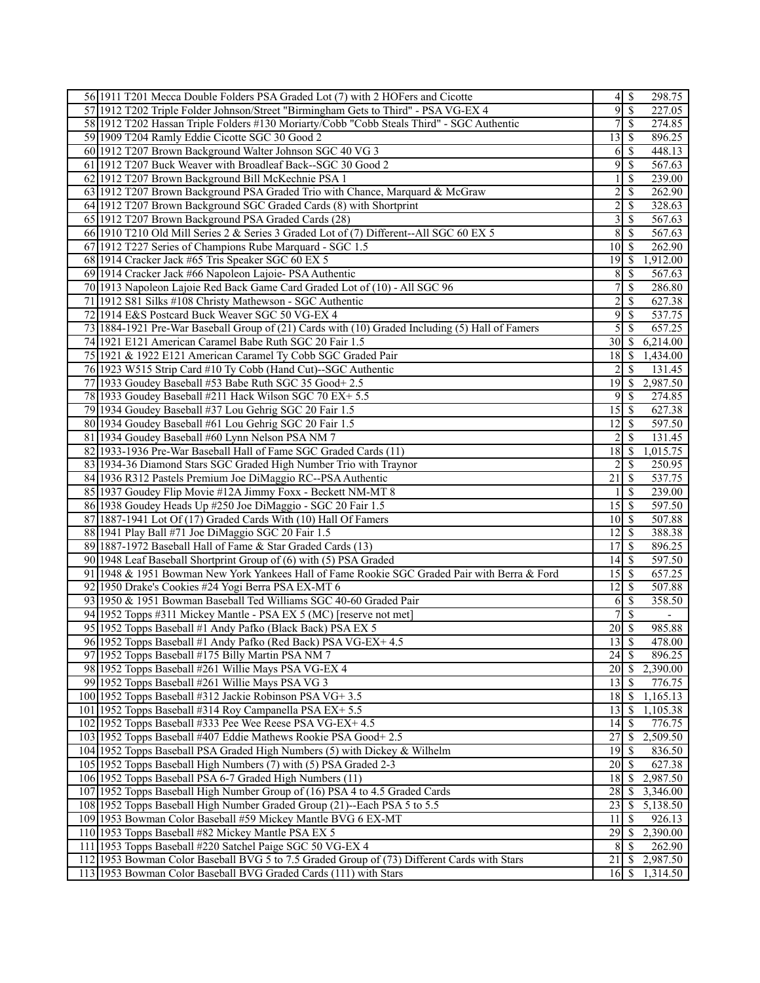| 56 1911 T201 Mecca Double Folders PSA Graded Lot (7) with 2 HOFers and Cicotte                                      |                    | $4$   \$                  | 298.75                             |
|---------------------------------------------------------------------------------------------------------------------|--------------------|---------------------------|------------------------------------|
| 57 1912 T202 Triple Folder Johnson/Street "Birmingham Gets to Third" - PSA VG-EX 4                                  | $\overline{9}$     | $\overline{\mathcal{S}}$  | 227.05                             |
| 58 1912 T202 Hassan Triple Folders #130 Moriarty/Cobb "Cobb Steals Third" - SGC Authentic                           | 7                  | $\mathcal{S}$             | 274.85                             |
| 59 1909 T204 Ramly Eddie Cicotte SGC 30 Good 2                                                                      | 13                 | -\$                       | 896.25                             |
| 60 1912 T207 Brown Background Walter Johnson SGC 40 VG 3                                                            | 6                  | -S                        | 448.13                             |
| 61 1912 T207 Buck Weaver with Broadleaf Back--SGC 30 Good 2                                                         | 9                  | $\mathcal{S}$             | 567.63                             |
| 62 1912 T207 Brown Background Bill McKechnie PSA 1                                                                  |                    | <sup>\$</sup>             | 239.00                             |
| 63 1912 T207 Brown Background PSA Graded Trio with Chance, Marquard & McGraw                                        | 2                  | -S                        | 262.90                             |
| 64 1912 T207 Brown Background SGC Graded Cards (8) with Shortprint                                                  | $\overline{c}$     | -\$                       | 328.63                             |
| 65 1912 T207 Brown Background PSA Graded Cards (28)                                                                 | 3                  | $\mathcal{S}$             | 567.63                             |
| 66 1910 T210 Old Mill Series 2 & Series 3 Graded Lot of (7) Different--All SGC 60 EX 5                              | 8                  | -S                        | 567.63                             |
| 67 1912 T227 Series of Champions Rube Marquard - SGC 1.5                                                            | 10                 | S                         | 262.90                             |
| 68 1914 Cracker Jack #65 Tris Speaker SGC 60 EX 5                                                                   | 19                 | ∣\$.                      | 1,912.00                           |
| 69 1914 Cracker Jack #66 Napoleon Lajoie- PSA Authentic                                                             | 8                  | -\$                       | 567.63                             |
| 70 1913 Napoleon Lajoie Red Back Game Card Graded Lot of (10) - All SGC 96                                          | 7                  | $\mathcal{S}$             | 286.80                             |
|                                                                                                                     |                    |                           |                                    |
| 71 1912 S81 Silks #108 Christy Mathewson - SGC Authentic                                                            | $\overline{c}$     | $\mathbb{S}$              | 627.38                             |
| 72 1914 E&S Postcard Buck Weaver SGC 50 VG-EX 4                                                                     | 9                  | $\mathcal{S}$             | 537.75                             |
| 73 1884-1921 Pre-War Baseball Group of (21) Cards with (10) Graded Including (5) Hall of Famers                     | 5                  | -S                        | 657.25                             |
| 74 1921 E121 American Caramel Babe Ruth SGC 20 Fair 1.5                                                             | 30                 | -S                        | 6,214.00                           |
| 75 1921 & 1922 E121 American Caramel Ty Cobb SGC Graded Pair                                                        | 18                 | -S                        | 1,434.00                           |
| 76 1923 W515 Strip Card #10 Ty Cobb (Hand Cut)--SGC Authentic                                                       |                    | <sup>S</sup>              | 131.45                             |
| 77 1933 Goudey Baseball #53 Babe Ruth SGC 35 Good+ 2.5                                                              | 19                 | $\mathcal{S}$             | 2,987.50                           |
| 78 1933 Goudey Baseball #211 Hack Wilson SGC 70 EX+ 5.5                                                             | 9                  | -S                        | 274.85                             |
| 79 1934 Goudey Baseball #37 Lou Gehrig SGC 20 Fair 1.5                                                              | 15                 | l \$                      | 627.38                             |
| 80 1934 Goudey Baseball #61 Lou Gehrig SGC 20 Fair 1.5                                                              | 12                 | 8                         | 597.50                             |
| 81 1934 Goudey Baseball #60 Lynn Nelson PSA NM 7                                                                    | 2                  | <sup>S</sup>              | 131.45                             |
| 82 1933-1936 Pre-War Baseball Hall of Fame SGC Graded Cards (11)                                                    | 18                 | S                         | 1,015.75                           |
| 83 1934-36 Diamond Stars SGC Graded High Number Trio with Traynor                                                   | 2                  | -S                        | 250.95                             |
| 84 1936 R312 Pastels Premium Joe DiMaggio RC--PSA Authentic                                                         | 21                 | $\mathcal{S}$             | 537.75                             |
| 85 1937 Goudey Flip Movie #12A Jimmy Foxx - Beckett NM-MT 8                                                         |                    | -S                        | 239.00                             |
| 86 1938 Goudey Heads Up #250 Joe DiMaggio - SGC 20 Fair 1.5                                                         | 15                 | -S                        | 597.50                             |
| 87 1887-1941 Lot Of (17) Graded Cards With (10) Hall Of Famers                                                      | 10                 | $\sqrt{S}$                | 507.88                             |
| 88 1941 Play Ball #71 Joe DiMaggio SGC 20 Fair 1.5                                                                  | 12                 | l \$                      | 388.38                             |
| 89 1887-1972 Baseball Hall of Fame & Star Graded Cards (13)                                                         | 17                 | $\mathcal{S}$             | 896.25                             |
| 90 1948 Leaf Baseball Shortprint Group of (6) with (5) PSA Graded                                                   | 14                 | 8                         | 597.50                             |
| 91 1948 & 1951 Bowman New York Yankees Hall of Fame Rookie SGC Graded Pair with Berra & Ford                        | 15                 | S                         | 657.25                             |
| 92 1950 Drake's Cookies #24 Yogi Berra PSA EX-MT 6                                                                  | 12                 | $\sqrt{S}$                | 507.88                             |
| 93 1950 & 1951 Bowman Baseball Ted Williams SGC 40-60 Graded Pair                                                   | 6                  | $\sqrt{S}$                | 358.50                             |
| 94 1952 Topps #311 Mickey Mantle - PSA EX 5 (MC) [reserve not met]                                                  | 7                  | $\overline{\mathcal{S}}$  | $\overline{\phantom{a}}$<br>985.88 |
| 95 1952 Topps Baseball #1 Andy Pafko (Black Back) PSA EX 5                                                          | $\overline{20}$ \$ |                           |                                    |
| 96 1952 Topps Baseball #1 Andy Pafko (Red Back) PSA VG-EX+4.5                                                       | 13                 | $\overline{\mathcal{S}}$  | 478.00                             |
| 97 1952 Topps Baseball #175 Billy Martin PSA NM 7                                                                   | 24                 | -S                        | 896.25                             |
| 98 1952 Topps Baseball #261 Willie Mays PSA VG-EX 4                                                                 | 20                 | -\$                       | 2,390.00                           |
| 99 1952 Topps Baseball #261 Willie Mays PSA VG 3                                                                    | 13                 | $\sqrt{S}$<br>$\mathbf s$ | 776.75                             |
| 100 1952 Topps Baseball #312 Jackie Robinson PSA VG+ 3.5<br>101 1952 Topps Baseball #314 Roy Campanella PSA EX+ 5.5 | 18<br>13           | $\mathbb{S}$              | 1,165.13                           |
| 102 1952 Topps Baseball #333 Pee Wee Reese PSA VG-EX+ 4.5                                                           | 14                 | S                         | 1,105.38<br>776.75                 |
| 103 1952 Topps Baseball #407 Eddie Mathews Rookie PSA Good+ 2.5                                                     | 27                 | -S                        | $\overline{2,}509.50$              |
| 104 1952 Topps Baseball PSA Graded High Numbers (5) with Dickey & Wilhelm                                           | 19                 | -S                        | 836.50                             |
| 105 1952 Topps Baseball High Numbers (7) with (5) PSA Graded 2-3                                                    | 20                 | $\sqrt{S}$                | 627.38                             |
| 106 1952 Topps Baseball PSA 6-7 Graded High Numbers (11)                                                            | 18                 | 8                         | 2,987.50                           |
| 107 1952 Topps Baseball High Number Group of (16) PSA 4 to 4.5 Graded Cards                                         | 28                 | \$                        | 3,346.00                           |
| 108 1952 Topps Baseball High Number Graded Group (21)--Each PSA 5 to 5.5                                            | 23                 | - S                       | 5,138.50                           |
| 109 1953 Bowman Color Baseball #59 Mickey Mantle BVG 6 EX-MT                                                        | 11                 | -S                        | 926.13                             |
| 110 1953 Topps Baseball #82 Mickey Mantle PSA EX 5                                                                  | 29                 | - S                       | 2,390.00                           |
| 111 1953 Topps Baseball #220 Satchel Paige SGC 50 VG-EX 4                                                           | 8                  | 8                         | 262.90                             |
| 112 1953 Bowman Color Baseball BVG 5 to 7.5 Graded Group of (73) Different Cards with Stars                         | 21                 | $\mathbb{S}$              | 2,987.50                           |
| 113 1953 Bowman Color Baseball BVG Graded Cards (111) with Stars                                                    | $16 \mid S$        |                           | 1,314.50                           |
|                                                                                                                     |                    |                           |                                    |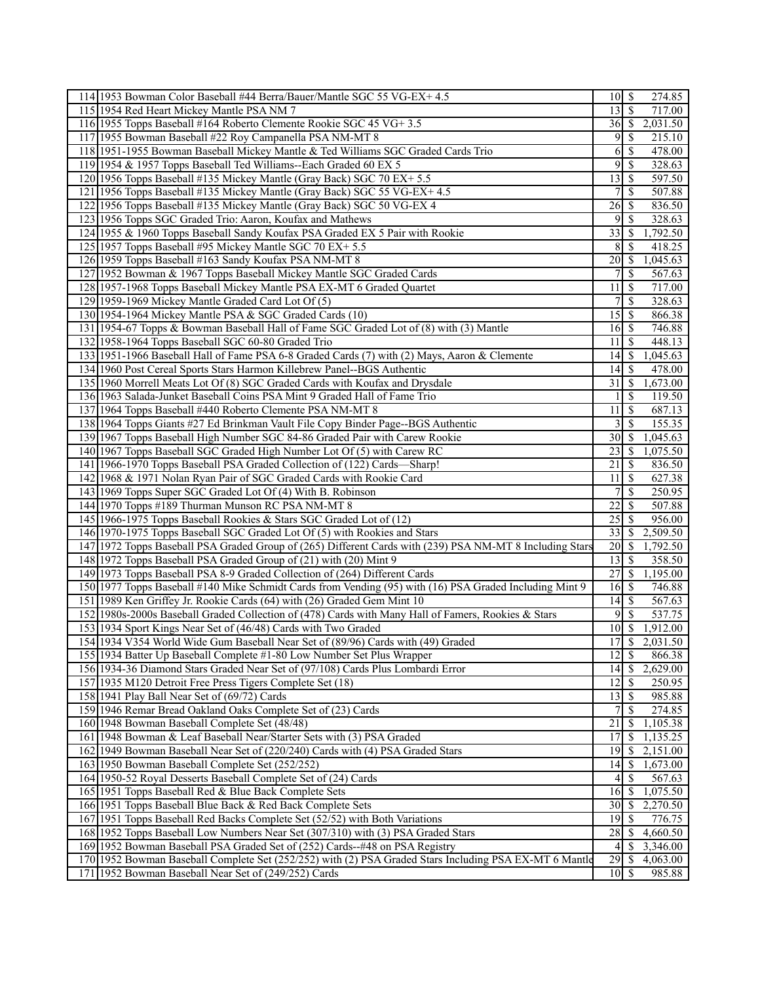| 114 1953 Bowman Color Baseball #44 Berra/Bauer/Mantle SGC 55 VG-EX+ 4.5                                  |                    |                           | 274.85             |
|----------------------------------------------------------------------------------------------------------|--------------------|---------------------------|--------------------|
| 115 1954 Red Heart Mickey Mantle PSA NM 7                                                                | 13                 | $\mathsf{S}$              | 717.00             |
| 116 1955 Topps Baseball #164 Roberto Clemente Rookie SGC 45 VG+ 3.5                                      | 36S                |                           | 2,031.50           |
| 117 1955 Bowman Baseball #22 Roy Campanella PSA NM-MT 8                                                  | 9                  | -S                        | 215.10             |
| 118 1951-1955 Bowman Baseball Mickey Mantle & Ted Williams SGC Graded Cards Trio                         | 6                  | \$                        | 478.00             |
| 119 1954 & 1957 Topps Baseball Ted Williams--Each Graded 60 EX 5                                         | 9                  | -S                        | 328.63             |
| 120 1956 Topps Baseball #135 Mickey Mantle (Gray Back) SGC 70 EX+ 5.5                                    | 13                 | <sup>\$</sup>             | 597.50             |
| 121 1956 Topps Baseball #135 Mickey Mantle (Gray Back) SGC 55 VG-EX+4.5                                  | 7                  | <sup>\$</sup>             | 507.88             |
| 122 1956 Topps Baseball #135 Mickey Mantle (Gray Back) SGC 50 VG-EX 4                                    | 26                 | -\$                       | 836.50             |
| 123 1956 Topps SGC Graded Trio: Aaron, Koufax and Mathews                                                | 9                  | -S                        | 328.63             |
| 124 1955 & 1960 Topps Baseball Sandy Koufax PSA Graded EX 5 Pair with Rookie                             | 33                 | S                         | 1,792.50           |
| 125 1957 Topps Baseball #95 Mickey Mantle SGC 70 EX+ 5.5                                                 | 8                  | - \$                      |                    |
| 126 1959 Topps Baseball #163 Sandy Koufax PSA NM-MT 8                                                    | $20$   \$          |                           | 418.25<br>1,045.63 |
|                                                                                                          |                    |                           |                    |
| 127 1952 Bowman & 1967 Topps Baseball Mickey Mantle SGC Graded Cards                                     | 7                  | \$                        | 567.63             |
| 128 1957-1968 Topps Baseball Mickey Mantle PSA EX-MT 6 Graded Quartet                                    | 11                 | -S                        | 717.00             |
| 129 1959-1969 Mickey Mantle Graded Card Lot Of (5)                                                       | 7                  | -S                        | 328.63             |
| 130 1954-1964 Mickey Mantle PSA & SGC Graded Cards (10)                                                  | 15                 | -\$                       | 866.38             |
| 131 1954-67 Topps & Bowman Baseball Hall of Fame SGC Graded Lot of (8) with (3) Mantle                   | $\overline{16}$ \$ |                           | 746.88             |
| 132 1958-1964 Topps Baseball SGC 60-80 Graded Trio                                                       | 11                 | -\$                       | 448.13             |
| 133 1951-1966 Baseball Hall of Fame PSA 6-8 Graded Cards (7) with (2) Mays, Aaron & Clemente             | $14 \mid$ \$       |                           | 1,045.63           |
| 134 1960 Post Cereal Sports Stars Harmon Killebrew Panel--BGS Authentic                                  | 14                 | l S                       | 478.00             |
| 135 1960 Morrell Meats Lot Of (8) SGC Graded Cards with Koufax and Drysdale                              | 31                 | $\boldsymbol{\mathsf{S}}$ | 1,673.00           |
| 136 1963 Salada-Junket Baseball Coins PSA Mint 9 Graded Hall of Fame Trio                                | 1                  | -S                        | 119.50             |
| 137 1964 Topps Baseball #440 Roberto Clemente PSA NM-MT 8                                                | 11                 | - \$                      | 687.13             |
| 138 1964 Topps Giants #27 Ed Brinkman Vault File Copy Binder Page--BGS Authentic                         | 3                  | $\mathbf{\$}$             | 155.35             |
| 139 1967 Topps Baseball High Number SGC 84-86 Graded Pair with Carew Rookie                              |                    |                           | 1,045.63           |
| 140 1967 Topps Baseball SGC Graded High Number Lot Of (5) with Carew RC                                  | 23                 | S                         | 1,075.50           |
| 141 1966-1970 Topps Baseball PSA Graded Collection of (122) Cards—Sharp!                                 | 21                 | S                         | 836.50             |
| 142 1968 & 1971 Nolan Ryan Pair of SGC Graded Cards with Rookie Card                                     | 11                 | - \$                      | 627.38             |
| 143 1969 Topps Super SGC Graded Lot Of (4) With B. Robinson                                              | 7                  | <sup>\$</sup>             | 250.95             |
| 144 1970 Topps #189 Thurman Munson RC PSA NM-MT 8                                                        | 22                 | -S                        | 507.88             |
| 145 1966-1975 Topps Baseball Rookies & Stars SGC Graded Lot of (12)                                      | $25$   \$          |                           | 956.00             |
| 146 1970-1975 Topps Baseball SGC Graded Lot Of (5) with Rookies and Stars                                | 33                 | $\mathsf{S}$              | 2,509.50           |
| 147 1972 Topps Baseball PSA Graded Group of (265) Different Cards with (239) PSA NM-MT 8 Including Stars | $20$   \$          |                           | 1,792.50           |
| 148 1972 Topps Baseball PSA Graded Group of (21) with (20) Mint 9                                        | 13                 | l Si                      | 358.50             |
| 149 1973 Topps Baseball PSA 8-9 Graded Collection of (264) Different Cards                               | 27                 | 8                         | 1,195.00           |
| 150 1977 Topps Baseball #140 Mike Schmidt Cards from Vending (95) with (16) PSA Graded Including Mint 9  | 16S                |                           | 746.88             |
| 151 1989 Ken Griffey Jr. Rookie Cards (64) with (26) Graded Gem Mint 10                                  | $14$ $\sqrt{5}$    |                           | 567.63             |
| 152 1980s-2000s Baseball Graded Collection of (478) Cards with Many Hall of Famers, Rookies & Stars      | 9                  | S                         | 537.75             |
| 153 1934 Sport Kings Near Set of (46/48) Cards with Two Graded                                           | 10                 | S                         | 1,912.00           |
| 154 1934 V354 World Wide Gum Baseball Near Set of (89/96) Cards with (49) Graded                         | $\overline{17}$ \$ |                           | 2,031.50           |
| 155 1934 Batter Up Baseball Complete #1-80 Low Number Set Plus Wrapper                                   | $12 \mid$ \$       |                           | 866.38             |
| 156 1934-36 Diamond Stars Graded Near Set of (97/108) Cards Plus Lombardi Error                          | 14                 | <sup>\$</sup>             | 2,629.00           |
| 157 1935 M120 Detroit Free Press Tigers Complete Set (18)                                                | $12$   \$          |                           | 250.95             |
| 158 1941 Play Ball Near Set of (69/72) Cards                                                             | $13 \mid$ \$       |                           | 985.88             |
| 159 1946 Remar Bread Oakland Oaks Complete Set of (23) Cards                                             | 7                  | S                         | 274.85             |
| 160 1948 Bowman Baseball Complete Set (48/48)                                                            | 21                 | -\$                       | 1,105.38           |
| 161 1948 Bowman & Leaf Baseball Near/Starter Sets with (3) PSA Graded                                    | 17                 | \$                        | 1,135.25           |
| 162 1949 Bowman Baseball Near Set of (220/240) Cards with (4) PSA Graded Stars                           | 19                 | S                         | 2,151.00           |
| 163 1950 Bowman Baseball Complete Set (252/252)                                                          | $14 \mid$ \$       |                           | 1,673.00           |
| 164 1950-52 Royal Desserts Baseball Complete Set of (24) Cards                                           | 4                  | \$                        | 567.63             |
| 165 1951 Topps Baseball Red & Blue Back Complete Sets                                                    | 16                 | -\$                       | 1,075.50           |
| 166 1951 Topps Baseball Blue Back & Red Back Complete Sets                                               | $\overline{30}$ \$ |                           | 2,270.50           |
| 167 1951 Topps Baseball Red Backs Complete Set (52/52) with Both Variations                              | 19                 | -\$                       | 776.75             |
| 168 1952 Topps Baseball Low Numbers Near Set (307/310) with (3) PSA Graded Stars                         | 28                 | S                         | 4,660.50           |
| 169 1952 Bowman Baseball PSA Graded Set of (252) Cards--#48 on PSA Registry                              | 4                  | -S                        | 3,346.00           |
| 170 1952 Bowman Baseball Complete Set (252/252) with (2) PSA Graded Stars Including PSA EX-MT 6 Mantle   | 29                 | -\$                       | 4,063.00           |
| 171 1952 Bowman Baseball Near Set of (249/252) Cards                                                     |                    |                           | 985.88             |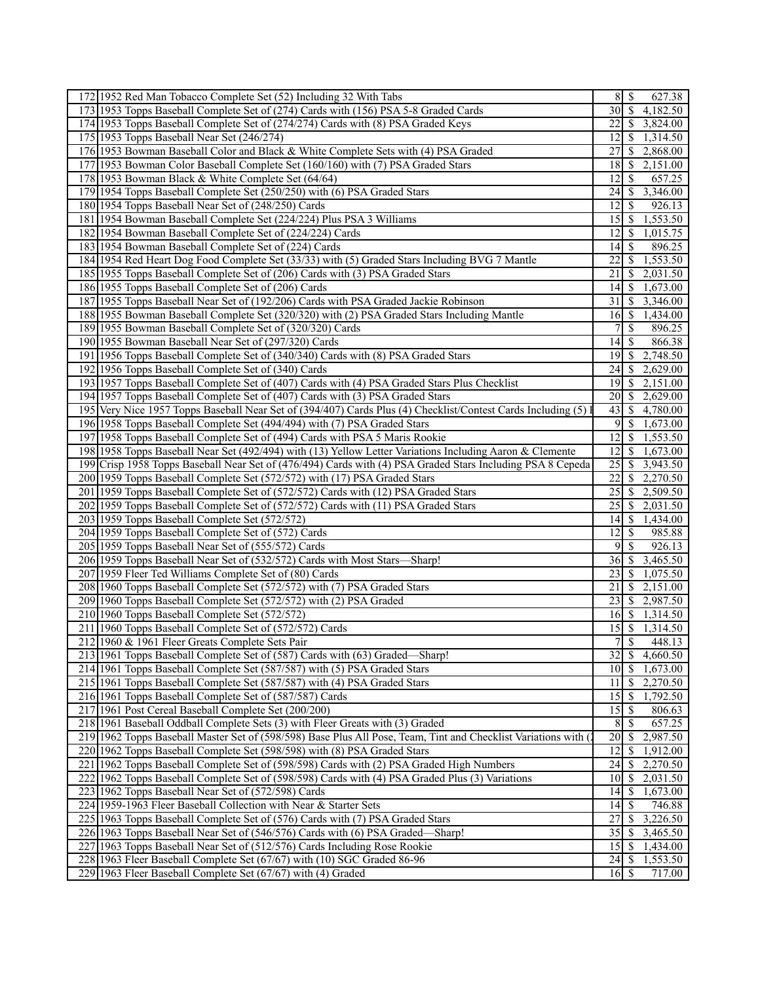| 172 1952 Red Man Tobacco Complete Set (52) Including 32 With Tabs                                              | 8                                         | $\sqrt{S}$               | 627.38                |
|----------------------------------------------------------------------------------------------------------------|-------------------------------------------|--------------------------|-----------------------|
| 173 1953 Topps Baseball Complete Set of (274) Cards with (156) PSA 5-8 Graded Cards                            | 30 <sup>1</sup>                           | $\overline{\mathcal{S}}$ | 4,182.50              |
| 174 1953 Topps Baseball Complete Set of (274/274) Cards with (8) PSA Graded Keys                               | 22                                        | <sup>\$</sup>            | 3,824.00              |
| 175 1953 Topps Baseball Near Set (246/274)                                                                     | 12                                        | $\mathbb{S}$             | 1,314.50              |
| 176 1953 Bowman Baseball Color and Black & White Complete Sets with (4) PSA Graded                             | 27                                        | <sup>\$</sup>            | 2,868.00              |
| 177 1953 Bowman Color Baseball Complete Set (160/160) with (7) PSA Graded Stars                                | 18                                        | - S                      | 2,151.00              |
| 178 1953 Bowman Black & White Complete Set (64/64)                                                             | 12                                        | -S                       | 657.25                |
| 179 1954 Topps Baseball Complete Set (250/250) with (6) PSA Graded Stars                                       | 24                                        | -S                       | 3,346.00              |
| 180 1954 Topps Baseball Near Set of (248/250) Cards                                                            | 12                                        | -S                       | 926.13                |
| 181 1954 Bowman Baseball Complete Set (224/224) Plus PSA 3 Williams                                            | 15                                        | \$                       | 1,553.50              |
| 182 1954 Bowman Baseball Complete Set of (224/224) Cards                                                       | 12                                        | \$                       | 1,015.75              |
| 183 1954 Bowman Baseball Complete Set of (224) Cards                                                           | 14                                        | - S                      | 896.25                |
| 184 1954 Red Heart Dog Food Complete Set (33/33) with (5) Graded Stars Including BVG 7 Mantle                  | 22                                        | -S                       | 1,553.50              |
| 185 1955 Topps Baseball Complete Set of (206) Cards with (3) PSA Graded Stars                                  | 21                                        | -S                       | 2,031.50              |
| 186 1955 Topps Baseball Complete Set of (206) Cards                                                            | 14                                        | S                        | 1,673.00              |
| 187 1955 Topps Baseball Near Set of (192/206) Cards with PSA Graded Jackie Robinson                            | 31                                        | -S                       | 3,346.00              |
| 188 1955 Bowman Baseball Complete Set (320/320) with (2) PSA Graded Stars Including Mantle                     | 16                                        | l \$                     | 1,434.00              |
| 189 1955 Bowman Baseball Complete Set of (320/320) Cards                                                       | 7                                         | -\$                      | 896.25                |
| 190 1955 Bowman Baseball Near Set of (297/320) Cards                                                           | 14                                        | -S                       | 866.38                |
| 191 1956 Topps Baseball Complete Set of (340/340) Cards with (8) PSA Graded Stars                              | 19                                        | -S                       | 2,748.50              |
| 192 1956 Topps Baseball Complete Set of (340) Cards                                                            | 24                                        | S                        | 2,629.00              |
| 193 1957 Topps Baseball Complete Set of (407) Cards with (4) PSA Graded Stars Plus Checklist                   | 19                                        | $\sqrt{S}$               | 2,151.00              |
| 194 1957 Topps Baseball Complete Set of (407) Cards with (3) PSA Graded Stars                                  | 20                                        | $\mathcal{S}$            | 2,629.00              |
| 195 Very Nice 1957 Topps Baseball Near Set of (394/407) Cards Plus (4) Checklist/Contest Cards Including (5) l |                                           |                          | 4,780.00              |
| 196 1958 Topps Baseball Complete Set (494/494) with (7) PSA Graded Stars                                       | 9                                         | -\$                      | 1,673.00              |
| 197 1958 Topps Baseball Complete Set of (494) Cards with PSA 5 Maris Rookie                                    | 12                                        | -S                       | $\overline{1,553.50}$ |
| 198 1958 Topps Baseball Near Set (492/494) with (13) Yellow Letter Variations Including Aaron & Clemente       | 12                                        | S                        | 1,673.00              |
| 199 Crisp 1958 Topps Baseball Near Set of (476/494) Cards with (4) PSA Graded Stars Including PSA 8 Cepeda     | 25                                        | <sup>\$</sup>            | 3,943.50              |
| 200 1959 Topps Baseball Complete Set (572/572) with (17) PSA Graded Stars                                      | 22                                        | <sup>\$</sup>            | 2,270.50              |
| 201 1959 Topps Baseball Complete Set of (572/572) Cards with (12) PSA Graded Stars                             | 25                                        | -S                       | 2,509.50              |
| 202 1959 Topps Baseball Complete Set of (572/572) Cards with (11) PSA Graded Stars                             | 25                                        | -S                       | 2,031.50              |
| 203 1959 Topps Baseball Complete Set (572/572)                                                                 |                                           |                          | 1,434.00              |
| 204 1959 Topps Baseball Complete Set of (572) Cards                                                            | 12                                        | -S                       | 985.88                |
| 205 1959 Topps Baseball Near Set of (555/572) Cards                                                            | 9                                         | $\mathbb{S}$             | 926.13                |
| 206 1959 Topps Baseball Near Set of (532/572) Cards with Most Stars-Sharp!                                     | 36                                        | $\sqrt{S}$               | 3,465.50              |
| 207 1959 Fleer Ted Williams Complete Set of (80) Cards                                                         | 23                                        | -S                       | 1,075.50              |
| 208 1960 Topps Baseball Complete Set (572/572) with (7) PSA Graded Stars                                       | 21                                        | -S                       | 2,151.00              |
| 209 1960 Topps Baseball Complete Set (572/572) with (2) PSA Graded                                             |                                           |                          | 2,987.50              |
| 210 1960 Topps Baseball Complete Set (572/572)                                                                 | 16                                        | $\sqrt{S}$               | 1,314.50              |
| 211 1960 Topps Baseball Complete Set of (572/572) Cards                                                        | $\overline{15}$ $\overline{\overline{S}}$ |                          | 1,314.50              |
| 212 1960 & 1961 Fleer Greats Complete Sets Pair                                                                | $\tau$                                    | $\overline{\mathcal{S}}$ | 448.13                |
| 213 1961 Topps Baseball Complete Set of (587) Cards with (63) Graded—Sharp!                                    | 32                                        | -S                       | 4,660.50              |
| 214 1961 Topps Baseball Complete Set (587/587) with (5) PSA Graded Stars                                       | 10                                        | $\mathbb{S}$             | 1,673.00              |
| 215 1961 Topps Baseball Complete Set (587/587) with (4) PSA Graded Stars                                       | 11                                        | <sup>\$</sup>            | 2,270.50              |
| 216 1961 Topps Baseball Complete Set of (587/587) Cards                                                        | 15                                        | -\$                      | 1,792.50              |
| 217 1961 Post Cereal Baseball Complete Set (200/200)                                                           | 15                                        | - \$                     | 806.63                |
| 218 1961 Baseball Oddball Complete Sets (3) with Fleer Greats with (3) Graded                                  | 8                                         | -S                       | 657.25                |
| 219 1962 Topps Baseball Master Set of (598/598) Base Plus All Pose, Team, Tint and Checklist Variations with ( | 20                                        | -\$                      | 2,987.50              |
| 220 1962 Topps Baseball Complete Set (598/598) with (8) PSA Graded Stars                                       | 12                                        | \$                       | 1,912.00              |
| 221 1962 Topps Baseball Complete Set of (598/598) Cards with (2) PSA Graded High Numbers                       | $\overline{2}$ 4 \$                       |                          | 2,270.50              |
| 222 1962 Topps Baseball Complete Set of (598/598) Cards with (4) PSA Graded Plus (3) Variations                | 10                                        | -\$                      | 2,031.50              |
| 223 1962 Topps Baseball Near Set of (572/598) Cards                                                            | 14                                        | \$                       | 1,673.00              |
| 224 1959-1963 Fleer Baseball Collection with Near & Starter Sets                                               | 14                                        | - \$                     | 746.88                |
| 225 1963 Topps Baseball Complete Set of (576) Cards with (7) PSA Graded Stars                                  | 27                                        | -S                       | 3,226.50              |
| 226 1963 Topps Baseball Near Set of (546/576) Cards with (6) PSA Graded—Sharp!                                 | 35                                        | -S                       | 3,465.50              |
| 227 1963 Topps Baseball Near Set of (512/576) Cards Including Rose Rookie                                      | 15                                        | 8                        | 1,434.00              |
| 228 1963 Fleer Baseball Complete Set (67/67) with (10) SGC Graded 86-96                                        | 24                                        | $\mathcal{S}$            | 1,553.50              |
| 229 1963 Fleer Baseball Complete Set (67/67) with (4) Graded                                                   | $16$ $\sqrt{ }$                           |                          | 717.00                |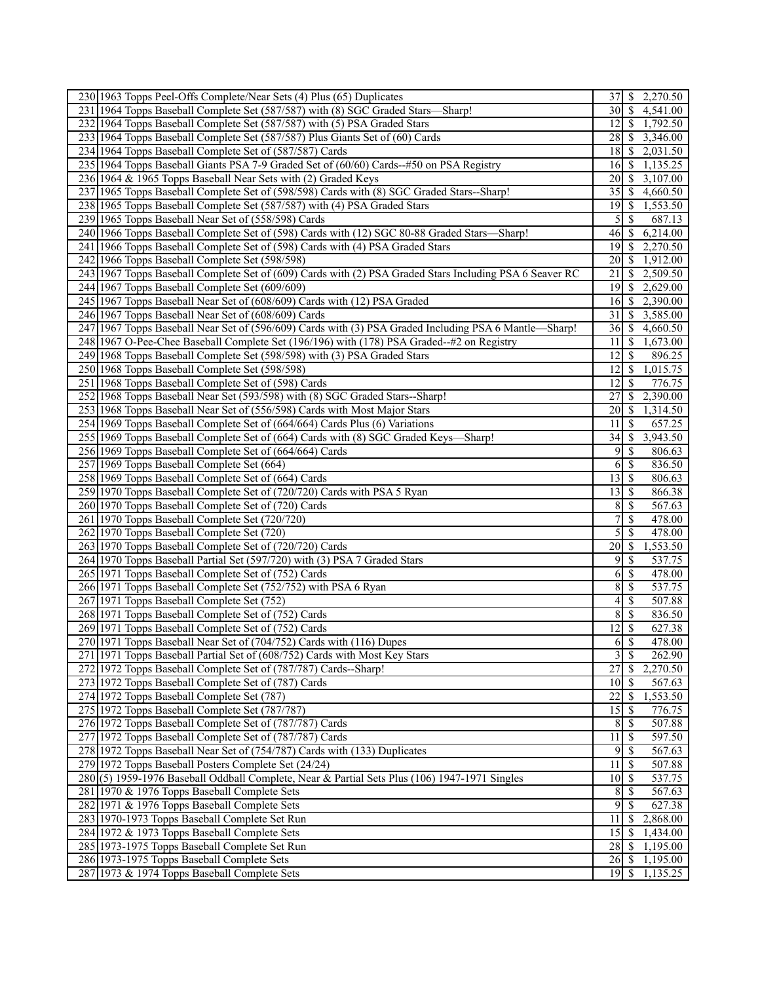| 230 1963 Topps Peel-Offs Complete/Near Sets (4) Plus (65) Duplicates                                    | 37                 | <sup>\$</sup>            | 2,270.50 |
|---------------------------------------------------------------------------------------------------------|--------------------|--------------------------|----------|
| 231 1964 Topps Baseball Complete Set (587/587) with (8) SGC Graded Stars-Sharp!                         | 30                 | $\sqrt{S}$               | 4,541.00 |
| 232 1964 Topps Baseball Complete Set (587/587) with (5) PSA Graded Stars                                | 12                 | $\sqrt{S}$               | 1,792.50 |
| 233 1964 Topps Baseball Complete Set (587/587) Plus Giants Set of (60) Cards                            | 28                 | $\sqrt{S}$               | 3,346.00 |
| 234 1964 Topps Baseball Complete Set of (587/587) Cards                                                 | $18$   \$          |                          | 2,031.50 |
| 235 1964 Topps Baseball Giants PSA 7-9 Graded Set of (60/60) Cards--#50 on PSA Registry                 | 16                 | \$                       | 1,135.25 |
| 236 1964 & 1965 Topps Baseball Near Sets with (2) Graded Keys                                           | 20                 | - \$                     | 3,107.00 |
| 237 1965 Topps Baseball Complete Set of (598/598) Cards with (8) SGC Graded Stars--Sharp!               | 35                 | -S                       | 4,660.50 |
| 238 1965 Topps Baseball Complete Set (587/587) with (4) PSA Graded Stars                                | $19$ $\sqrt{5}$    |                          | 1,553.50 |
| 239 1965 Topps Baseball Near Set of (558/598) Cards                                                     | 5                  | $\mathbb{S}$             | 687.13   |
| 240 1966 Topps Baseball Complete Set of (598) Cards with (12) SGC 80-88 Graded Stars—Sharp!             | 46                 | \$                       | 6,214.00 |
| 241 1966 Topps Baseball Complete Set of (598) Cards with (4) PSA Graded Stars                           | 19                 | \$                       | 2,270.50 |
| 242 1966 Topps Baseball Complete Set (598/598)                                                          | 20                 | - \$                     | 1,912.00 |
| 243 1967 Topps Baseball Complete Set of (609) Cards with (2) PSA Graded Stars Including PSA 6 Seaver RC | 21                 | -S                       | 2,509.50 |
| 244 1967 Topps Baseball Complete Set (609/609)                                                          |                    |                          | 2,629.00 |
| 245 1967 Topps Baseball Near Set of (608/609) Cards with (12) PSA Graded                                | $16 \mid$ \$       |                          | 2,390.00 |
| 246 1967 Topps Baseball Near Set of (608/609) Cards                                                     | 31                 | \$                       | 3,585.00 |
| 247 1967 Topps Baseball Near Set of (596/609) Cards with (3) PSA Graded Including PSA 6 Mantle—Sharp!   | 36                 | \$                       | 4,660.50 |
| 248 1967 O-Pee-Chee Baseball Complete Set (196/196) with (178) PSA Graded-#2 on Registry                | 11                 | -S                       | 1,673.00 |
| 249 1968 Topps Baseball Complete Set (598/598) with (3) PSA Graded Stars                                | 12                 | -S                       | 896.25   |
| 250 1968 Topps Baseball Complete Set (598/598)                                                          | 12                 | $\mathcal{S}$            | 1,015.75 |
| 251 1968 Topps Baseball Complete Set of (598) Cards                                                     | 12                 | $\mathcal{S}$            | 776.75   |
| 252 1968 Topps Baseball Near Set (593/598) with (8) SGC Graded Stars--Sharp!                            | 27                 | <sup>\$</sup>            | 2,390.00 |
| 253 1968 Topps Baseball Near Set of (556/598) Cards with Most Major Stars                               | 20                 | \$                       | 1,314.50 |
| 254 1969 Topps Baseball Complete Set of (664/664) Cards Plus (6) Variations                             | 11                 | -S                       | 657.25   |
| 255 1969 Topps Baseball Complete Set of (664) Cards with (8) SGC Graded Keys-Sharp!                     | 34                 | ∣\$.                     | 3,943.50 |
| 256 1969 Topps Baseball Complete Set of (664/664) Cards                                                 | 9                  | -S                       | 806.63   |
| 257 1969 Topps Baseball Complete Set (664)                                                              | 6                  | -\$                      | 836.50   |
| 258 1969 Topps Baseball Complete Set of (664) Cards                                                     | 13                 | -\$                      | 806.63   |
| 259 1970 Topps Baseball Complete Set of (720/720) Cards with PSA 5 Ryan                                 | $13$ $\sqrt{5}$    |                          | 866.38   |
| 260 1970 Topps Baseball Complete Set of (720) Cards                                                     | 8                  | - \$                     | 567.63   |
| 261 1970 Topps Baseball Complete Set (720/720)                                                          | 7                  | $\mathbb{S}$             | 478.00   |
| 262 1970 Topps Baseball Complete Set (720)                                                              | 5                  | $\mathcal{S}$            | 478.00   |
| 263 1970 Topps Baseball Complete Set of (720/720) Cards                                                 | 20                 | $\mathbb{S}$             | 1,553.50 |
| 264 1970 Topps Baseball Partial Set (597/720) with (3) PSA 7 Graded Stars                               | 9                  | -S                       | 537.75   |
| 265 1971 Topps Baseball Complete Set of (752) Cards                                                     | 6                  | -S                       | 478.00   |
| 266 1971 Topps Baseball Complete Set (752/752) with PSA 6 Ryan                                          | 8                  | -\$                      | 537.75   |
| 267 1971 Topps Baseball Complete Set (752)                                                              | 4                  | -\$                      | 507.88   |
| 268 1971 Topps Baseball Complete Set of (752) Cards                                                     | 8                  | $\mathbb{S}$             | 836.50   |
| 269 1971 Topps Baseball Complete Set of (752) Cards                                                     | $\overline{12}$ \$ |                          | 627.38   |
| 270 1971 Topps Baseball Near Set of (704/752) Cards with (116) Dupes                                    | 6                  | $\overline{\mathcal{S}}$ | 478.00   |
| 271 1971 Topps Baseball Partial Set of (608/752) Cards with Most Key Stars                              | 3                  | $\mathcal{S}$            | 262.90   |
| 272 1972 Topps Baseball Complete Set of (787/787) Cards--Sharp!                                         | 27                 | \$                       | 2,270.50 |
| 273 1972 Topps Baseball Complete Set of (787) Cards                                                     | 10                 | $\overline{\mathcal{S}}$ | 567.63   |
| 274 1972 Topps Baseball Complete Set (787)                                                              | 22                 | \$                       | 1,553.50 |
| 275 1972 Topps Baseball Complete Set (787/787)                                                          | 15                 | $\sqrt{3}$               | 776.75   |
| 276 1972 Topps Baseball Complete Set of (787/787) Cards                                                 | 8                  | <b>S</b>                 | 507.88   |
| 277 1972 Topps Baseball Complete Set of (787/787) Cards                                                 | 11                 | -\$                      | 597.50   |
| 278 1972 Topps Baseball Near Set of (754/787) Cards with (133) Duplicates                               | 9                  | -\$                      | 567.63   |
| 279 1972 Topps Baseball Posters Complete Set (24/24)                                                    | $\overline{11}$    | -\$                      | 507.88   |
| 280(5) 1959-1976 Baseball Oddball Complete, Near & Partial Sets Plus (106) 1947-1971 Singles            | $10\sqrt{3}$       |                          | 537.75   |
| 281 1970 & 1976 Topps Baseball Complete Sets                                                            | 8                  | -\$                      | 567.63   |
| 282 1971 & 1976 Topps Baseball Complete Sets                                                            | 9                  | -\$                      | 627.38   |
| 283 1970-1973 Topps Baseball Complete Set Run                                                           | 11                 | -S                       | 2,868.00 |
| 284 1972 & 1973 Topps Baseball Complete Sets                                                            | 15                 | -S                       | 1,434.00 |
| 285 1973-1975 Topps Baseball Complete Set Run                                                           | 28                 | <sup>5</sup>             | 1,195.00 |
| 286 1973-1975 Topps Baseball Complete Sets                                                              | $26 \mid$ \$       |                          | 1,195.00 |
| 287 1973 & 1974 Topps Baseball Complete Sets                                                            | $19$ $\sqrt{5}$    |                          | 1,135.25 |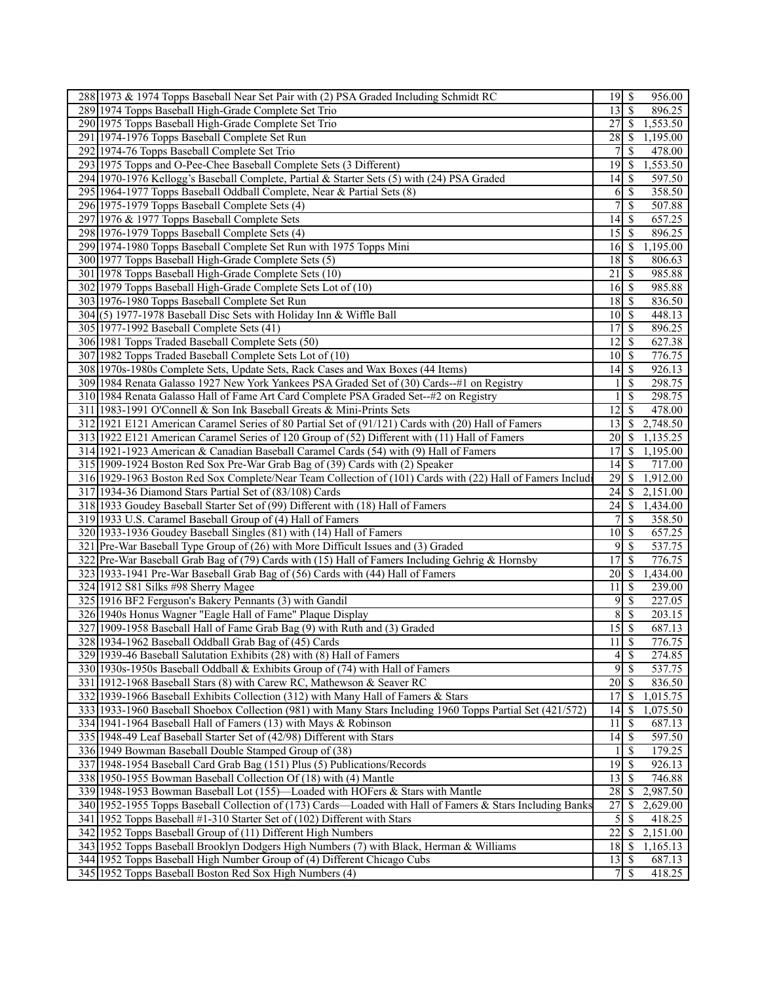| 288 1973 & 1974 Topps Baseball Near Set Pair with (2) PSA Graded Including Schmidt RC                      | 19                              | $\mathcal{S}$            | 956.00   |
|------------------------------------------------------------------------------------------------------------|---------------------------------|--------------------------|----------|
| 289 1974 Topps Baseball High-Grade Complete Set Trio                                                       | 13                              | $\overline{\mathcal{S}}$ | 896.25   |
| 290 1975 Topps Baseball High-Grade Complete Set Trio                                                       | 27                              | -S                       | 1,553.50 |
| 291 1974-1976 Topps Baseball Complete Set Run                                                              | 28                              | -S                       | 1,195.00 |
| 292 1974-76 Topps Baseball Complete Set Trio                                                               | 7                               | S                        | 478.00   |
| 293 1975 Topps and O-Pee-Chee Baseball Complete Sets (3 Different)                                         | 19                              | -S                       | 1,553.50 |
| 294 1970-1976 Kellogg's Baseball Complete, Partial & Starter Sets (5) with (24) PSA Graded                 | 14                              | <sup>\$</sup>            | 597.50   |
| 295 1964-1977 Topps Baseball Oddball Complete, Near & Partial Sets (8)                                     | 6                               | -S                       | 358.50   |
| 296 1975-1979 Topps Baseball Complete Sets (4)                                                             | 7                               | $\mathbb{S}$             | 507.88   |
| 297 1976 & 1977 Topps Baseball Complete Sets                                                               | 14                              | -\$                      | 657.25   |
| 298 1976-1979 Topps Baseball Complete Sets (4)                                                             | 15                              | -S                       | 896.25   |
| 299 1974-1980 Topps Baseball Complete Set Run with 1975 Topps Mini                                         | 16                              | -S                       | 1,195.00 |
|                                                                                                            | 18                              |                          |          |
| 300 1977 Topps Baseball High-Grade Complete Sets (5)                                                       |                                 | -\$                      | 806.63   |
| 301 1978 Topps Baseball High-Grade Complete Sets (10)                                                      | 21                              | -S                       | 985.88   |
| 302 1979 Topps Baseball High-Grade Complete Sets Lot of (10)                                               | $16 \mid$ \$                    |                          | 985.88   |
| 303 1976-1980 Topps Baseball Complete Set Run                                                              | 18                              | -S                       | 836.50   |
| 304(5) 1977-1978 Baseball Disc Sets with Holiday Inn & Wiffle Ball                                         | 10                              | -S                       | 448.13   |
| 305 1977-1992 Baseball Complete Sets (41)                                                                  | 17                              | \$                       | 896.25   |
| 306 1981 Topps Traded Baseball Complete Sets (50)                                                          | 12                              | -S                       | 627.38   |
| 307 1982 Topps Traded Baseball Complete Sets Lot of (10)                                                   | 10                              | -S                       | 776.75   |
| 308 1970s-1980s Complete Sets, Update Sets, Rack Cases and Wax Boxes (44 Items)                            | 14                              | $\mathcal{S}$            | 926.13   |
| 309 1984 Renata Galasso 1927 New York Yankees PSA Graded Set of (30) Cards-#1 on Registry                  | 1                               | $\mathbb{S}$             | 298.75   |
| 310 1984 Renata Galasso Hall of Fame Art Card Complete PSA Graded Set-+#2 on Registry                      | 1                               | \$                       | 298.75   |
| 311 1983-1991 O'Connell & Son Ink Baseball Greats & Mini-Prints Sets                                       | 12                              | $\mathbb{S}$             | 478.00   |
| 312 1921 E121 American Caramel Series of 80 Partial Set of (91/121) Cards with (20) Hall of Famers         | 13                              | -S                       | 2,748.50 |
| 313 1922 E121 American Caramel Series of 120 Group of (52) Different with (11) Hall of Famers              | 20                              | <sup>\$</sup>            | 1,135.25 |
| 314 1921-1923 American & Canadian Baseball Caramel Cards (54) with (9) Hall of Famers                      | 17                              | <sup>\$</sup>            | 1,195.00 |
| 315 1909-1924 Boston Red Sox Pre-War Grab Bag of (39) Cards with (2) Speaker                               | 4                               | -S                       | 717.00   |
| 316 1929-1963 Boston Red Sox Complete/Near Team Collection of (101) Cards with (22) Hall of Famers Includi | 29                              | <sup>\$</sup>            | 1,912.00 |
| 317 1934-36 Diamond Stars Partial Set of (83/108) Cards                                                    | 24                              | <sup>\$</sup>            | 2,151.00 |
| 318 1933 Goudey Baseball Starter Set of (99) Different with (18) Hall of Famers                            | 24                              | -S                       | 1,434.00 |
| 319 1933 U.S. Caramel Baseball Group of (4) Hall of Famers                                                 | 7 <sup>1</sup>                  | <sup>\$</sup>            | 358.50   |
| 320 1933-1936 Goudey Baseball Singles (81) with (14) Hall of Famers                                        | 10                              | -S                       | 657.25   |
| 321 Pre-War Baseball Type Group of (26) with More Difficult Issues and (3) Graded                          | 9                               | -S                       | 537.75   |
| 322 Pre-War Baseball Grab Bag of (79) Cards with (15) Hall of Famers Including Gehrig & Hornsby            | 17                              | $\mathbb{S}$             | 776.75   |
| 323 1933-1941 Pre-War Baseball Grab Bag of (56) Cards with (44) Hall of Famers                             | 20                              | -S                       | 1,434.00 |
| 324 1912 S81 Silks #98 Sherry Magee                                                                        | 11                              | -S                       | 239.00   |
| 325 1916 BF2 Ferguson's Bakery Pennants (3) with Gandil                                                    | 9                               | $\mathcal{S}$            | 227.05   |
| 326 1940s Honus Wagner "Eagle Hall of Fame" Plaque Display                                                 | 8 <sup>1</sup>                  | $\mathbb{S}$             | 203.15   |
| 327 1909-1958 Baseball Hall of Fame Grab Bag (9) with Ruth and (3) Graded                                  | $\overline{15}$ $\overline{\$}$ |                          | 687.13   |
| 328 1934-1962 Baseball Oddball Grab Bag of (45) Cards                                                      | 11                              | $\mathcal{S}$            | 776.75   |
| 329 1939-46 Baseball Salutation Exhibits (28) with (8) Hall of Famers                                      | $\vert 4 \vert$                 | $\mathbb{S}$             | 274.85   |
| 330 1930s-1950s Baseball Oddball & Exhibits Group of (74) with Hall of Famers                              | 9                               | $\mathbb{S}$             | 537.75   |
| 331 1912-1968 Baseball Stars (8) with Carew RC, Mathewson & Seaver RC                                      |                                 |                          | 836.50   |
| 332 1939-1966 Baseball Exhibits Collection (312) with Many Hall of Famers & Stars                          | 17                              | <sup>\$</sup>            | 1,015.75 |
| 333 1933-1960 Baseball Shoebox Collection (981) with Many Stars Including 1960 Topps Partial Set (421/572) | 14                              | $\mathbb{S}$             | ,075.50  |
| 334 1941-1964 Baseball Hall of Famers (13) with Mays & Robinson                                            | 11                              | -S                       | 687.13   |
| 335 1948-49 Leaf Baseball Starter Set of (42/98) Different with Stars                                      | 14                              | -S                       | 597.50   |
| 336 1949 Bowman Baseball Double Stamped Group of (38)                                                      | 1                               | -S                       | 179.25   |
| 337 1948-1954 Baseball Card Grab Bag (151) Plus (5) Publications/Records                                   |                                 |                          | 926.13   |
| 338 1950-1955 Bowman Baseball Collection Of (18) with (4) Mantle                                           | 13                              | -S                       | 746.88   |
| 339 1948-1953 Bowman Baseball Lot (155)—Loaded with HOFers & Stars with Mantle                             | 28                              | -S                       | 2,987.50 |
| 340 1952-1955 Topps Baseball Collection of (173) Cards—Loaded with Hall of Famers & Stars Including Banks  | $\overline{27}$                 | \$                       | 2,629.00 |
| 341 1952 Topps Baseball #1-310 Starter Set of (102) Different with Stars                                   | $\vert$                         | \$                       | 418.25   |
| 342 1952 Topps Baseball Group of (11) Different High Numbers                                               | 22                              | -S                       | 2,151.00 |
| 343 1952 Topps Baseball Brooklyn Dodgers High Numbers (7) with Black, Herman & Williams                    | $18$   \$                       |                          | 1,165.13 |
| 344 1952 Topps Baseball High Number Group of (4) Different Chicago Cubs                                    | $13 \mid S$                     |                          | 687.13   |
| 345 1952 Topps Baseball Boston Red Sox High Numbers (4)                                                    | 7 <sup>1</sup>                  | <sup>\$</sup>            | 418.25   |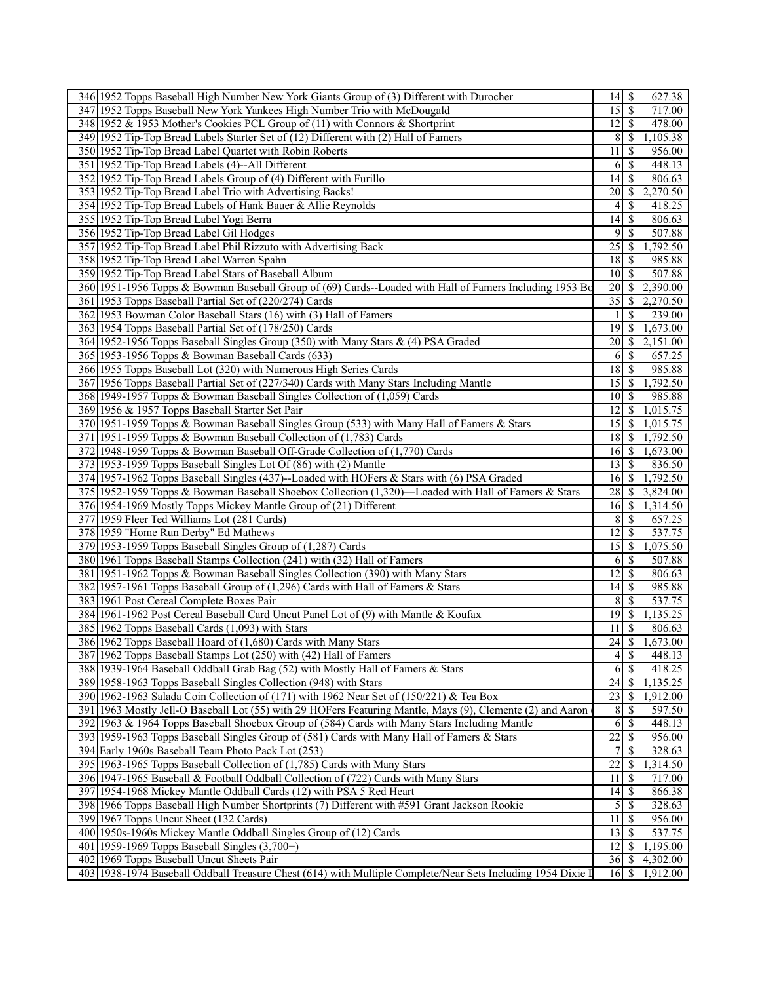| 346 1952 Topps Baseball High Number New York Giants Group of (3) Different with Durocher                                                                       | 627.38                                               |
|----------------------------------------------------------------------------------------------------------------------------------------------------------------|------------------------------------------------------|
| 347 1952 Topps Baseball New York Yankees High Number Trio with McDougald                                                                                       | $15\overline{\smash{)}\,}$<br>717.00                 |
| 348 1952 & 1953 Mother's Cookies PCL Group of (11) with Connors & Shortprint                                                                                   | $12 \mid$ \$<br>478.00                               |
| 349 1952 Tip-Top Bread Labels Starter Set of (12) Different with (2) Hall of Famers                                                                            | 8<br>1,105.38<br><sup>\$</sup>                       |
| 350 1952 Tip-Top Bread Label Quartet with Robin Roberts                                                                                                        | <sup>\$</sup><br>956.00<br>11 I                      |
| 351 1952 Tip-Top Bread Labels (4)--All Different                                                                                                               | 6 \$<br>448.13                                       |
| 352 1952 Tip-Top Bread Labels Group of (4) Different with Furillo                                                                                              | 14<br><sup>\$</sup><br>806.63                        |
| 353 1952 Tip-Top Bread Label Trio with Advertising Backs!                                                                                                      | 2,270.50<br><b>20</b><br>S                           |
| 354 1952 Tip-Top Bread Labels of Hank Bauer & Allie Reynolds                                                                                                   | 4 <sup>1</sup><br><sup>\$</sup><br>418.25            |
| 355 1952 Tip-Top Bread Label Yogi Berra                                                                                                                        | \$<br>806.63<br>14                                   |
| 356 1952 Tip-Top Bread Label Gil Hodges                                                                                                                        | 9 <sup>1</sup><br>507.88<br><sup>\$</sup>            |
| 357 1952 Tip-Top Bread Label Phil Rizzuto with Advertising Back                                                                                                | 1,792.50                                             |
| 358 1952 Tip-Top Bread Label Warren Spahn                                                                                                                      | 985.88                                               |
| 359 1952 Tip-Top Bread Label Stars of Baseball Album                                                                                                           | 10 <sup>1</sup><br><sup>\$</sup><br>507.88           |
| 360 1951-1956 Topps & Bowman Baseball Group of (69) Cards--Loaded with Hall of Famers Including 1953 Bo                                                        | <sup>\$</sup><br>2,390.00<br>20                      |
| 361 1953 Topps Baseball Partial Set of (220/274) Cards                                                                                                         | 35<br>2,270.50<br><sup>\$</sup>                      |
| 362 1953 Bowman Color Baseball Stars (16) with (3) Hall of Famers                                                                                              | <sup>\$</sup><br>239.00<br>11                        |
| 363 1954 Topps Baseball Partial Set of (178/250) Cards                                                                                                         | 1,673.00                                             |
| 364 1952-1956 Topps Baseball Singles Group (350) with Many Stars & (4) PSA Graded                                                                              | 20<br><sup>\$</sup><br>2,151.00                      |
| 365 1953-1956 Topps & Bowman Baseball Cards (633)                                                                                                              | 657.25                                               |
| 366 1955 Topps Baseball Lot (320) with Numerous High Series Cards                                                                                              | 18<br><sup>\$</sup><br>985.88                        |
| 367 1956 Topps Baseball Partial Set of (227/340) Cards with Many Stars Including Mantle                                                                        | $\mathbb{S}$<br>1,792.50<br>15 <sup>1</sup>          |
| 368 1949-1957 Topps & Bowman Baseball Singles Collection of (1,059) Cards                                                                                      | $10 \mid S$<br>985.88                                |
| 369 1956 & 1957 Topps Baseball Starter Set Pair                                                                                                                | $\overline{1}2$ \$<br>$\overline{1,}015.75$          |
| 370 1951-1959 Topps & Bowman Baseball Singles Group (533) with Many Hall of Famers & Stars                                                                     | $15 \overline{\smash{)}8}$<br>1,015.75               |
| 371 1951-1959 Topps & Bowman Baseball Collection of (1,783) Cards                                                                                              | $18\overline{3}$<br>1,792.50                         |
| 372 1948-1959 Topps & Bowman Baseball Off-Grade Collection of (1,770) Cards                                                                                    | $16 \mid$ \$<br>1,673.00<br><sup>\$</sup>            |
| 373 1953-1959 Topps Baseball Singles Lot Of (86) with (2) Mantle<br>374 1957-1962 Topps Baseball Singles (437)--Loaded with HOFers & Stars with (6) PSA Graded | 13 <sup>1</sup><br>836.50<br>1,792.50<br>$16 \mid S$ |
| 375 1952-1959 Topps & Bowman Baseball Shoebox Collection (1,320)—Loaded with Hall of Famers & Stars                                                            | 28<br>$\overline{3,824.00}$<br>S                     |
| 376 1954-1969 Mostly Topps Mickey Mantle Group of (21) Different                                                                                               | $\overline{1,314.50}$<br>16S                         |
| 377 1959 Fleer Ted Williams Lot (281 Cards)                                                                                                                    | 8S<br>657.25                                         |
| 378 1959 "Home Run Derby" Ed Mathews                                                                                                                           | 12<br>\$<br>537.75                                   |
| 379 1953-1959 Topps Baseball Singles Group of (1,287) Cards                                                                                                    | 15 <sup>1</sup><br><sup>\$</sup><br>1,075.50         |
| 380 1961 Topps Baseball Stamps Collection (241) with (32) Hall of Famers                                                                                       | <sup>6</sup><br>-S<br>507.88                         |
| 381 1951-1962 Topps & Bowman Baseball Singles Collection (390) with Many Stars                                                                                 | 12<br>806.63<br>-S                                   |
| 382 1957-1961 Topps Baseball Group of (1,296) Cards with Hall of Famers & Stars                                                                                | 985.88<br>$14$ $\sqrt{5}$                            |
| 383 1961 Post Cereal Complete Boxes Pair                                                                                                                       | 8S<br>537.75                                         |
| 384 1961-1962 Post Cereal Baseball Card Uncut Panel Lot of (9) with Mantle & Koufax                                                                            | 19<br><sup>\$</sup><br>1,135.25                      |
| 385 1962 Topps Baseball Cards (1,093) with Stars                                                                                                               | \$<br>806.63<br>11 I                                 |
| 386 1962 Topps Baseball Hoard of (1,680) Cards with Many Stars                                                                                                 | $\overline{24}$ \$<br>1,673.00                       |
| 387 1962 Topps Baseball Stamps Lot (250) with (42) Hall of Famers                                                                                              | $4\vert$<br>\$<br>448.13                             |
| 388 1939-1964 Baseball Oddball Grab Bag (52) with Mostly Hall of Famers & Stars                                                                                | <sup>\$</sup><br>6<br>418.25                         |
| 389 1958-1963 Topps Baseball Singles Collection (948) with Stars                                                                                               | 1,135.25                                             |
| 390 1962-1963 Salada Coin Collection of (171) with 1962 Near Set of (150/221) & Tea Box                                                                        | 23<br><sup>\$</sup><br>1,912.00                      |
| 391 1963 Mostly Jell-O Baseball Lot (55) with 29 HOFers Featuring Mantle, Mays (9), Clemente (2) and Aaron                                                     | 8<br>597.50<br>S                                     |
| 392 1963 & 1964 Topps Baseball Shoebox Group of (584) Cards with Many Stars Including Mantle                                                                   | $\overline{6}$<br>448.13<br><sup>\$</sup>            |
| 393 1959-1963 Topps Baseball Singles Group of (581) Cards with Many Hall of Famers & Stars                                                                     | $\overline{22}$<br>956.00<br>S                       |
| 394 Early 1960s Baseball Team Photo Pack Lot (253)                                                                                                             | 328.63<br>S                                          |
| 395 1963-1965 Topps Baseball Collection of (1,785) Cards with Many Stars                                                                                       | 22<br>1,314.50<br><sup>\$</sup>                      |
| 396 1947-1965 Baseball & Football Oddball Collection of (722) Cards with Many Stars                                                                            | S<br>717.00<br>111                                   |
| 397 1954-1968 Mickey Mantle Oddball Cards (12) with PSA 5 Red Heart                                                                                            | 14<br>866.38<br>-S<br>5S                             |
| 398 1966 Topps Baseball High Number Shortprints (7) Different with #591 Grant Jackson Rookie<br>399 1967 Topps Uncut Sheet (132 Cards)                         | 328.63<br>956.00<br>- \$                             |
| 400 1950s-1960s Mickey Mantle Oddball Singles Group of (12) Cards                                                                                              | 111<br>13<br>537.75<br>-S                            |
| 401 1959-1969 Topps Baseball Singles (3,700+)                                                                                                                  | $12$   \$<br>1,195.00                                |
| 402 1969 Topps Baseball Uncut Sheets Pair                                                                                                                      | $36 \mid$ \$<br>4,302.00                             |
|                                                                                                                                                                |                                                      |
| 403   1938-1974 Baseball Oddball Treasure Chest (614) with Multiple Complete/Near Sets Including 1954 Dixie I                                                  | 16 <sup> </sup><br><sup>\$</sup><br>1,912.00         |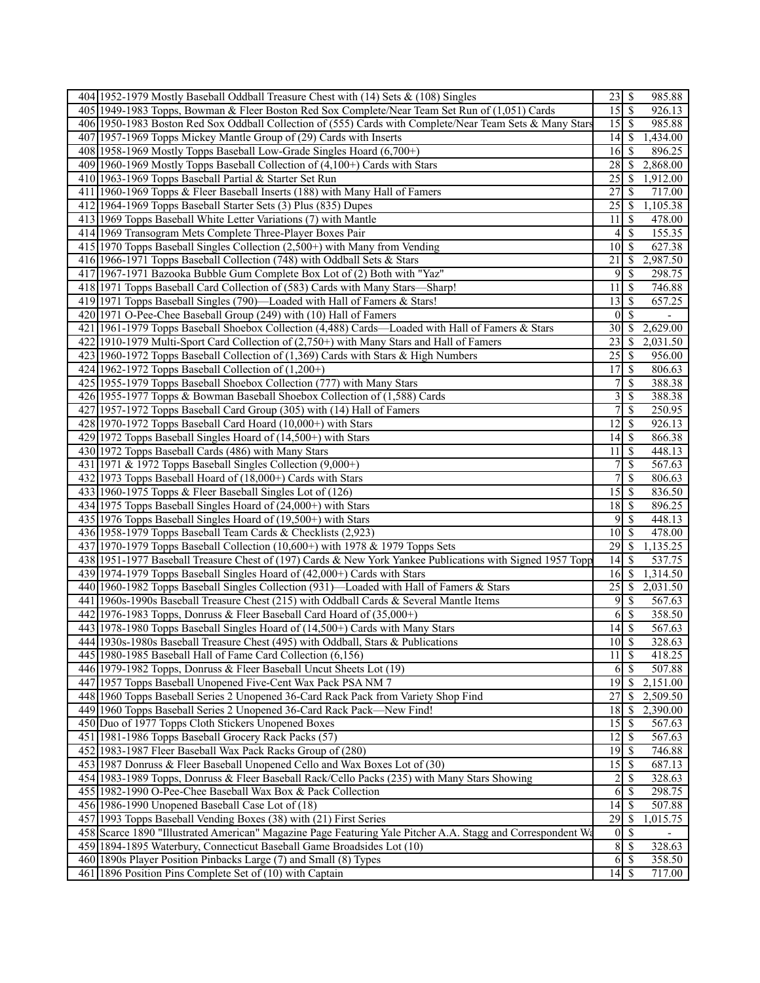| 404 1952-1979 Mostly Baseball Oddball Treasure Chest with (14) Sets & (108) Singles                         |                                  |                           | 985.88   |  |
|-------------------------------------------------------------------------------------------------------------|----------------------------------|---------------------------|----------|--|
| 405 1949-1983 Topps, Bowman & Fleer Boston Red Sox Complete/Near Team Set Run of (1,051) Cards              | 15                               | $\overline{\mathcal{S}}$  | 926.13   |  |
| 406 1950-1983 Boston Red Sox Oddball Collection of (555) Cards with Complete/Near Team Sets & Many Stars    |                                  | $15 \mid$ \$              | 985.88   |  |
| 407 1957-1969 Topps Mickey Mantle Group of (29) Cards with Inserts                                          | $14 \mid$ \$                     |                           | ,434.00  |  |
| 408 1958-1969 Mostly Topps Baseball Low-Grade Singles Hoard (6,700+)                                        | 16                               | - \$                      | 896.25   |  |
| 409 1960-1969 Mostly Topps Baseball Collection of (4,100+) Cards with Stars                                 | 28                               | -\$                       | 2,868.00 |  |
| 410 1963-1969 Topps Baseball Partial & Starter Set Run                                                      | 25                               | -\$                       | 1,912.00 |  |
| 411 1960-1969 Topps & Fleer Baseball Inserts (188) with Many Hall of Famers                                 | 27                               | <sup>\$</sup>             | 717.00   |  |
| 412 1964-1969 Topps Baseball Starter Sets (3) Plus (835) Dupes                                              | $\overline{25}$                  | $\mathbb{S}$              | 1,105.38 |  |
| 413 1969 Topps Baseball White Letter Variations (7) with Mantle                                             | 11                               | - \$                      | 478.00   |  |
| 414 1969 Transogram Mets Complete Three-Player Boxes Pair                                                   | 4                                | S                         | 155.35   |  |
| 415 1970 Topps Baseball Singles Collection (2,500+) with Many from Vending                                  | 10                               | - \$                      | 627.38   |  |
| 416 1966-1971 Topps Baseball Collection (748) with Oddball Sets & Stars                                     | 21                               | -S                        | 2,987.50 |  |
| 417 1967-1971 Bazooka Bubble Gum Complete Box Lot of (2) Both with "Yaz"                                    | 9                                | -S                        | 298.75   |  |
| 418 1971 Topps Baseball Card Collection of (583) Cards with Many Stars-Sharp!                               | $\overline{11}$                  | -\$                       | 746.88   |  |
| 419 1971 Topps Baseball Singles (790)—Loaded with Hall of Famers & Stars!                                   | 13                               | -\$                       | 657.25   |  |
| 420 1971 O-Pee-Chee Baseball Group (249) with (10) Hall of Famers                                           | $\bf{0}$                         | -\$                       |          |  |
| 421 1961-1979 Topps Baseball Shoebox Collection (4,488) Cards—Loaded with Hall of Famers & Stars            | 30                               | -\$                       | 2,629.00 |  |
| 422 1910-1979 Multi-Sport Card Collection of (2,750+) with Many Stars and Hall of Famers                    | 23                               | -S                        | 2,031.50 |  |
| 423 1960-1972 Topps Baseball Collection of (1,369) Cards with Stars & High Numbers                          | 25                               | -\$                       | 956.00   |  |
| 424 1962-1972 Topps Baseball Collection of $(1,200+)$                                                       |                                  |                           | 806.63   |  |
| 425 1955-1979 Topps Baseball Shoebox Collection (777) with Many Stars                                       | 7                                | \$                        | 388.38   |  |
| 426 1955-1977 Topps & Bowman Baseball Shoebox Collection of (1,588) Cards                                   | 3                                | \$                        | 388.38   |  |
| 427 1957-1972 Topps Baseball Card Group (305) with (14) Hall of Famers                                      | 7                                | -S                        | 250.95   |  |
| $428 1970-1972$ Topps Baseball Card Hoard (10,000+) with Stars                                              | 12                               | -\$                       | 926.13   |  |
| 429 1972 Topps Baseball Singles Hoard of (14,500+) with Stars                                               | 14                               | -\$                       | 866.38   |  |
| 430 1972 Topps Baseball Cards (486) with Many Stars                                                         | 11                               | -\$                       | 448.13   |  |
| 431 1971 & 1972 Topps Baseball Singles Collection (9,000+)                                                  | 7                                | \$                        | 567.63   |  |
| 432 1973 Topps Baseball Hoard of (18,000+) Cards with Stars                                                 | 7                                | \$                        | 806.63   |  |
| 433 1960-1975 Topps & Fleer Baseball Singles Lot of (126)                                                   | 15                               | S                         | 836.50   |  |
| 434 1975 Topps Baseball Singles Hoard of (24,000+) with Stars                                               | 18                               | - \$                      | 896.25   |  |
| 435 1976 Topps Baseball Singles Hoard of (19,500+) with Stars                                               | 9                                | $\overline{\mathcal{S}}$  | 448.13   |  |
| 436 1958-1979 Topps Baseball Team Cards & Checklists (2,923)                                                | 10                               | $\overline{\mathcal{S}}$  | 478.00   |  |
| 437 1970-1979 Topps Baseball Collection (10,600+) with 1978 & 1979 Topps Sets                               | 29                               | - \$                      | 1,135.25 |  |
| 438 1951-1977 Baseball Treasure Chest of (197) Cards & New York Yankee Publications with Signed 1957 Topp   | 14                               | -\$                       | 537.75   |  |
| 439 1974-1979 Topps Baseball Singles Hoard of (42,000+) Cards with Stars                                    | 16                               | - \$                      | 1,314.50 |  |
| 440 1960-1982 Topps Baseball Singles Collection (931)—Loaded with Hall of Famers & Stars                    | 25                               | -\$                       | 2,031.50 |  |
| 441 1960s-1990s Baseball Treasure Chest (215) with Oddball Cards & Several Mantle Items                     | 9                                | -\$                       | 567.63   |  |
| 442 1976-1983 Topps, Donruss & Fleer Baseball Card Hoard of (35,000+)                                       | 6                                | -S                        | 358.50   |  |
| 443 1978-1980 Topps Baseball Singles Hoard of (14,500+) Cards with Many Stars                               | 14                               | $\boldsymbol{\mathsf{S}}$ | 567.63   |  |
| 444 1930s-1980s Baseball Treasure Chest (495) with Oddball, Stars & Publications                            | $10\vert S$                      |                           | 328.63   |  |
| 445 1980-1985 Baseball Hall of Fame Card Collection (6,156)                                                 | $11 \mid$ \$                     |                           | 418.25   |  |
| 446 1979-1982 Topps, Donruss & Fleer Baseball Uncut Sheets Lot (19)                                         | 6                                | $\overline{\mathcal{S}}$  | 507.88   |  |
| 447 1957 Topps Baseball Unopened Five-Cent Wax Pack PSA NM 7                                                |                                  | $\overline{19}$ \$        | 2,151.00 |  |
| 448 1960 Topps Baseball Series 2 Unopened 36-Card Rack Pack from Variety Shop Find                          | $\overline{27}$                  | <sup>\$</sup>             | 2,509.50 |  |
| 449 1960 Topps Baseball Series 2 Unopened 36-Card Rack Pack—New Find!                                       | 18                               | $\mathcal{S}$             | 2,390.00 |  |
| 450 Duo of 1977 Topps Cloth Stickers Unopened Boxes                                                         | 15                               | - \$                      | 567.63   |  |
| 451 1981-1986 Topps Baseball Grocery Rack Packs (57)                                                        | 12                               | $\mathsf{S}$              | 567.63   |  |
| 452 1983-1987 Fleer Baseball Wax Pack Racks Group of (280)                                                  | 19                               | -\$                       | 746.88   |  |
| 453 1987 Donruss & Fleer Baseball Unopened Cello and Wax Boxes Lot of (30)                                  | $15 \overline{\smash{\big)}\ 5}$ |                           | 687.13   |  |
| 454 1983-1989 Topps, Donruss & Fleer Baseball Rack/Cello Packs (235) with Many Stars Showing                | $\overline{\mathbf{c}}$          | $\mathcal{S}$             | 328.63   |  |
| 455 1982-1990 O-Pee-Chee Baseball Wax Box & Pack Collection                                                 | 6                                | $\mathcal{S}$             | 298.75   |  |
| 456 1986-1990 Unopened Baseball Case Lot of (18)                                                            | 14                               | $\mathbb{S}$              | 507.88   |  |
| 457 1993 Topps Baseball Vending Boxes (38) with (21) First Series                                           | 29                               | -\$                       | 1,015.75 |  |
| 458 Scarce 1890 "Illustrated American" Magazine Page Featuring Yale Pitcher A.A. Stagg and Correspondent Wa | $\vert 0 \vert$                  | $\mathbb{S}$              |          |  |
| 459 1894-1895 Waterbury, Connecticut Baseball Game Broadsides Lot (10)                                      | $\boldsymbol{8}$                 | $\overline{\mathcal{S}}$  | 328.63   |  |
| 460 1890s Player Position Pinbacks Large (7) and Small (8) Types                                            | 6                                | $\overline{\mathcal{S}}$  | 358.50   |  |
| 461 1896 Position Pins Complete Set of (10) with Captain                                                    |                                  |                           | 717.00   |  |
|                                                                                                             |                                  |                           |          |  |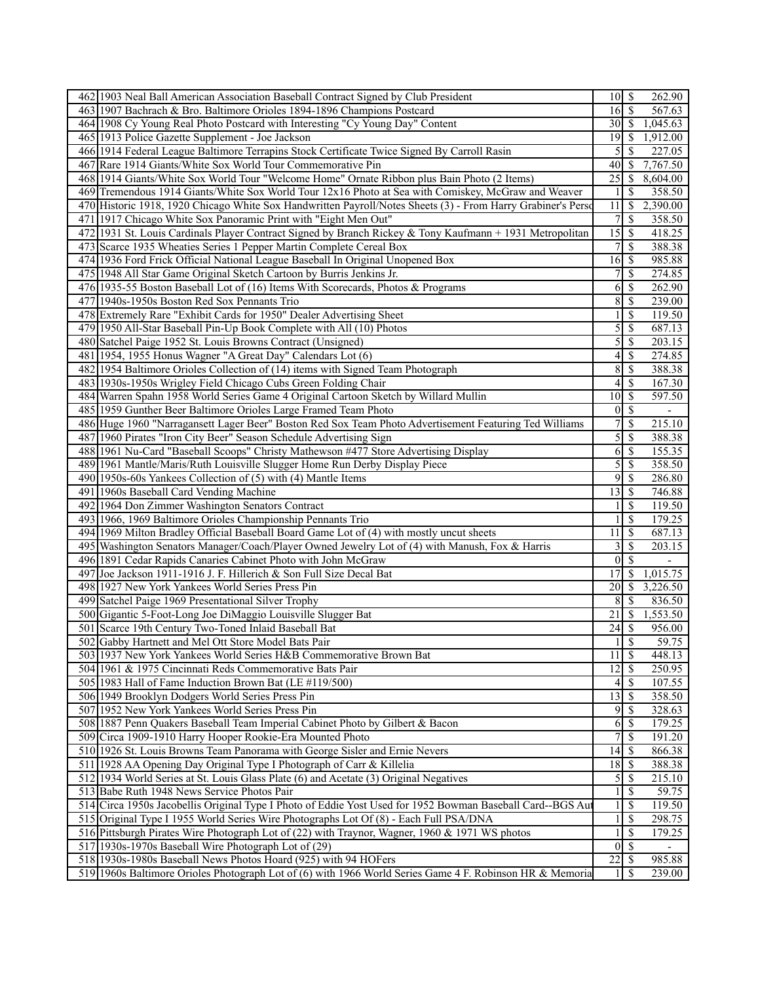| 462 1903 Neal Ball American Association Baseball Contract Signed by Club President                                                                                          |                                |                                | 262.90                   |  |
|-----------------------------------------------------------------------------------------------------------------------------------------------------------------------------|--------------------------------|--------------------------------|--------------------------|--|
| 463 1907 Bachrach & Bro. Baltimore Orioles 1894-1896 Champions Postcard                                                                                                     | 16                             | $\mathbb{S}$                   | 567.63                   |  |
| 464 1908 Cy Young Real Photo Postcard with Interesting "Cy Young Day" Content                                                                                               | $30\vert S$                    |                                | 1,045.63                 |  |
| 465 1913 Police Gazette Supplement - Joe Jackson                                                                                                                            | 19                             | <sup>S</sup>                   | 1,912.00                 |  |
| 466 1914 Federal League Baltimore Terrapins Stock Certificate Twice Signed By Carroll Rasin                                                                                 | $\mathfrak{S}$                 | <sup>\$</sup>                  | 227.05                   |  |
| 467 Rare 1914 Giants/White Sox World Tour Commemorative Pin                                                                                                                 | 40 <sup> </sup>                | -S                             | 7,767.50                 |  |
| 468 1914 Giants/White Sox World Tour "Welcome Home" Ornate Ribbon plus Bain Photo (2 Items)                                                                                 | 25                             | <sup>\$</sup>                  | 8,604.00                 |  |
| 469 Tremendous 1914 Giants/White Sox World Tour 12x16 Photo at Sea with Comiskey, McGraw and Weaver                                                                         | $\mathbf{1}$                   | <sup>\$</sup>                  | 358.50                   |  |
| 470 Historic 1918, 1920 Chicago White Sox Handwritten Payroll/Notes Sheets (3) - From Harry Grabiner's Person                                                               | 11                             | <sup>\$</sup>                  | 2,390.00                 |  |
| 471 1917 Chicago White Sox Panoramic Print with "Eight Men Out"                                                                                                             | 7 <sup>1</sup>                 | <sup>\$</sup>                  | 358.50                   |  |
| 472 1931 St. Louis Cardinals Player Contract Signed by Branch Rickey & Tony Kaufmann + 1931 Metropolitan                                                                    | $\overline{15}$                | $\mathbb{S}$                   | 418.25                   |  |
| 473 Scarce 1935 Wheaties Series 1 Pepper Martin Complete Cereal Box                                                                                                         | $7\vert$                       | $\mathbf S$                    | 388.38                   |  |
| 474 1936 Ford Frick Official National League Baseball In Original Unopened Box                                                                                              |                                |                                | 985.88                   |  |
| 475 1948 All Star Game Original Sketch Cartoon by Burris Jenkins Jr.                                                                                                        | 7                              | -S                             | 274.85                   |  |
| 476 1935-55 Boston Baseball Lot of (16) Items With Scorecards, Photos & Programs                                                                                            | 61                             | <sup>\$</sup>                  | 262.90                   |  |
| 477 1940s-1950s Boston Red Sox Pennants Trio                                                                                                                                | 8                              | <sup>\$</sup>                  | 239.00                   |  |
| 478 Extremely Rare "Exhibit Cards for 1950" Dealer Advertising Sheet                                                                                                        | $\mathbf{1}$                   | <sup>\$</sup>                  | 119.50                   |  |
| 479   1950 All-Star Baseball Pin-Up Book Complete with All (10) Photos                                                                                                      | $\overline{5}$                 | $\mathcal{S}$                  | 687.13                   |  |
| 480 Satchel Paige 1952 St. Louis Browns Contract (Unsigned)                                                                                                                 | $\overline{5}$                 | <sup>\$</sup>                  | 203.15                   |  |
| 481 1954, 1955 Honus Wagner "A Great Day" Calendars Lot (6)                                                                                                                 | $\overline{4}$                 | $\mathcal{S}$                  | 274.85                   |  |
| 482 1954 Baltimore Orioles Collection of (14) items with Signed Team Photograph                                                                                             | 8                              | $\mathcal{S}$                  | 388.38                   |  |
| 483 1930s-1950s Wrigley Field Chicago Cubs Green Folding Chair                                                                                                              | 4                              | <sup>\$</sup>                  | 167.30                   |  |
| 484 Warren Spahn 1958 World Series Game 4 Original Cartoon Sketch by Willard Mullin                                                                                         | $\overline{10}$                | -S                             | 597.50                   |  |
| 485 1959 Gunther Beer Baltimore Orioles Large Framed Team Photo                                                                                                             | 0                              | <sup>\$</sup>                  |                          |  |
| 486 Huge 1960 "Narragansett Lager Beer" Boston Red Sox Team Photo Advertisement Featuring Ted Williams                                                                      | $\overline{7}$                 |                                | 215.10                   |  |
| 487 1960 Pirates "Iron City Beer" Season Schedule Advertising Sign                                                                                                          | $\overline{5}$                 | <sup>S</sup>                   | 388.38                   |  |
| 488 1961 Nu-Card "Baseball Scoops" Christy Mathewson #477 Store Advertising Display                                                                                         | 6                              | $\mathcal{S}$                  | 155.35                   |  |
| 489 1961 Mantle/Maris/Ruth Louisville Slugger Home Run Derby Display Piece                                                                                                  | $\mathfrak{S}$                 | <sup>\$</sup>                  | 358.50                   |  |
| 490 1950s-60s Yankees Collection of (5) with (4) Mantle Items                                                                                                               | $\overline{9}$                 | <sup>\$</sup>                  | 286.80                   |  |
| 491 1960s Baseball Card Vending Machine                                                                                                                                     | $\overline{13}$                | -S                             | 746.88                   |  |
| 492 1964 Don Zimmer Washington Senators Contract                                                                                                                            |                                | S                              | 119.50                   |  |
| 493 1966, 1969 Baltimore Orioles Championship Pennants Trio                                                                                                                 |                                | <sup>\$</sup>                  | 179.25                   |  |
| 494 1969 Milton Bradley Official Baseball Board Game Lot of (4) with mostly uncut sheets                                                                                    | 11                             | $\mathcal{S}$                  | $\overline{687.13}$      |  |
| 495 Washington Senators Manager/Coach/Player Owned Jewelry Lot of (4) with Manush, Fox & Harris                                                                             | $\overline{\mathbf{3}}$        | <sup>\$</sup>                  | 203.15                   |  |
| 496 1891 Cedar Rapids Canaries Cabinet Photo with John McGraw                                                                                                               | $\overline{0}$                 | $\mathcal{S}$                  | $\overline{\phantom{a}}$ |  |
| 497 Joe Jackson 1911-1916 J. F. Hillerich & Son Full Size Decal Bat                                                                                                         | 17                             | <sup>\$</sup>                  | 1,015.75                 |  |
| 498 1927 New York Yankees World Series Press Pin                                                                                                                            | <b>20</b>                      | <sup>\$</sup>                  | 3,226.50                 |  |
| 499 Satchel Paige 1969 Presentational Silver Trophy                                                                                                                         | 8                              | <sup>\$</sup>                  | 836.50                   |  |
| 500 Gigantic 5-Foot-Long Joe DiMaggio Louisville Slugger Bat                                                                                                                | 21                             | $\mathbb{S}$                   | 1,553.50                 |  |
| 501 Scarce 19th Century Two-Toned Inlaid Baseball Bat                                                                                                                       | 24                             | -S                             | 956.00                   |  |
| 502 Gabby Hartnett and Mel Ott Store Model Bats Pair                                                                                                                        | $1\vert$                       | $\overline{\mathcal{S}}$       | 59.75                    |  |
| 503 1937 New York Yankees World Series H&B Commemorative Brown Bat                                                                                                          | $11 \mid$ \$                   |                                | 448.13                   |  |
| 504 1961 & 1975 Cincinnati Reds Commemorative Bats Pair                                                                                                                     | 12                             | $\mathcal{S}$                  | 250.95                   |  |
| 505 1983 Hall of Fame Induction Brown Bat (LE #119/500)                                                                                                                     |                                | $4 \mid$ \$                    | $\overline{107.55}$      |  |
| 506 1949 Brooklyn Dodgers World Series Press Pin                                                                                                                            | 13                             | -S                             | 358.50                   |  |
| 507 1952 New York Yankees World Series Press Pin                                                                                                                            | $\overline{9}$                 | -S                             | 328.63                   |  |
| 508 1887 Penn Quakers Baseball Team Imperial Cabinet Photo by Gilbert & Bacon                                                                                               | 6                              | -S                             | 179.25                   |  |
| 509 Circa 1909-1910 Harry Hooper Rookie-Era Mounted Photo                                                                                                                   | 7 <sup>1</sup>                 | -S                             | 191.20                   |  |
| 510 1926 St. Louis Browns Team Panorama with George Sisler and Ernie Nevers                                                                                                 | 14                             | <sup>\$</sup>                  | 866.38                   |  |
| 511 1928 AA Opening Day Original Type I Photograph of Carr & Killelia                                                                                                       | $18$ $\sqrt{5}$                |                                | 388.38                   |  |
| 512 1934 World Series at St. Louis Glass Plate (6) and Acetate (3) Original Negatives                                                                                       |                                | -S                             | 215.10                   |  |
|                                                                                                                                                                             | $\mathfrak{S}$<br>$\mathbf{1}$ | <sup>\$</sup>                  | 59.75                    |  |
| 513 Babe Ruth 1948 News Service Photos Pair<br>514 Circa 1950s Jacobellis Original Type I Photo of Eddie Yost Used for 1952 Bowman Baseball Card--BGS Au                    |                                | <sup>\$</sup>                  | 119.50                   |  |
|                                                                                                                                                                             | $\mathbf{1}$                   |                                |                          |  |
| 515 Original Type I 1955 World Series Wire Photographs Lot Of (8) - Each Full PSA/DNA                                                                                       | $\mathbf{1}$                   | <sup>\$</sup><br><sup>\$</sup> | 298.75<br>179.25         |  |
| 516 Pittsburgh Pirates Wire Photograph Lot of (22) with Traynor, Wagner, 1960 & 1971 WS photos                                                                              | $\overline{0}$                 | <sup>S</sup>                   |                          |  |
| 517 1930s-1970s Baseball Wire Photograph Lot of (29)                                                                                                                        | 22                             | -S                             | 985.88                   |  |
|                                                                                                                                                                             |                                |                                |                          |  |
| 518 1930s-1980s Baseball News Photos Hoard (925) with 94 HOFers<br>519 1960s Baltimore Orioles Photograph Lot of (6) with 1966 World Series Game 4 F. Robinson HR & Memoria | 1 <sup>1</sup>                 | <sup>\$</sup>                  | 239.00                   |  |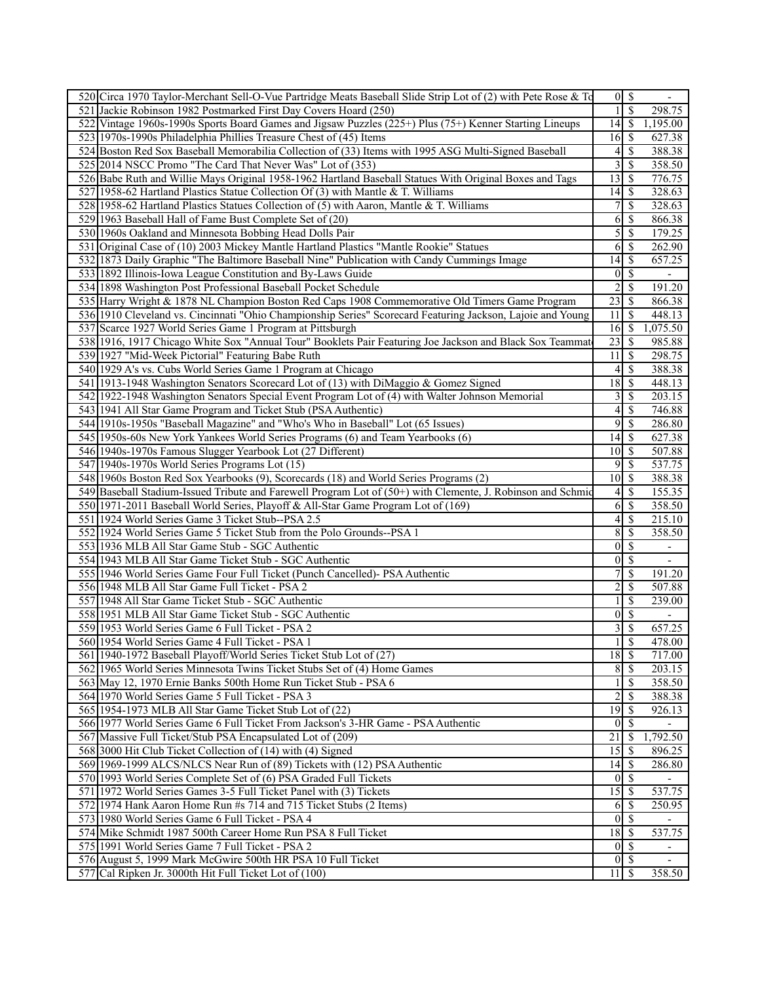| 520 Circa 1970 Taylor-Merchant Sell-O-Vue Partridge Meats Baseball Slide Strip Lot of (2) with Pete Rose & To |                               | $\overline{0 S}$ | $\overline{\phantom{a}}$ |
|---------------------------------------------------------------------------------------------------------------|-------------------------------|------------------|--------------------------|
| 521 Jackie Robinson 1982 Postmarked First Day Covers Hoard (250)                                              | $\mathbf{1}$                  | $\mathcal{S}$    | 298.75                   |
| 522 Vintage 1960s-1990s Sports Board Games and Jigsaw Puzzles (225+) Plus (75+) Kenner Starting Lineups       | 14                            | $\mathbb{S}$     | 1,195.00                 |
| 523 1970s-1990s Philadelphia Phillies Treasure Chest of (45) Items                                            | 16                            | -S               | 627.38                   |
| 524 Boston Red Sox Baseball Memorabilia Collection of (33) Items with 1995 ASG Multi-Signed Baseball          | 4                             | \$               | 388.38                   |
| 525 2014 NSCC Promo "The Card That Never Was" Lot of (353)                                                    | 3                             | \$               | 358.50                   |
|                                                                                                               |                               |                  |                          |
| 526 Babe Ruth and Willie Mays Original 1958-1962 Hartland Baseball Statues With Original Boxes and Tags       | 13                            | \$               | 776.75                   |
| 527 1958-62 Hartland Plastics Statue Collection Of (3) with Mantle & T. Williams                              | 14                            | <sup>\$</sup>    | 328.63                   |
| 528 1958-62 Hartland Plastics Statues Collection of (5) with Aaron, Mantle & T. Williams                      | 7                             | \$               | 328.63                   |
| 529 1963 Baseball Hall of Fame Bust Complete Set of (20)                                                      | 6                             | \$               | 866.38                   |
| 530 1960s Oakland and Minnesota Bobbing Head Dolls Pair                                                       | 5                             | \$               | 179.25                   |
| 531 Original Case of (10) 2003 Mickey Mantle Hartland Plastics "Mantle Rookie" Statues                        | 6                             | \$               | 262.90                   |
| 532 1873 Daily Graphic "The Baltimore Baseball Nine" Publication with Candy Cummings Image                    | 14                            | \$               | 657.25                   |
| 533 1892 Illinois-Iowa League Constitution and By-Laws Guide                                                  | $\vert 0 \vert$               | $\mathbb{S}$     |                          |
| 534 1898 Washington Post Professional Baseball Pocket Schedule                                                | $\overline{2}$                | \$               | 191.20                   |
| 535 Harry Wright & 1878 NL Champion Boston Red Caps 1908 Commemorative Old Timers Game Program                | $\overline{23}$               | -\$              | 866.38                   |
| 536 1910 Cleveland vs. Cincinnati "Ohio Championship Series" Scorecard Featuring Jackson, Lajoie and Young    | 11                            | \$               | 448.13                   |
| 537 Scarce 1927 World Series Game 1 Program at Pittsburgh                                                     | 16                            | -\$              | 1,075.50                 |
| 538 1916, 1917 Chicago White Sox "Annual Tour" Booklets Pair Featuring Joe Jackson and Black Sox Teammat      | 23                            | <sup>\$</sup>    | 985.88                   |
| 539 1927 "Mid-Week Pictorial" Featuring Babe Ruth                                                             | 11                            | S                | 298.75                   |
|                                                                                                               |                               |                  |                          |
| 540 1929 A's vs. Cubs World Series Game 1 Program at Chicago                                                  | $\vert 4 \vert$               | \$               | 388.38                   |
| 541 1913-1948 Washington Senators Scorecard Lot of (13) with DiMaggio & Gomez Signed                          | 18                            | $\mathcal{S}$    | 448.13                   |
| 542 1922-1948 Washington Senators Special Event Program Lot of (4) with Walter Johnson Memorial               | 3                             | \$               | 203.15                   |
| 543 1941 All Star Game Program and Ticket Stub (PSA Authentic)                                                | 4                             | \$               | 746.88                   |
| 544 1910s-1950s "Baseball Magazine" and "Who's Who in Baseball" Lot (65 Issues)                               | 9                             | \$               | 286.80                   |
| 545 1950s-60s New York Yankees World Series Programs (6) and Team Yearbooks (6)                               | 14                            | <sup>\$</sup>    | 627.38                   |
| 546 1940s-1970s Famous Slugger Yearbook Lot (27 Different)                                                    | 10 <sup>1</sup>               | - \$             | 507.88                   |
| 547 1940s-1970s World Series Programs Lot (15)                                                                | 9                             | \$               | 537.75                   |
| 548 1960s Boston Red Sox Yearbooks (9), Scorecards (18) and World Series Programs (2)                         | 10 <sup>1</sup>               | S                | 388.38                   |
| 549 Baseball Stadium-Issued Tribute and Farewell Program Lot of (50+) with Clemente, J. Robinson and Schmid   | 4                             | \$               | 155.35                   |
| 550 1971-2011 Baseball World Series, Playoff & All-Star Game Program Lot of (169)                             | 6                             | $\mathcal{S}$    | 358.50                   |
| 551 1924 World Series Game 3 Ticket Stub--PSA 2.5                                                             | $\left 4\right $              | \$               | 215.10                   |
| 552 1924 World Series Game 5 Ticket Stub from the Polo Grounds--PSA 1                                         | 8                             | \$               | 358.50                   |
| 553 1936 MLB All Star Game Stub - SGC Authentic                                                               | $\vert 0 \vert$               | $\mathcal{S}$    | $\overline{\phantom{a}}$ |
|                                                                                                               |                               |                  |                          |
| 554 1943 MLB All Star Game Ticket Stub - SGC Authentic                                                        | $\vert 0 \vert$               | \$               | $\overline{\phantom{a}}$ |
| 555 1946 World Series Game Four Full Ticket (Punch Cancelled) - PSA Authentic                                 | 7                             | \$               | 191.20                   |
| 556 1948 MLB All Star Game Full Ticket - PSA 2                                                                | 2                             | \$               | 507.88                   |
| 557 1948 All Star Game Ticket Stub - SGC Authentic                                                            |                               | \$               | 239.00                   |
| 558 1951 MLB All Star Game Ticket Stub - SGC Authentic                                                        | $\vert 0 \vert$               | \$               |                          |
| 559 1953 World Series Game 6 Full Ticket - PSA 2                                                              | 3                             | \$               | 657.25                   |
| 560 1954 World Series Game 4 Full Ticket - PSA 1                                                              | $\mathbf{1}$                  | <sup>\$</sup>    | 478.00                   |
| 561 1940-1972 Baseball Playoff/World Series Ticket Stub Lot of (27)                                           | $18$ $\overline{\phantom{1}}$ |                  | 717.00                   |
| 562 1965 World Series Minnesota Twins Ticket Stubs Set of (4) Home Games                                      | 8                             | -\$              | 203.15                   |
| 563 May 12, 1970 Ernie Banks 500th Home Run Ticket Stub - PSA 6                                               |                               | $\mathcal{S}$    | 358.50                   |
| 564 1970 World Series Game 5 Full Ticket - PSA 3                                                              | 2                             | \$               | 388.38                   |
| 565 1954-1973 MLB All Star Game Ticket Stub Lot of (22)                                                       | 19                            | <sup>\$</sup>    | 926.13                   |
| 566 1977 World Series Game 6 Full Ticket From Jackson's 3-HR Game - PSA Authentic                             | $\vert 0 \vert$               | <sup>\$</sup>    |                          |
| 567 Massive Full Ticket/Stub PSA Encapsulated Lot of (209)                                                    | 21                            | \$               | 1,792.50                 |
|                                                                                                               |                               |                  |                          |
| 568 3000 Hit Club Ticket Collection of (14) with (4) Signed                                                   | 15                            | -S               | 896.25                   |
| 569 1969-1999 ALCS/NLCS Near Run of (89) Tickets with (12) PSA Authentic                                      | 14                            | -\$              | 286.80                   |
| 570 1993 World Series Complete Set of (6) PSA Graded Full Tickets                                             | $\overline{0}$                | -\$              |                          |
| 571 1972 World Series Games 3-5 Full Ticket Panel with (3) Tickets                                            | 15                            | -S               | 537.75                   |
| 572 1974 Hank Aaron Home Run #s 714 and 715 Ticket Stubs (2 Items)                                            | 6                             | -S               | 250.95                   |
| 573 1980 World Series Game 6 Full Ticket - PSA 4                                                              | $\vert 0 \vert$               | $\mathcal{S}$    |                          |
| 574 Mike Schmidt 1987 500th Career Home Run PSA 8 Full Ticket                                                 | 18                            | - \$             | 537.75                   |
| 575 1991 World Series Game 7 Full Ticket - PSA 2                                                              | $\overline{0}$                | -\$              |                          |
| 576 August 5, 1999 Mark McGwire 500th HR PSA 10 Full Ticket                                                   | 0                             | -\$              | $\overline{\phantom{a}}$ |
| 577 Cal Ripken Jr. 3000th Hit Full Ticket Lot of (100)                                                        | $11 \mid S$                   |                  | 358.50                   |
|                                                                                                               |                               |                  |                          |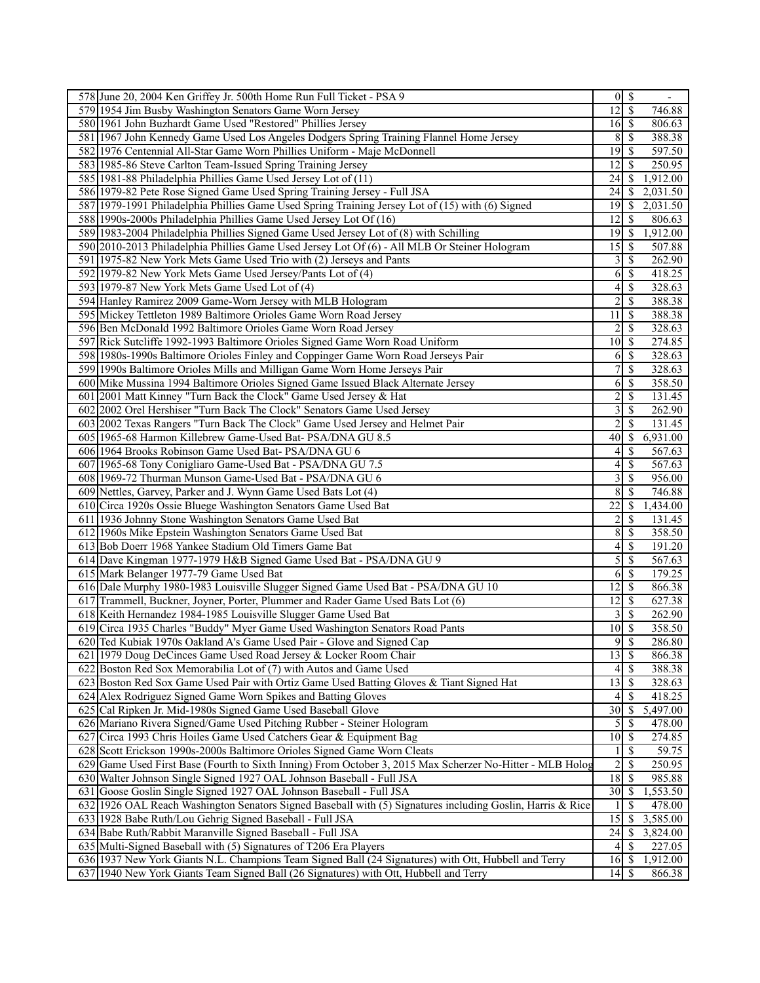|     | 578 June 20, 2004 Ken Griffey Jr. 500th Home Run Full Ticket - PSA 9                                       |                                   | $0 \mid \mathsf{S}$ |          |
|-----|------------------------------------------------------------------------------------------------------------|-----------------------------------|---------------------|----------|
|     | 579 1954 Jim Busby Washington Senators Game Worn Jersey                                                    | $12$ $\sqrt{5}$                   |                     | 746.88   |
|     | 580 1961 John Buzhardt Game Used "Restored" Phillies Jersey                                                | $16 \mid$ \$                      |                     | 806.63   |
|     | 581 1967 John Kennedy Game Used Los Angeles Dodgers Spring Training Flannel Home Jersey                    | 8                                 | S                   | 388.38   |
|     | 582 1976 Centennial All-Star Game Worn Phillies Uniform - Maje McDonnell                                   | 19                                | S                   | 597.50   |
|     | 583 1985-86 Steve Carlton Team-Issued Spring Training Jersey                                               | 12                                | -S                  | 250.95   |
|     | 585 1981-88 Philadelphia Phillies Game Used Jersey Lot of (11)                                             | 24                                | S                   | 1,912.00 |
|     | 586 1979-82 Pete Rose Signed Game Used Spring Training Jersey - Full JSA                                   | 24                                | S                   | 2,031.50 |
|     | 587 1979-1991 Philadelphia Phillies Game Used Spring Training Jersey Lot of (15) with (6) Signed           | $\overline{1}9$ \$                |                     | 2,031.50 |
|     | 588 1990s-2000s Philadelphia Phillies Game Used Jersey Lot Of (16)                                         | 12                                | S                   | 806.63   |
|     | 589 1983-2004 Philadelphia Phillies Signed Game Used Jersey Lot of (8) with Schilling                      | 19                                | -\$                 | 1,912.00 |
|     | 590 2010-2013 Philadelphia Phillies Game Used Jersey Lot Of (6) - All MLB Or Steiner Hologram              | 15                                | S                   | 507.88   |
|     | 591 1975-82 New York Mets Game Used Trio with (2) Jerseys and Pants                                        | $\frac{3}{2}$                     | -\$                 | 262.90   |
|     |                                                                                                            |                                   |                     |          |
|     | 592 1979-82 New York Mets Game Used Jersey/Pants Lot of (4)                                                | 6                                 | \$                  | 418.25   |
|     | 593 1979-87 New York Mets Game Used Lot of (4)                                                             | $\frac{4}{3}$                     | -\$                 | 328.63   |
|     | 594 Hanley Ramirez 2009 Game-Worn Jersey with MLB Hologram                                                 | 2                                 | \$                  | 388.38   |
|     | 595 Mickey Tettleton 1989 Baltimore Orioles Game Worn Road Jersey                                          | 11                                | \$                  | 388.38   |
|     | 596 Ben McDonald 1992 Baltimore Orioles Game Worn Road Jersey                                              | 2                                 | <sup>\$</sup>       | 328.63   |
|     | 597 Rick Sutcliffe 1992-1993 Baltimore Orioles Signed Game Worn Road Uniform                               | 10 <sup>1</sup>                   | - \$                | 274.85   |
|     | 598 1980s-1990s Baltimore Orioles Finley and Coppinger Game Worn Road Jerseys Pair                         | 6                                 | S                   | 328.63   |
|     | 599 1990s Baltimore Orioles Mills and Milligan Game Worn Home Jerseys Pair                                 | 7                                 | $\mathcal{S}$       | 328.63   |
|     | 600 Mike Mussina 1994 Baltimore Orioles Signed Game Issued Black Alternate Jersey                          | 6                                 | \$                  | 358.50   |
|     | 601 2001 Matt Kinney "Turn Back the Clock" Game Used Jersey & Hat                                          | $\overline{c}$                    | \$                  | 131.45   |
|     | 602 2002 Orel Hershiser "Turn Back The Clock" Senators Game Used Jersey                                    | 3                                 | \$                  | 262.90   |
|     | 603 2002 Texas Rangers "Turn Back The Clock" Game Used Jersey and Helmet Pair                              | $\overline{2}$                    | \$                  | 131.45   |
|     | 605 1965-68 Harmon Killebrew Game-Used Bat- PSA/DNA GU 8.5                                                 | 40                                | S                   | 6,931.00 |
|     | 606 1964 Brooks Robinson Game Used Bat-PSA/DNA GU 6                                                        | 4                                 | -S                  | 567.63   |
|     | 607 1965-68 Tony Conigliaro Game-Used Bat - PSA/DNA GU 7.5                                                 | 4                                 | \$                  | 567.63   |
|     | 608 1969-72 Thurman Munson Game-Used Bat - PSA/DNA GU 6                                                    | 3                                 | \$                  | 956.00   |
|     | 609 Nettles, Garvey, Parker and J. Wynn Game Used Bats Lot (4)                                             | 8                                 | -S                  | 746.88   |
|     | 610 Circa 1920s Ossie Bluege Washington Senators Game Used Bat                                             | 22                                | S                   | 1,434.00 |
|     | 611 1936 Johnny Stone Washington Senators Game Used Bat                                                    | $\overline{\mathbf{c}}$           | S                   | 131.45   |
|     | 612 1960s Mike Epstein Washington Senators Game Used Bat                                                   | 8                                 | -\$                 | 358.50   |
|     | 613 Bob Doerr 1968 Yankee Stadium Old Timers Game Bat                                                      | 4                                 | S                   | 191.20   |
|     | 614 Dave Kingman 1977-1979 H&B Signed Game Used Bat - PSA/DNA GU 9                                         | 5                                 | <sup>\$</sup>       | 567.63   |
|     | 615 Mark Belanger 1977-79 Game Used Bat                                                                    | 6                                 | -S                  | 179.25   |
|     | 616 Dale Murphy 1980-1983 Louisville Slugger Signed Game Used Bat - PSA/DNA GU 10                          | 12                                | -S                  | 866.38   |
|     | 617 Trammell, Buckner, Joyner, Porter, Plummer and Rader Game Used Bats Lot (6)                            | 12                                | -S                  | 627.38   |
|     |                                                                                                            |                                   |                     |          |
|     | 618 Keith Hernandez 1984-1985 Louisville Slugger Game Used Bat                                             | 3                                 | $\mathcal{S}$       | 262.90   |
|     | 619 Circa 1935 Charles "Buddy" Myer Game Used Washington Senators Road Pants                               | $10\overline{\smash{)}\,}$        |                     | 358.50   |
|     | 620 Ted Kubiak 1970s Oakland A's Game Used Pair - Glove and Signed Cap                                     |                                   | 9S                  | 286.80   |
|     | 621 1979 Doug DeCinces Game Used Road Jersey & Locker Room Chair                                           | 13                                | S                   | 866.38   |
| 622 | Boston Red Sox Memorabilia Lot of (7) with Autos and Game Used                                             | 4                                 | S                   | 388.38   |
| 623 | Boston Red Sox Game Used Pair with Ortiz Game Used Batting Gloves & Tiant Signed Hat                       | $\overline{13}$ \ $\overline{\$}$ |                     | 328.63   |
|     | 624 Alex Rodriguez Signed Game Worn Spikes and Batting Gloves                                              | 4                                 | S                   | 418.25   |
| 625 | Cal Ripken Jr. Mid-1980s Signed Game Used Baseball Glove                                                   | 30                                | \$                  | 5,497.00 |
|     | 626 Mariano Rivera Signed/Game Used Pitching Rubber - Steiner Hologram                                     | $\mathfrak{S}$                    | -S                  | 478.00   |
| 627 | Circa 1993 Chris Hoiles Game Used Catchers Gear & Equipment Bag                                            |                                   |                     | 274.85   |
|     | 628 Scott Erickson 1990s-2000s Baltimore Orioles Signed Game Worn Cleats                                   |                                   | S                   | 59.75    |
| 629 | Game Used First Base (Fourth to Sixth Inning) From October 3, 2015 Max Scherzer No-Hitter - MLB Holog      | $\overline{c}$                    | $\mathcal{S}$       | 250.95   |
|     | 630 Walter Johnson Single Signed 1927 OAL Johnson Baseball - Full JSA                                      | 18                                | S                   | 985.88   |
| 631 | Goose Goslin Single Signed 1927 OAL Johnson Baseball - Full JSA                                            | 30                                | \$                  | 1,553.50 |
|     | 632 1926 OAL Reach Washington Senators Signed Baseball with (5) Signatures including Goslin, Harris & Rice |                                   | S                   | 478.00   |
|     | 633 1928 Babe Ruth/Lou Gehrig Signed Baseball - Full JSA                                                   | 15                                | S                   | 3,585.00 |
|     | 634 Babe Ruth/Rabbit Maranville Signed Baseball - Full JSA                                                 | 24                                | S                   | 3,824.00 |
|     | 635 Multi-Signed Baseball with (5) Signatures of T206 Era Players                                          |                                   | $4\sqrt{3}$         | 227.05   |
|     | 636 1937 New York Giants N.L. Champions Team Signed Ball (24 Signatures) with Ott, Hubbell and Terry       |                                   |                     | 1,912.00 |
|     | 637 1940 New York Giants Team Signed Ball (26 Signatures) with Ott, Hubbell and Terry                      |                                   |                     | 866.38   |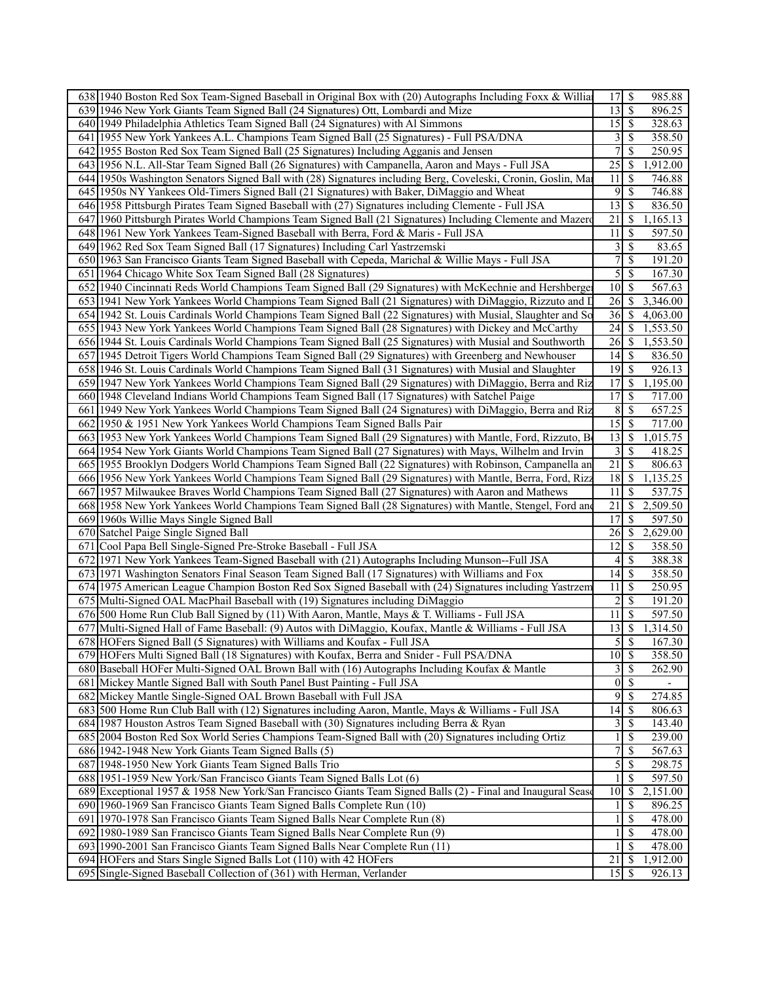| 638 1940 Boston Red Sox Team-Signed Baseball in Original Box with (20) Autographs Including Foxx & Willia                                                                     | 17                      | -\$<br>985.88                      |
|-------------------------------------------------------------------------------------------------------------------------------------------------------------------------------|-------------------------|------------------------------------|
| 639 1946 New York Giants Team Signed Ball (24 Signatures) Ott, Lombardi and Mize                                                                                              | 13                      | $\overline{\mathcal{S}}$<br>896.25 |
| 640 1949 Philadelphia Athletics Team Signed Ball (24 Signatures) with Al Simmons                                                                                              | $15 \mid$ \$            | 328.63                             |
| 1955 New York Yankees A.L. Champions Team Signed Ball (25 Signatures) - Full PSA/DNA<br>641 I                                                                                 | $\vert 3 \vert$         | <sup>\$</sup><br>358.50            |
| 642 1955 Boston Red Sox Team Signed Ball (25 Signatures) Including Agganis and Jensen                                                                                         | 7                       | \$<br>250.95                       |
| 643 1956 N.L. All-Star Team Signed Ball (26 Signatures) with Campanella, Aaron and Mays - Full JSA                                                                            | 25                      | \$<br>1,912.00                     |
| 644 1950s Washington Senators Signed Ball with (28) Signatures including Berg, Coveleski, Cronin, Goslin, Ma                                                                  | 11                      | <sup>\$</sup><br>746.88            |
| 645 1950s NY Yankees Old-Timers Signed Ball (21 Signatures) with Baker, DiMaggio and Wheat                                                                                    | 9                       | $\overline{\mathcal{S}}$<br>746.88 |
| 646 1958 Pittsburgh Pirates Team Signed Baseball with (27) Signatures including Clemente - Full JSA                                                                           | 13                      | <sup>\$</sup><br>836.50            |
| 647 1960 Pittsburgh Pirates World Champions Team Signed Ball (21 Signatures) Including Clemente and Mazero                                                                    | 21                      | \$<br>1,165.13                     |
| 648 1961 New York Yankees Team-Signed Baseball with Berra, Ford & Maris - Full JSA                                                                                            | 11                      | \$<br>597.50                       |
| 649 1962 Red Sox Team Signed Ball (17 Signatures) Including Carl Yastrzemski                                                                                                  | $\overline{\mathbf{3}}$ | \$<br>83.65                        |
| 650 1963 San Francisco Giants Team Signed Baseball with Cepeda, Marichal & Willie Mays - Full JSA                                                                             | $\overline{7}$          | $\mathbb{S}$<br>191.20             |
| 651 1964 Chicago White Sox Team Signed Ball (28 Signatures)                                                                                                                   | $\overline{5}$          | $\sqrt{S}$<br>167.30               |
| 652 1940 Cincinnati Reds World Champions Team Signed Ball (29 Signatures) with McKechnie and Hershberge                                                                       | 10 <sup>1</sup>         | -\$<br>567.63                      |
| 653 1941 New York Yankees World Champions Team Signed Ball (21 Signatures) with DiMaggio, Rizzuto and L                                                                       | 26                      | <sup>\$</sup><br>3,346.00          |
| 654 1942 St. Louis Cardinals World Champions Team Signed Ball (22 Signatures) with Musial, Slaughter and So                                                                   | 36                      | <sup>S</sup><br>4,063.00           |
| 655 1943 New York Yankees World Champions Team Signed Ball (28 Signatures) with Dickey and McCarthy                                                                           | 24                      | 1,553.50<br>\$                     |
| 656 1944 St. Louis Cardinals World Champions Team Signed Ball (25 Signatures) with Musial and Southworth                                                                      | 26                      | -S<br>1,553.50                     |
| 657 1945 Detroit Tigers World Champions Team Signed Ball (29 Signatures) with Greenberg and Newhouser                                                                         | 14                      | $\mathbb{S}$<br>836.50             |
| 658 1946 St. Louis Cardinals World Champions Team Signed Ball (31 Signatures) with Musial and Slaughter                                                                       | 19                      | <sup>\$</sup><br>926.13            |
| 659 1947 New York Yankees World Champions Team Signed Ball (29 Signatures) with DiMaggio, Berra and Riz                                                                       | 17                      | \$<br>1,195.00                     |
| 660 1948 Cleveland Indians World Champions Team Signed Ball (17 Signatures) with Satchel Paige                                                                                | 17                      | -S<br>717.00                       |
| 661 1949 New York Yankees World Champions Team Signed Ball (24 Signatures) with DiMaggio, Berra and Riz                                                                       | 8 <sup>1</sup>          | $\mathbb{S}$<br>657.25             |
| 662 1950 & 1951 New York Yankees World Champions Team Signed Balls Pair                                                                                                       | 15                      | $\mathcal{S}$<br>717.00            |
| 663 1953 New York Yankees World Champions Team Signed Ball (29 Signatures) with Mantle, Ford, Rizzuto, Bo                                                                     | 13                      | 1,015.75<br>\$                     |
| 664 1954 New York Giants World Champions Team Signed Ball (27 Signatures) with Mays, Wilhelm and Irvin                                                                        | 3                       | <sup>\$</sup><br>418.25            |
| 665 1955 Brooklyn Dodgers World Champions Team Signed Ball (22 Signatures) with Robinson, Campanella an                                                                       | 21                      | <sup>\$</sup><br>806.63            |
| 666 1956 New York Yankees World Champions Team Signed Ball (29 Signatures) with Mantle, Berra, Ford, Rizz                                                                     | 18                      | 1,135.25<br><sup>S</sup>           |
| 667 1957 Milwaukee Braves World Champions Team Signed Ball (27 Signatures) with Aaron and Mathews                                                                             | 11                      | <sup>\$</sup><br>537.75            |
| 668 1958 New York Yankees World Champions Team Signed Ball (28 Signatures) with Mantle, Stengel, Ford and                                                                     | 21                      | <sup>\$</sup><br>2,509.50          |
| 669 1960s Willie Mays Single Signed Ball                                                                                                                                      | 17                      | $\mathbb{S}$<br>597.50             |
| 670 Satchel Paige Single Signed Ball                                                                                                                                          | 26                      | 2,629.00<br>\$                     |
| Cool Papa Bell Single-Signed Pre-Stroke Baseball - Full JSA<br>671                                                                                                            | 2                       | \$<br>358.50                       |
| 672 1971 New York Yankees Team-Signed Baseball with (21) Autographs Including Munson--Full JSA                                                                                | 4                       | \$<br>388.38                       |
| 673 1971 Washington Senators Final Season Team Signed Ball (17 Signatures) with Williams and Fox                                                                              | 14<br>11                | -S<br>358.50<br><sup>\$</sup>      |
| 674 1975 American League Champion Boston Red Sox Signed Baseball with (24) Signatures including Yastrzem                                                                      | $\overline{c}$          | 250.95<br>$\overline{\mathcal{S}}$ |
| 675 Multi-Signed OAL MacPhail Baseball with (19) Signatures including DiMaggio<br>676 500 Home Run Club Ball Signed by (11) With Aaron, Mantle, Mays & T. Williams - Full JSA | 11                      | 191.20<br>$\mathbb{S}$             |
| 677 Multi-Signed Hall of Fame Baseball: (9) Autos with DiMaggio, Koufax, Mantle & Williams - Full JSA                                                                         | 13                      | 597.50<br>\$<br>1,314.50           |
| 678 HOFers Signed Ball (5 Signatures) with Williams and Koufax - Full JSA                                                                                                     | $\overline{5}$          | $\mathcal{S}$<br>167.30            |
| 679 HOFers Multi Signed Ball (18 Signatures) with Koufax, Berra and Snider - Full PSA/DNA                                                                                     | $10 \mid$ \$            | 358.50                             |
| 680 Baseball HOFer Multi-Signed OAL Brown Ball with (16) Autographs Including Koufax & Mantle                                                                                 | 3                       | \$<br>262.90                       |
| 681 Mickey Mantle Signed Ball with South Panel Bust Painting - Full JSA                                                                                                       | 0                       | $\mathbb{S}$                       |
| 682 Mickey Mantle Single-Signed OAL Brown Baseball with Full JSA                                                                                                              | 9                       | -S<br>274.85                       |
| 683 500 Home Run Club Ball with (12) Signatures including Aaron, Mantle, Mays & Williams - Full JSA                                                                           | 14                      | 806.63<br>\$                       |
| 684 1987 Houston Astros Team Signed Baseball with (30) Signatures including Berra & Ryan                                                                                      | $\mathfrak{Z}$          | \$<br>143.40                       |
| 685 2004 Boston Red Sox World Series Champions Team-Signed Ball with (20) Signatures including Ortiz                                                                          | $\mathbf{1}$            | $\mathbb{S}$<br>239.00             |
| 686 1942-1948 New York Giants Team Signed Balls (5)                                                                                                                           | 7                       | <sup>\$</sup><br>567.63            |
| 687 1948-1950 New York Giants Team Signed Balls Trio                                                                                                                          | $\overline{5}$          | 298.75<br><sup>\$</sup>            |
| 688 1951-1959 New York/San Francisco Giants Team Signed Balls Lot (6)                                                                                                         | 1                       | 597.50<br><sup>\$</sup>            |
| 689 Exceptional 1957 & 1958 New York/San Francisco Giants Team Signed Balls (2) - Final and Inaugural Sease                                                                   | 10                      | 2,151.00<br>S                      |
| 690 1960-1969 San Francisco Giants Team Signed Balls Complete Run (10)                                                                                                        | 1                       | 896.25<br>\$                       |
| 691 1970-1978 San Francisco Giants Team Signed Balls Near Complete Run (8)                                                                                                    | $\mathbf{1}$            | 478.00<br><sup>\$</sup>            |
| 692 1980-1989 San Francisco Giants Team Signed Balls Near Complete Run (9)                                                                                                    | 1                       | 478.00<br><sup>\$</sup>            |
| 693 1990-2001 San Francisco Giants Team Signed Balls Near Complete Run (11)                                                                                                   |                         | <sup>\$</sup><br>478.00            |
| 694 HOFers and Stars Single Signed Balls Lot (110) with 42 HOFers                                                                                                             | 21                      | 1,912.00<br><sup>\$</sup>          |
| 695 Single-Signed Baseball Collection of (361) with Herman, Verlander                                                                                                         | 15                      | 926.13<br>-S                       |
|                                                                                                                                                                               |                         |                                    |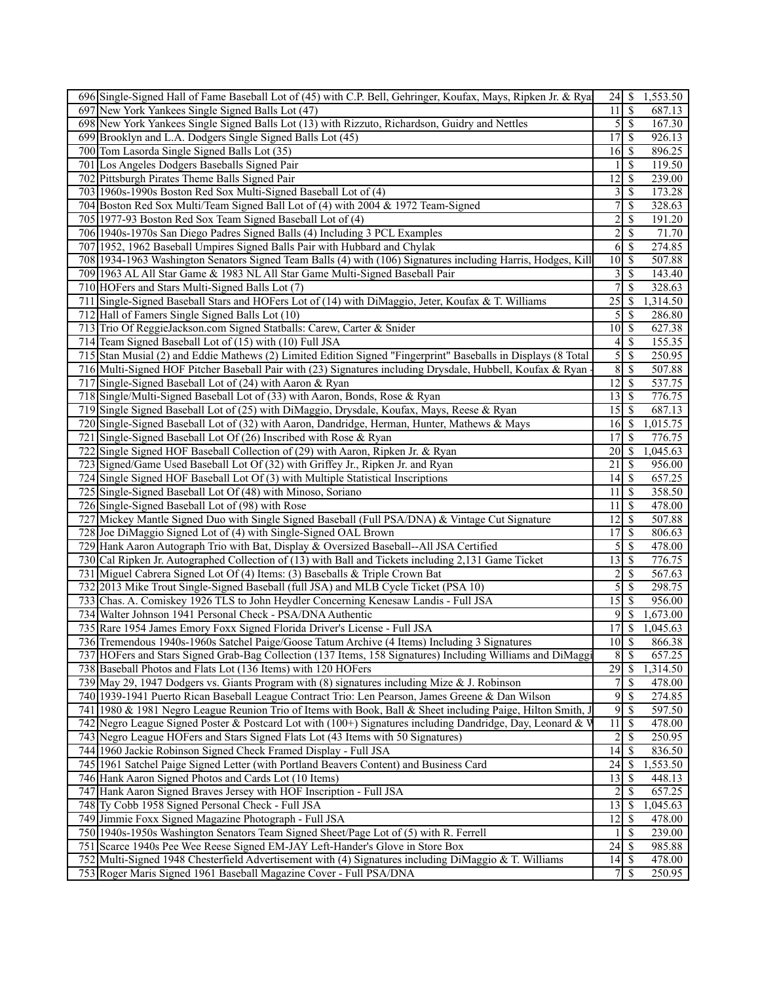| 696 Single-Signed Hall of Fame Baseball Lot of (45) with C.P. Bell, Gehringer, Koufax, Mays, Ripken Jr. & Rya                                                               | 24                                            | \$<br>1,553.50                       |
|-----------------------------------------------------------------------------------------------------------------------------------------------------------------------------|-----------------------------------------------|--------------------------------------|
| 697 New York Yankees Single Signed Balls Lot (47)                                                                                                                           | 11                                            | $\overline{\mathcal{S}}$<br>687.13   |
| 698 New York Yankees Single Signed Balls Lot (13) with Rizzuto, Richardson, Guidry and Nettles                                                                              | $5 \overline{\smash{)}\,}$                    | 167.30                               |
| 699 Brooklyn and L.A. Dodgers Single Signed Balls Lot (45)                                                                                                                  | 17                                            | \$<br>926.13                         |
| 700 Tom Lasorda Single Signed Balls Lot (35)                                                                                                                                | 16 <sub>l</sub>                               | -\$<br>896.25                        |
| 701 Los Angeles Dodgers Baseballs Signed Pair                                                                                                                               |                                               | \$<br>119.50                         |
| 702 Pittsburgh Pirates Theme Balls Signed Pair                                                                                                                              | 12                                            | \$<br>239.00                         |
| 703 1960s-1990s Boston Red Sox Multi-Signed Baseball Lot of (4)                                                                                                             | $\frac{3}{3}$                                 | <sup>\$</sup><br>173.28              |
| 704 Boston Red Sox Multi/Team Signed Ball Lot of (4) with 2004 & 1972 Team-Signed                                                                                           | $\overline{7}$                                | <sup>\$</sup><br>328.63              |
| 705 1977-93 Boston Red Sox Team Signed Baseball Lot of (4)                                                                                                                  | $\overline{c}$                                | \$<br>191.20                         |
| 706 1940s-1970s San Diego Padres Signed Balls (4) Including 3 PCL Examples                                                                                                  | 2                                             | $\mathbb{S}$<br>71.70                |
| 707 1952, 1962 Baseball Umpires Signed Balls Pair with Hubbard and Chylak                                                                                                   | 6                                             | \$<br>274.85                         |
| 708 1934-1963 Washington Senators Signed Team Balls (4) with (106) Signatures including Harris, Hodges, Kill                                                                | 10 <sup>1</sup>                               | $\mathcal{S}$<br>507.88              |
| 709 1963 AL All Star Game & 1983 NL All Star Game Multi-Signed Baseball Pair                                                                                                | $\overline{3}$                                | $\sqrt{S}$<br>143.40                 |
| 710 HOFers and Stars Multi-Signed Balls Lot (7)                                                                                                                             | $\tau$                                        | $\overline{\mathcal{S}}$<br>328.63   |
| 711 Single-Signed Baseball Stars and HOFers Lot of (14) with DiMaggio, Jeter, Koufax & T. Williams                                                                          | 25                                            | \$<br>1,314.50                       |
| 712 Hall of Famers Single Signed Balls Lot (10)                                                                                                                             | 5                                             | S<br>286.80                          |
| 713 Trio Of ReggieJackson.com Signed Statballs: Carew, Carter & Snider                                                                                                      | 10                                            | -\$<br>627.38                        |
| 714 Team Signed Baseball Lot of (15) with (10) Full JSA                                                                                                                     | $\left 4\right $                              | \$<br>155.35                         |
| 715 Stan Musial (2) and Eddie Mathews (2) Limited Edition Signed "Fingerprint" Baseballs in Displays (8 Total                                                               | 5                                             | \$<br>250.95                         |
| 716 Multi-Signed HOF Pitcher Baseball Pair with (23) Signatures including Drysdale, Hubbell, Koufax & Ryan                                                                  | $\bf 8$                                       | $\mathbb{S}$<br>507.88               |
| 717 Single-Signed Baseball Lot of (24) with Aaron & Ryan                                                                                                                    | 12                                            | \$<br>537.75                         |
| 718 Single/Multi-Signed Baseball Lot of (33) with Aaron, Bonds, Rose & Ryan                                                                                                 | 13                                            | \$<br>776.75                         |
| 719 Single Signed Baseball Lot of (25) with DiMaggio, Drysdale, Koufax, Mays, Reese & Ryan                                                                                  | 15                                            | $\mathbb{S}$<br>687.13               |
| 720 Single-Signed Baseball Lot of (32) with Aaron, Dandridge, Herman, Hunter, Mathews & Mays                                                                                | 16                                            | $\mathbb{S}$<br>1,015.75             |
| 721 Single-Signed Baseball Lot Of (26) Inscribed with Rose & Ryan                                                                                                           | 17                                            | $\mathbb{S}$<br>776.75               |
| 722 Single Signed HOF Baseball Collection of (29) with Aaron, Ripken Jr. & Ryan                                                                                             | 20                                            | <sup>\$</sup><br>1,045.63            |
| 723 Signed/Game Used Baseball Lot Of (32) with Griffey Jr., Ripken Jr. and Ryan                                                                                             | 21                                            | S<br>956.00                          |
| 724 Single Signed HOF Baseball Lot Of (3) with Multiple Statistical Inscriptions                                                                                            | 14                                            | \$<br>657.25                         |
| 725 Single-Signed Baseball Lot Of (48) with Minoso, Soriano                                                                                                                 | 11                                            | <sup>\$</sup><br>358.50              |
| 726 Single-Signed Baseball Lot of (98) with Rose                                                                                                                            | 11                                            | \$<br>478.00                         |
| 727 Mickey Mantle Signed Duo with Single Signed Baseball (Full PSA/DNA) & Vintage Cut Signature                                                                             | 12                                            | $\overline{\mathcal{S}}$<br>507.88   |
| 728 Joe DiMaggio Signed Lot of (4) with Single-Signed OAL Brown                                                                                                             | 17 <sup>1</sup>                               | $\mathbb{S}$<br>806.63               |
| 729 Hank Aaron Autograph Trio with Bat, Display & Oversized Baseball--All JSA Certified                                                                                     | 5                                             | \$<br>478.00                         |
| 730 Cal Ripken Jr. Autographed Collection of (13) with Ball and Tickets including 2,131 Game Ticket                                                                         | 13                                            | $\mathbb{S}$<br>776.75               |
| 731 Miguel Cabrera Signed Lot Of (4) Items: (3) Baseballs & Triple Crown Bat                                                                                                | $\overline{\mathbf{c}}$                       | \$<br>567.63                         |
| 732 2013 Mike Trout Single-Signed Baseball (full JSA) and MLB Cycle Ticket (PSA 10)                                                                                         | 5                                             | \$<br>298.75                         |
| 733 Chas. A. Comiskey 1926 TLS to John Heydler Concerning Kenesaw Landis - Full JSA                                                                                         |                                               | 956.00                               |
| 734 Walter Johnson 1941 Personal Check - PSA/DNA Authentic                                                                                                                  |                                               | 1,673.00                             |
| 735 Rare 1954 James Emory Foxx Signed Florida Driver's License - Full JSA                                                                                                   | 17                                            | $\overline{\mathcal{S}}$<br>1.045.63 |
| 736 Tremendous 1940s-1960s Satchel Paige/Goose Tatum Archive (4 Items) Including 3 Signatures                                                                               | $10 \mid \mathsf{S}$                          | 866.38                               |
| 737 HOFers and Stars Signed Grab-Bag Collection (137 Items, 158 Signatures) Including Williams and DiMaggi                                                                  | 8                                             | \$<br>657.25                         |
| 738 Baseball Photos and Flats Lot (136 Items) with 120 HOFers                                                                                                               | 29                                            | $\mathbb{S}$<br>1,314.50             |
|                                                                                                                                                                             | 7s                                            | 478.00                               |
| 739 May 29, 1947 Dodgers vs. Giants Program with (8) signatures including Mize & J. Robinson                                                                                |                                               |                                      |
| 740 1939-1941 Puerto Rican Baseball League Contract Trio: Len Pearson, James Greene & Dan Wilson                                                                            | $\overline{9}$                                | $\mathcal{S}$<br>274.85              |
| 741 1980 & 1981 Negro League Reunion Trio of Items with Book, Ball & Sheet including Paige, Hilton Smith, J                                                                 | 9                                             | \$<br>597.50                         |
| 742 Negro League Signed Poster & Postcard Lot with (100+) Signatures including Dandridge, Day, Leonard & V                                                                  | 11                                            | $\mathbb{S}$<br>478.00               |
| 743 Negro League HOFers and Stars Signed Flats Lot (43 Items with 50 Signatures)                                                                                            | $\overline{\mathbf{c}}$                       | \$<br>250.95                         |
| 744 1960 Jackie Robinson Signed Check Framed Display - Full JSA                                                                                                             | 14                                            | $\mathbb{S}$<br>836.50               |
| 745 1961 Satchel Paige Signed Letter (with Portland Beavers Content) and Business Card                                                                                      | $24 \mid$ \$                                  | 1,553.50                             |
| 746 Hank Aaron Signed Photos and Cards Lot (10 Items)                                                                                                                       | 13                                            | $\mathcal{S}$<br>448.13              |
| 747 Hank Aaron Signed Braves Jersey with HOF Inscription - Full JSA                                                                                                         | 2                                             | \$<br>657.25                         |
| 748 Ty Cobb 1958 Signed Personal Check - Full JSA                                                                                                                           | 13                                            | $\mathbb{S}$<br>1,045.63             |
| 749 Jimmie Foxx Signed Magazine Photograph - Full JSA                                                                                                                       | 12                                            | \$<br>478.00                         |
| 750 1940s-1950s Washington Senators Team Signed Sheet/Page Lot of (5) with R. Ferrell                                                                                       |                                               | $\mathbb{S}$<br>239.00               |
| 751 Scarce 1940s Pee Wee Reese Signed EM-JAY Left-Hander's Glove in Store Box                                                                                               | $24 \overline{\smash{)}\,}$                   | 985.88                               |
| 752 Multi-Signed 1948 Chesterfield Advertisement with (4) Signatures including DiMaggio & T. Williams<br>753 Roger Maris Signed 1961 Baseball Magazine Cover - Full PSA/DNA | $14 \overline{\smash{)}\,}$<br>7 <sup>1</sup> | 478.00<br>$\mathbb{S}$<br>250.95     |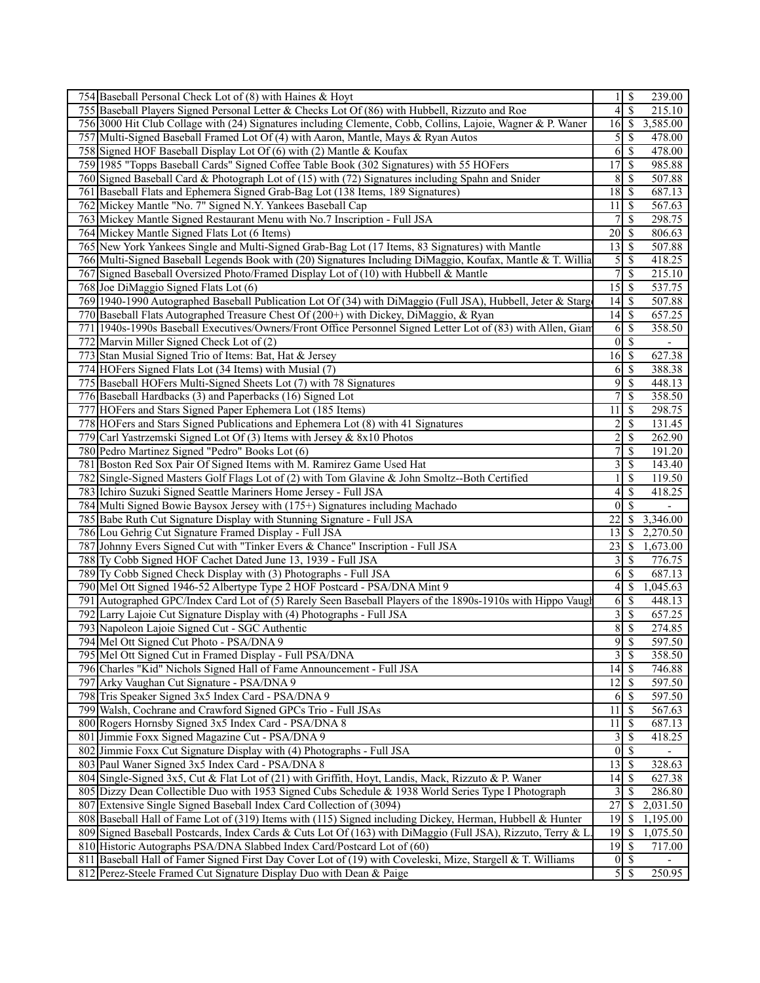| 754 Baseball Personal Check Lot of (8) with Haines & Hoyt                                                                                                                         | 11                          | $\mathbb{S}$<br>239.00    |
|-----------------------------------------------------------------------------------------------------------------------------------------------------------------------------------|-----------------------------|---------------------------|
| 755 Baseball Players Signed Personal Letter & Checks Lot Of (86) with Hubbell, Rizzuto and Roe                                                                                    | $\overline{4}$              | \$<br>215.10              |
| 756 3000 Hit Club Collage with (24) Signatures including Clemente, Cobb, Collins, Lajoie, Wagner & P. Waner                                                                       | 16                          | \$<br>3,585.00            |
| 757 Multi-Signed Baseball Framed Lot Of (4) with Aaron, Mantle, Mays & Ryan Autos                                                                                                 | $\mathcal{S}$               | \$<br>478.00              |
| 758 Signed HOF Baseball Display Lot Of (6) with (2) Mantle & Koufax                                                                                                               | 61                          | \$<br>478.00              |
| 759 1985 "Topps Baseball Cards" Signed Coffee Table Book (302 Signatures) with 55 HOFers                                                                                          | 17                          | \$<br>985.88              |
| 760 Signed Baseball Card & Photograph Lot of (15) with (72) Signatures including Spahn and Snider                                                                                 | 8                           | \$<br>507.88              |
| 761 Baseball Flats and Ephemera Signed Grab-Bag Lot (138 Items, 189 Signatures)                                                                                                   | 18                          | \$<br>687.13              |
| 762 Mickey Mantle "No. 7" Signed N.Y. Yankees Baseball Cap                                                                                                                        | 11                          | 567.63<br>8               |
| 763 Mickey Mantle Signed Restaurant Menu with No.7 Inscription - Full JSA                                                                                                         | $\overline{7}$              | \$<br>298.75              |
| 764 Mickey Mantle Signed Flats Lot (6 Items)                                                                                                                                      | 20                          | \$<br>806.63              |
| 765 New York Yankees Single and Multi-Signed Grab-Bag Lot (17 Items, 83 Signatures) with Mantle                                                                                   | 13                          | \$<br>507.88              |
| 766 Multi-Signed Baseball Legends Book with (20) Signatures Including DiMaggio, Koufax, Mantle & T. Willia                                                                        |                             | $\mathbb{S}$<br>418.25    |
|                                                                                                                                                                                   | $\mathfrak{S}$              |                           |
| 767 Signed Baseball Oversized Photo/Framed Display Lot of (10) with Hubbell & Mantle                                                                                              | 7                           | \$<br>215.10              |
| 768 Joe DiMaggio Signed Flats Lot (6)                                                                                                                                             | $15 \overline{\smash{)}\,}$ | 537.75                    |
| 769 1940-1990 Autographed Baseball Publication Lot Of (34) with DiMaggio (Full JSA), Hubbell, Jeter & Starg                                                                       | 14                          | \$<br>507.88              |
| 770 Baseball Flats Autographed Treasure Chest Of (200+) with Dickey, DiMaggio, & Ryan                                                                                             | 14                          | \$<br>657.25              |
| 771   1940s-1990s Baseball Executives/Owners/Front Office Personnel Signed Letter Lot of (83) with Allen, Giam                                                                    | 6                           | \$<br>358.50              |
| 772 Marvin Miller Signed Check Lot of (2)                                                                                                                                         | $\overline{0}$              | $\mathcal{S}$             |
| 773 Stan Musial Signed Trio of Items: Bat, Hat & Jersey                                                                                                                           | $16$ \$                     | 627.38                    |
| 774 HOFers Signed Flats Lot (34 Items) with Musial (7)                                                                                                                            | 61                          | \$<br>388.38              |
| 775 Baseball HOFers Multi-Signed Sheets Lot (7) with 78 Signatures                                                                                                                | 9                           | $\mathbb{S}$<br>448.13    |
| 776 Baseball Hardbacks (3) and Paperbacks (16) Signed Lot                                                                                                                         | 7 <sup>1</sup>              | \$<br>358.50              |
| 777 HOFers and Stars Signed Paper Ephemera Lot (185 Items)                                                                                                                        | 11                          | \$<br>298.75              |
| 778 HOFers and Stars Signed Publications and Ephemera Lot (8) with 41 Signatures                                                                                                  | $\overline{2}$              | \$<br>131.45              |
| 779 Carl Yastrzemski Signed Lot Of (3) Items with Jersey & 8x10 Photos                                                                                                            | $\overline{2}$              | \$<br>262.90              |
| 780 Pedro Martinez Signed "Pedro" Books Lot (6)                                                                                                                                   | 7                           | \$<br>191.20              |
| 781 Boston Red Sox Pair Of Signed Items with M. Ramirez Game Used Hat                                                                                                             | $\overline{\mathbf{3}}$     | \$<br>143.40              |
| 782 Single-Signed Masters Golf Flags Lot of (2) with Tom Glavine & John Smoltz--Both Certified                                                                                    | $\mathbf{1}$                | \$<br>119.50              |
| 783 Ichiro Suzuki Signed Seattle Mariners Home Jersey - Full JSA                                                                                                                  | $\vert 4 \vert$             | \$<br>418.25              |
| 784 Multi Signed Bowie Baysox Jersey with (175+) Signatures including Machado                                                                                                     | $\theta$                    | $\overline{\mathcal{S}}$  |
|                                                                                                                                                                                   | 22                          | <sup>\$</sup>             |
| 785 Babe Ruth Cut Signature Display with Stunning Signature - Full JSA                                                                                                            |                             | 3,346.00                  |
| 786 Lou Gehrig Cut Signature Framed Display - Full JSA                                                                                                                            | 13                          | <sup>\$</sup><br>2,270.50 |
| 787 Johnny Evers Signed Cut with "Tinker Evers & Chance" Inscription - Full JSA                                                                                                   | 23                          | \$<br>1,673.00            |
| 788 Ty Cobb Signed HOF Cachet Dated June 13, 1939 - Full JSA                                                                                                                      | $\vert 3 \vert$             | \$<br>776.75              |
| 789 Ty Cobb Signed Check Display with (3) Photographs - Full JSA                                                                                                                  | 6                           | \$<br>687.13              |
| 790 Mel Ott Signed 1946-52 Albertype Type 2 HOF Postcard - PSA/DNA Mint 9                                                                                                         | 4 <sup>1</sup>              | \$<br>1,045.63            |
| 791 Autographed GPC/Index Card Lot of (5) Rarely Seen Baseball Players of the 1890s-1910s with Hippo Vaugh                                                                        | 6                           | <sup>\$</sup><br>448.13   |
| 792 Larry Lajoie Cut Signature Display with (4) Photographs - Full JSA                                                                                                            | $\frac{3}{ }$               | \$<br>657.25              |
|                                                                                                                                                                                   |                             |                           |
| 793 Napoleon Lajoie Signed Cut - SGC Authentic                                                                                                                                    | 8                           | \$<br>274.85              |
| 794 Mel Ott Signed Cut Photo - PSA/DNA 9                                                                                                                                          | 9                           | \$<br>597.50              |
| 795 Mel Ott Signed Cut in Framed Display - Full PSA/DNA                                                                                                                           | $3 \mid$ \$                 | 358.50                    |
| 796 Charles "Kid" Nichols Signed Hall of Fame Announcement - Full JSA                                                                                                             | $\overline{14}$ \$          | 746.88                    |
| 797 Arky Vaughan Cut Signature - PSA/DNA 9                                                                                                                                        |                             | 597.50                    |
|                                                                                                                                                                                   | 6 <sup>1</sup>              | \$<br>597.50              |
| 798 Tris Speaker Signed 3x5 Index Card - PSA/DNA 9                                                                                                                                |                             | -S                        |
| 799 Walsh, Cochrane and Crawford Signed GPCs Trio - Full JSAs                                                                                                                     | 11                          | 567.63                    |
| 800 Rogers Hornsby Signed 3x5 Index Card - PSA/DNA 8                                                                                                                              | $\overline{11}$             | \$<br>687.13              |
| 801 Jimmie Foxx Signed Magazine Cut - PSA/DNA 9                                                                                                                                   | $\overline{3}$              | \$<br>418.25              |
| 802 Jimmie Foxx Cut Signature Display with (4) Photographs - Full JSA                                                                                                             | $\overline{0}$              | \$                        |
| 803 Paul Waner Signed 3x5 Index Card - PSA/DNA 8                                                                                                                                  | $13 \mid$ \$                | 328.63                    |
| 804 Single-Signed 3x5, Cut & Flat Lot of (21) with Griffith, Hoyt, Landis, Mack, Rizzuto & P. Waner                                                                               | 14                          | \$<br>627.38              |
| 805 Dizzy Dean Collectible Duo with 1953 Signed Cubs Schedule & 1938 World Series Type I Photograph                                                                               | 3                           | \$<br>286.80              |
| 807 Extensive Single Signed Baseball Index Card Collection of (3094)                                                                                                              | $\overline{27}$             | $\sqrt{\ }$<br>2,031.50   |
| 808 Baseball Hall of Fame Lot of (319) Items with (115) Signed including Dickey, Herman, Hubbell & Hunter                                                                         | 19                          | \$<br>1,195.00            |
| 809 Signed Baseball Postcards, Index Cards & Cuts Lot Of (163) with DiMaggio (Full JSA), Rizzuto, Terry & L                                                                       | 19                          | \$<br>1,075.50            |
| 810 Historic Autographs PSA/DNA Slabbed Index Card/Postcard Lot of (60)                                                                                                           |                             | 717.00                    |
| 811 Baseball Hall of Famer Signed First Day Cover Lot of (19) with Coveleski, Mize, Stargell & T. Williams<br>812 Perez-Steele Framed Cut Signature Display Duo with Dean & Paige | $0 \mid \text{\$\$\}$<br>5S | 250.95                    |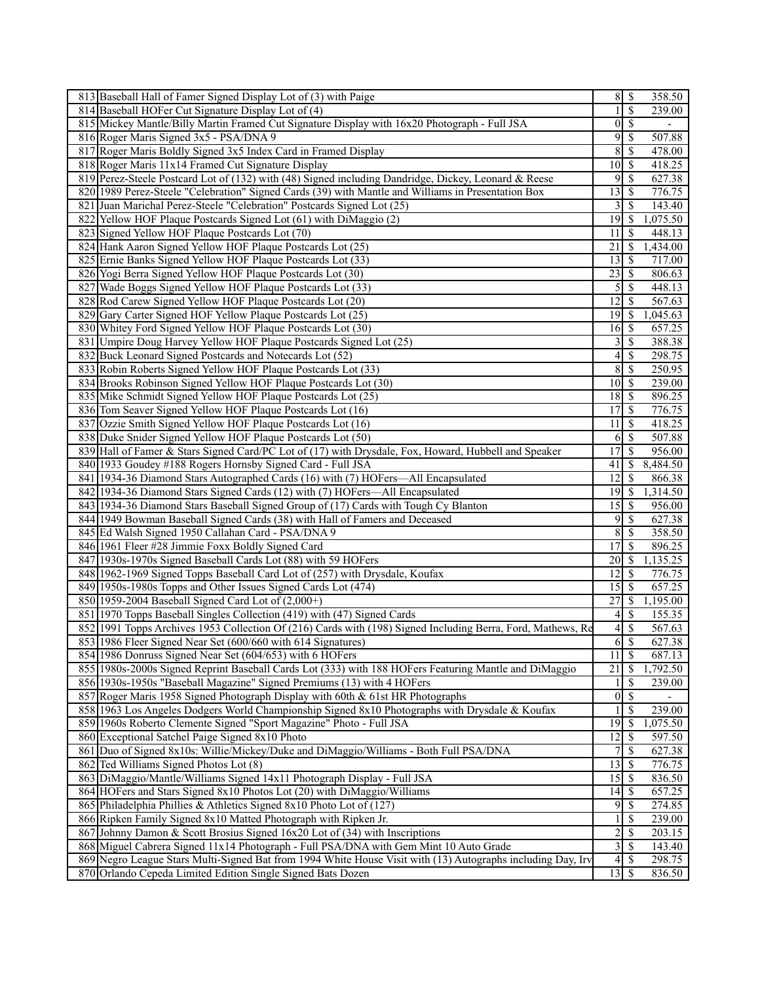| 813 Baseball Hall of Famer Signed Display Lot of (3) with Paige                                                                                                                        |                    | $8 \mid S$                                | 358.50           |
|----------------------------------------------------------------------------------------------------------------------------------------------------------------------------------------|--------------------|-------------------------------------------|------------------|
| 814 Baseball HOFer Cut Signature Display Lot of (4)                                                                                                                                    | 1                  | \$                                        | 239.00           |
| 815 Mickey Mantle/Billy Martin Framed Cut Signature Display with 16x20 Photograph - Full JSA                                                                                           | $\vert 0 \vert$    | $\sqrt{s}$                                | $\overline{a}$   |
| 816 Roger Maris Signed 3x5 - PSA/DNA 9                                                                                                                                                 | 9                  | \$                                        | 507.88           |
| 817 Roger Maris Boldly Signed 3x5 Index Card in Framed Display                                                                                                                         | 8                  | \$                                        | 478.00           |
| 818 Roger Maris 11x14 Framed Cut Signature Display                                                                                                                                     | $10 \mid S$        |                                           | 418.25           |
| 819 Perez-Steele Postcard Lot of (132) with (48) Signed including Dandridge, Dickey, Leonard & Reese                                                                                   | 9                  | -\$                                       | 627.38           |
| 820 1989 Perez-Steele "Celebration" Signed Cards (39) with Mantle and Williams in Presentation Box                                                                                     | 13                 | -S                                        | 776.75           |
| 821 Juan Marichal Perez-Steele "Celebration" Postcards Signed Lot (25)                                                                                                                 | 3                  | <sup>5</sup>                              | 143.40           |
| 822 Yellow HOF Plaque Postcards Signed Lot (61) with DiMaggio (2)                                                                                                                      | 19                 | - \$                                      | 1,075.50         |
| 823 Signed Yellow HOF Plaque Postcards Lot (70)                                                                                                                                        | 11                 | \$                                        | 448.13           |
| 824 Hank Aaron Signed Yellow HOF Plaque Postcards Lot (25)                                                                                                                             | 21                 | -\$                                       | 1,434.00         |
| 825 Ernie Banks Signed Yellow HOF Plaque Postcards Lot (33)                                                                                                                            | 13                 | - \$                                      | 717.00           |
| 826 Yogi Berra Signed Yellow HOF Plaque Postcards Lot (30)                                                                                                                             | 23                 | S                                         | 806.63           |
| 827 Wade Boggs Signed Yellow HOF Plaque Postcards Lot (33)                                                                                                                             | 5                  | 8                                         | 448.13           |
| 828 Rod Carew Signed Yellow HOF Plaque Postcards Lot (20)                                                                                                                              | 12                 | \$                                        | 567.63           |
| 829 Gary Carter Signed HOF Yellow Plaque Postcards Lot (25)                                                                                                                            | 19                 | -S                                        | 1,045.63         |
| 830 Whitey Ford Signed Yellow HOF Plaque Postcards Lot (30)                                                                                                                            | 16                 | l \$                                      | 657.25           |
| 831 Umpire Doug Harvey Yellow HOF Plaque Postcards Signed Lot (25)                                                                                                                     | 3                  | $\mathbb{S}$                              | 388.38           |
| 832 Buck Leonard Signed Postcards and Notecards Lot (52)                                                                                                                               | 4                  | S                                         | 298.75           |
| 833 Robin Roberts Signed Yellow HOF Plaque Postcards Lot (33)                                                                                                                          | 8                  | -\$                                       | 250.95           |
| 834 Brooks Robinson Signed Yellow HOF Plaque Postcards Lot (30)                                                                                                                        |                    |                                           | 239.00           |
| 835 Mike Schmidt Signed Yellow HOF Plaque Postcards Lot (25)                                                                                                                           | 18                 | $\boldsymbol{\mathsf{S}}$                 | 896.25           |
| 836 Tom Seaver Signed Yellow HOF Plaque Postcards Lot (16)                                                                                                                             | 17                 | - \$                                      | 776.75           |
| 837 Ozzie Smith Signed Yellow HOF Plaque Postcards Lot (16)                                                                                                                            | 11                 | -S                                        | 418.25           |
| 838 Duke Snider Signed Yellow HOF Plaque Postcards Lot (50)                                                                                                                            | 6                  | <sup>\$</sup>                             | 507.88           |
| 839 Hall of Famer & Stars Signed Card/PC Lot of (17) with Drysdale, Fox, Howard, Hubbell and Speaker                                                                                   | 17                 | -S                                        | 956.00           |
| 840 1933 Goudey #188 Rogers Hornsby Signed Card - Full JSA                                                                                                                             | 41                 | S                                         | 8,484.50         |
| 841 1934-36 Diamond Stars Autographed Cards (16) with (7) HOFers—All Encapsulated                                                                                                      | 12                 | S                                         | 866.38           |
| 842 1934-36 Diamond Stars Signed Cards (12) with (7) HOFers—All Encapsulated                                                                                                           | $19$ $\sqrt{5}$    |                                           | 1,314.50         |
| 843 1934-36 Diamond Stars Baseball Signed Group of (17) Cards with Tough Cy Blanton                                                                                                    | 15                 | -S                                        | 956.00           |
| 844 1949 Bowman Baseball Signed Cards (38) with Hall of Famers and Deceased                                                                                                            | 9                  | <sup>\$</sup>                             | 627.38           |
| 845 Ed Walsh Signed 1950 Callahan Card - PSA/DNA 9                                                                                                                                     | 8                  | -\$                                       | 358.50           |
| 846 1961 Fleer #28 Jimmie Foxx Boldly Signed Card                                                                                                                                      | 17                 | \$                                        | 896.25           |
| 847 1930s-1970s Signed Baseball Cards Lot (88) with 59 HOFers                                                                                                                          | 20                 | - \$                                      | 1,135.25         |
| 848 1962-1969 Signed Topps Baseball Card Lot of (257) with Drysdale, Koufax                                                                                                            | 12                 | -\$                                       | 776.75           |
| 849 1950s-1980s Topps and Other Issues Signed Cards Lot (474)                                                                                                                          | 15                 | <sup>\$</sup>                             | 657.25           |
| 850 1959-2004 Baseball Signed Card Lot of (2,000+)                                                                                                                                     | 27                 | -\$                                       | 1,195.00         |
|                                                                                                                                                                                        |                    |                                           |                  |
| 851 1970 Topps Baseball Singles Collection (419) with (47) Signed Cards<br>852 1991 Topps Archives 1953 Collection Of (216) Cards with (198) Signed Including Berra, Ford, Mathews, Re | 4                  | <sup>\$</sup><br>$\overline{\mathcal{S}}$ | 155.35           |
|                                                                                                                                                                                        | 4                  |                                           | 567.63           |
| 853 1986 Fleer Signed Near Set (600/660 with 614 Signatures)<br>854 1986 Donruss Signed Near Set (604/653) with 6 HOFers                                                               | 6<br>11            | $\overline{\mathcal{S}}$<br>$\mathcal{S}$ | 627.38<br>687.13 |
|                                                                                                                                                                                        |                    |                                           |                  |
| 855 1980s-2000s Signed Reprint Baseball Cards Lot (333) with 188 HOFers Featuring Mantle and DiMaggio                                                                                  | 21                 | \$                                        | 1,792.50         |
| 856 1930s-1950s "Baseball Magazine" Signed Premiums (13) with 4 HOFers                                                                                                                 |                    | <sup>\$</sup>                             | 239.00           |
| 857 Roger Maris 1958 Signed Photograph Display with 60th & 61st HR Photographs                                                                                                         | $\vert 0 \vert$    | $\mathcal{S}$                             |                  |
| 858 1963 Los Angeles Dodgers World Championship Signed 8x10 Photographs with Drysdale & Koufax                                                                                         |                    | \$                                        | 239.00           |
| 859 1960s Roberto Clemente Signed "Sport Magazine" Photo - Full JSA                                                                                                                    | 19                 | - \$                                      | 1,075.50         |
| 860 Exceptional Satchel Paige Signed 8x10 Photo                                                                                                                                        | 12                 | \$                                        | 597.50           |
| 861 Duo of Signed 8x10s: Willie/Mickey/Duke and DiMaggio/Williams - Both Full PSA/DNA                                                                                                  | 7                  | $\mathbb{S}$                              | 627.38           |
| 862 Ted Williams Signed Photos Lot (8)                                                                                                                                                 | 13                 | $\mathsf{S}$                              | 776.75           |
| 863 DiMaggio/Mantle/Williams Signed 14x11 Photograph Display - Full JSA                                                                                                                |                    |                                           | 836.50           |
| 864 HOFers and Stars Signed 8x10 Photos Lot (20) with DiMaggio/Williams                                                                                                                | 14                 | -\$                                       | 657.25           |
| 865 Philadelphia Phillies & Athletics Signed 8x10 Photo Lot of (127)                                                                                                                   | $\overline{9}$     | 8                                         | 274.85           |
| 866 Ripken Family Signed 8x10 Matted Photograph with Ripken Jr.                                                                                                                        |                    | S                                         | 239.00           |
| 867 Johnny Damon & Scott Brosius Signed 16x20 Lot of (34) with Inscriptions                                                                                                            | $\overline{2}$     | $\boldsymbol{\mathsf{S}}$                 | 203.15           |
| 868 Miguel Cabrera Signed 11x14 Photograph - Full PSA/DNA with Gem Mint 10 Auto Grade                                                                                                  |                    | 3S                                        | 143.40           |
| 869 Negro League Stars Multi-Signed Bat from 1994 White House Visit with (13) Autographs including Day, Irv                                                                            | $\vert 4 \vert$    | -\$                                       | 298.75           |
| 870 Orlando Cepeda Limited Edition Single Signed Bats Dozen                                                                                                                            | $\overline{13}$ \$ |                                           | 836.50           |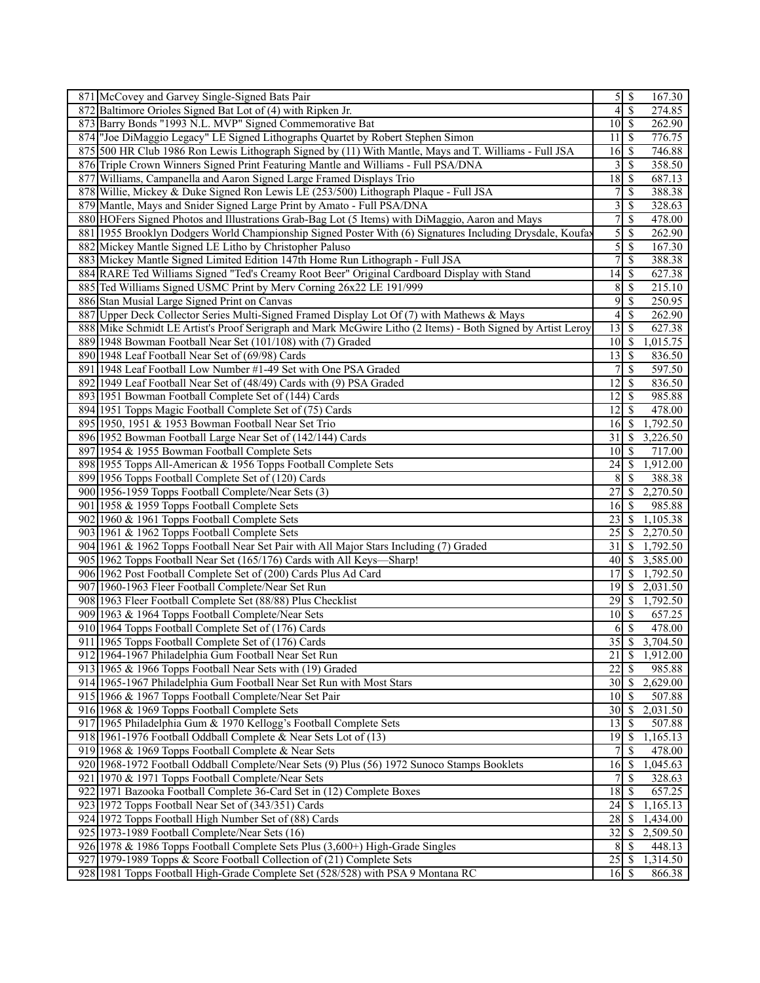|     | 871 McCovey and Garvey Single-Signed Bats Pair                                                              |                            | $\overline{5 S}$         | 167.30   |
|-----|-------------------------------------------------------------------------------------------------------------|----------------------------|--------------------------|----------|
|     | 872 Baltimore Orioles Signed Bat Lot of (4) with Ripken Jr.                                                 | 4                          | $\overline{\mathcal{S}}$ | 274.85   |
|     | 873 Barry Bonds "1993 N.L. MVP" Signed Commemorative Bat                                                    | $10 \mid S$                |                          | 262.90   |
| 874 | "Joe DiMaggio Legacy" LE Signed Lithographs Quartet by Robert Stephen Simon                                 | 11                         | <sup>\$</sup>            | 776.75   |
|     | 875 500 HR Club 1986 Ron Lewis Lithograph Signed by (11) With Mantle, Mays and T. Williams - Full JSA       | 16                         | S                        | 746.88   |
|     | 876 Triple Crown Winners Signed Print Featuring Mantle and Williams - Full PSA/DNA                          | 3                          | S                        | 358.50   |
|     | 877 Williams, Campanella and Aaron Signed Large Framed Displays Trio                                        | 18                         | <sup>\$</sup>            | 687.13   |
|     | 878 Willie, Mickey & Duke Signed Ron Lewis LE (253/500) Lithograph Plaque - Full JSA                        | 7                          | \$                       | 388.38   |
|     | 879 Mantle, Mays and Snider Signed Large Print by Amato - Full PSA/DNA                                      | 3                          | <sup>\$</sup>            | 328.63   |
|     | 880 HOFers Signed Photos and Illustrations Grab-Bag Lot (5 Items) with DiMaggio, Aaron and Mays             | 7                          | \$                       | 478.00   |
|     |                                                                                                             | 5                          | \$                       | 262.90   |
|     | 881 1955 Brooklyn Dodgers World Championship Signed Poster With (6) Signatures Including Drysdale, Koufay   |                            |                          |          |
|     | 882 Mickey Mantle Signed LE Litho by Christopher Paluso                                                     | $\overline{5}$             | -\$                      | 167.30   |
|     | 883 Mickey Mantle Signed Limited Edition 147th Home Run Lithograph - Full JSA                               | $\overline{7}$             | \$                       | 388.38   |
|     | 884 RARE Ted Williams Signed "Ted's Creamy Root Beer" Original Cardboard Display with Stand                 | 14                         | \$                       | 627.38   |
|     | 885 Ted Williams Signed USMC Print by Merv Corning 26x22 LE 191/999                                         | 8                          | $\mathcal{S}$            | 215.10   |
|     | 886 Stan Musial Large Signed Print on Canvas                                                                | 9                          | \$                       | 250.95   |
|     | 887 Upper Deck Collector Series Multi-Signed Framed Display Lot Of (7) with Mathews & Mays                  | 4                          | <sup>\$</sup>            | 262.90   |
|     | 888 Mike Schmidt LE Artist's Proof Serigraph and Mark McGwire Litho (2 Items) - Both Signed by Artist Leroy | 13                         | -\$                      | 627.38   |
|     | 889 1948 Bowman Football Near Set (101/108) with (7) Graded                                                 | $10 \mid S$                |                          | 1,015.75 |
|     | 890 1948 Leaf Football Near Set of (69/98) Cards                                                            | 13                         | -\$                      | 836.50   |
|     | 891 1948 Leaf Football Low Number #1-49 Set with One PSA Graded                                             |                            | \$                       | 597.50   |
|     | 892 1949 Leaf Football Near Set of (48/49) Cards with (9) PSA Graded                                        | 12                         | \$                       | 836.50   |
|     | 893 1951 Bowman Football Complete Set of (144) Cards                                                        | 12                         | $\mathcal{S}$            | 985.88   |
|     | 894 1951 Topps Magic Football Complete Set of (75) Cards                                                    | 12                         | -\$                      | 478.00   |
|     | 895 1950, 1951 & 1953 Bowman Football Near Set Trio                                                         | 16                         | <sup>\$</sup>            | 1,792.50 |
|     | 896 1952 Bowman Football Large Near Set of (142/144) Cards                                                  | 31                         | -\$                      | 3,226.50 |
| 897 | 1954 & 1955 Bowman Football Complete Sets                                                                   | 10 <sup>1</sup>            | -\$                      | 717.00   |
|     | 898 1955 Topps All-American & 1956 Topps Football Complete Sets                                             | 24                         | \$                       | 1,912.00 |
|     |                                                                                                             |                            |                          |          |
|     | 899 1956 Topps Football Complete Set of (120) Cards                                                         | 8                          | <sup>5</sup>             | 388.38   |
|     | 900 1956-1959 Topps Football Complete/Near Sets (3)                                                         | 27                         | \$                       | 2,270.50 |
|     | 901 1958 & 1959 Topps Football Complete Sets                                                                | 16                         | S                        | 985.88   |
|     | 902 1960 & 1961 Topps Football Complete Sets                                                                | 23                         | -\$                      | 1,105.38 |
| 903 | 1961 & 1962 Topps Football Complete Sets                                                                    | 25                         | \$                       | 2,270.50 |
|     | 904 1961 & 1962 Topps Football Near Set Pair with All Major Stars Including (7) Graded                      | 31                         | \$                       | 1,792.50 |
|     | 905 1962 Topps Football Near Set (165/176) Cards with All Keys—Sharp!                                       | 40                         | \$                       | 3,585.00 |
|     | 906 1962 Post Football Complete Set of (200) Cards Plus Ad Card                                             | 17                         | S                        | 1,792.50 |
| 907 | 1960-1963 Fleer Football Complete/Near Set Run                                                              | 19                         | S                        | 2,031.50 |
|     | 908 1963 Fleer Football Complete Set (88/88) Plus Checklist                                                 |                            |                          | 1,792.50 |
|     | 909 1963 & 1964 Topps Football Complete/Near Sets                                                           | $10\overline{\smash{)}\,}$ |                          | 657.25   |
|     | 910 1964 Topps Football Complete Set of (176) Cards                                                         | 6                          | \$                       | 478.00   |
|     | 911 1965 Topps Football Complete Set of (176) Cards                                                         | $35\overline{3}$           |                          | 3,704.50 |
|     | 912 1964-1967 Philadelphia Gum Football Near Set Run                                                        | 21                         | $\sqrt{S}$               | 1,912.00 |
|     | 913 1965 & 1966 Topps Football Near Sets with (19) Graded                                                   | 22                         | \$                       | 985.88   |
|     | 914 1965-1967 Philadelphia Gum Football Near Set Run with Most Stars                                        |                            |                          | 2,629.00 |
|     | 915 1966 & 1967 Topps Football Complete/Near Set Pair                                                       | $10 \mid S$                |                          | 507.88   |
|     | 916 1968 & 1969 Topps Football Complete Sets                                                                | 30                         | \$                       | 2,031.50 |
|     | 917 1965 Philadelphia Gum & 1970 Kellogg's Football Complete Sets                                           | 13                         | -S                       | 507.88   |
|     | 918 1961-1976 Football Oddball Complete & Near Sets Lot of (13)                                             | $\overline{19}$ \$         |                          | 1,165.13 |
|     | 919 1968 & 1969 Topps Football Complete & Near Sets                                                         |                            | S                        | 478.00   |
|     |                                                                                                             |                            |                          |          |
|     | 920 1968-1972 Football Oddball Complete/Near Sets (9) Plus (56) 1972 Sunoco Stamps Booklets                 | 16                         | $\mathsf{S}$             | 1,045.63 |
| 921 | 1970 & 1971 Topps Football Complete/Near Sets                                                               | 7                          | <sup>\$</sup>            | 328.63   |
|     | 922 1971 Bazooka Football Complete 36-Card Set in (12) Complete Boxes                                       | 18                         | \$                       | 657.25   |
|     | 923 1972 Topps Football Near Set of (343/351) Cards                                                         | 24                         | -S                       | 1,165.13 |
| 924 | 1972 Topps Football High Number Set of (88) Cards                                                           | 28                         | S                        | 1,434.00 |
|     | 925 1973-1989 Football Complete/Near Sets (16)                                                              | 32                         | \$                       | 2,509.50 |
|     | 926 1978 & 1986 Topps Football Complete Sets Plus (3,600+) High-Grade Singles                               | 8                          | -S                       | 448.13   |
|     | 927 1979-1989 Topps & Score Football Collection of (21) Complete Sets                                       | 25                         | $\mathcal{S}$            | 1,314.50 |
|     | 928 1981 Topps Football High-Grade Complete Set (528/528) with PSA 9 Montana RC                             | 16S                        |                          | 866.38   |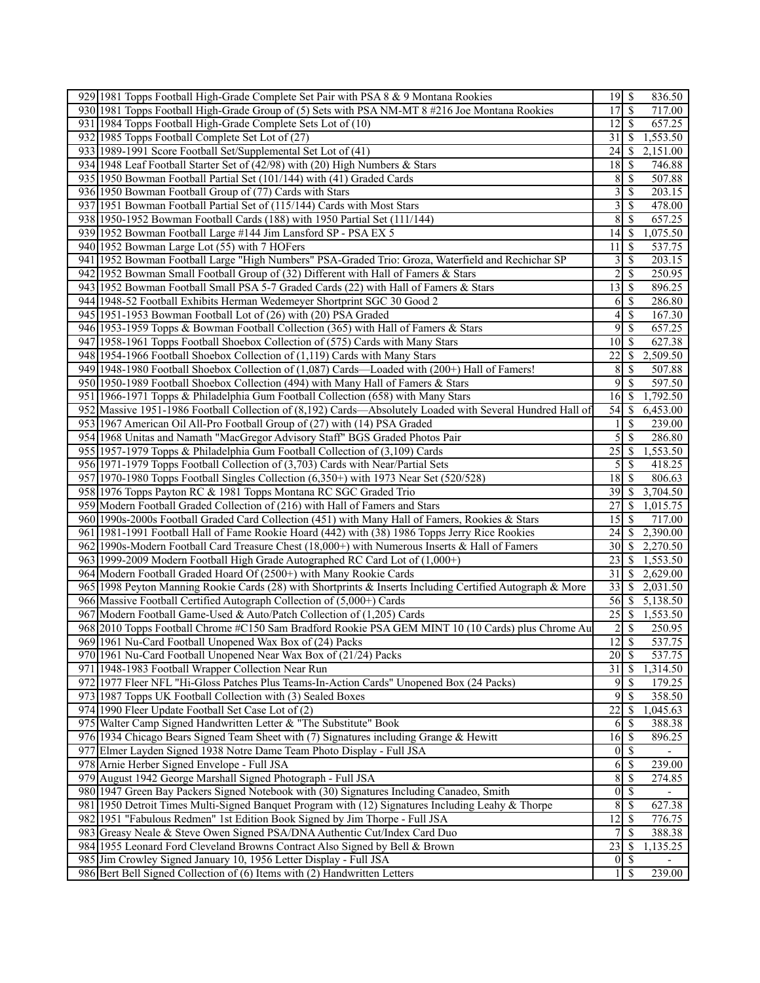| 929 1981 Topps Football High-Grade Complete Set Pair with PSA 8 & 9 Montana Rookies                       |                     |                          | 836.50   |
|-----------------------------------------------------------------------------------------------------------|---------------------|--------------------------|----------|
| 930 1981 Topps Football High-Grade Group of (5) Sets with PSA NM-MT 8 #216 Joe Montana Rookies            | 17                  | -S                       | 717.00   |
| 931 1984 Topps Football High-Grade Complete Sets Lot of (10)                                              | 12                  | 8                        | 657.25   |
| 932 1985 Topps Football Complete Set Lot of (27)                                                          | 31                  | -S                       | 1,553.50 |
| 933 1989-1991 Score Football Set/Supplemental Set Lot of (41)                                             | 24                  | -S                       | 2,151.00 |
| 934 1948 Leaf Football Starter Set of (42/98) with (20) High Numbers & Stars                              | 18                  | -\$                      | 746.88   |
| 935 1950 Bowman Football Partial Set (101/144) with (41) Graded Cards                                     | 8                   | $\mathcal{S}$            | 507.88   |
| 936 1950 Bowman Football Group of (77) Cards with Stars                                                   | 3                   | -\$                      | 203.15   |
| 937 1951 Bowman Football Partial Set of (115/144) Cards with Most Stars                                   | 3                   | \$                       | 478.00   |
| 938 1950-1952 Bowman Football Cards (188) with 1950 Partial Set (111/144)                                 | 8                   | -S                       | 657.25   |
| 939 1952 Bowman Football Large #144 Jim Lansford SP - PSA EX 5                                            | 14                  | \$                       | 1,075.50 |
| 940 1952 Bowman Large Lot (55) with 7 HOFers                                                              | 11                  | -\$                      | 537.75   |
| 941   1952 Bowman Football Large "High Numbers" PSA-Graded Trio: Groza, Waterfield and Rechichar SP       | 3                   | $\mathcal{S}$            | 203.15   |
| 942 1952 Bowman Small Football Group of (32) Different with Hall of Famers & Stars                        | $\overline{2}$      | $\mathcal{S}$            | 250.95   |
|                                                                                                           |                     |                          |          |
| 943 1952 Bowman Football Small PSA 5-7 Graded Cards (22) with Hall of Famers & Stars                      | 13                  | $\mathcal{S}$            | 896.25   |
| 944 1948-52 Football Exhibits Herman Wedemeyer Shortprint SGC 30 Good 2                                   | 6                   | $\mathbb{S}$             | 286.80   |
| 945 1951-1953 Bowman Football Lot of (26) with (20) PSA Graded                                            | 4                   | $\mathcal{S}$            | 167.30   |
| 946 1953-1959 Topps & Bowman Football Collection (365) with Hall of Famers & Stars                        | 9                   | $\mathcal{S}$            | 657.25   |
| 947 1958-1961 Topps Football Shoebox Collection of (575) Cards with Many Stars                            | 10                  | -\$                      | 627.38   |
| 948 1954-1966 Football Shoebox Collection of (1,119) Cards with Many Stars                                | 22                  | -\$                      | 2,509.50 |
| 949 1948-1980 Football Shoebox Collection of (1,087) Cards—Loaded with (200+) Hall of Famers!             | 8                   | <sup>\$</sup>            | 507.88   |
| 950 1950-1989 Football Shoebox Collection (494) with Many Hall of Famers & Stars                          | 9                   | <sup>\$</sup>            | 597.50   |
| 951 1966-1971 Topps & Philadelphia Gum Football Collection (658) with Many Stars                          | 16                  | \$                       | 1,792.50 |
| 952 Massive 1951-1986 Football Collection of (8,192) Cards—Absolutely Loaded with Several Hundred Hall of | 54                  | -S                       | 6,453.00 |
| 953 1967 American Oil All-Pro Football Group of (27) with (14) PSA Graded                                 |                     | <sup>\$</sup>            | 239.00   |
| 954 1968 Unitas and Namath "MacGregor Advisory Staff" BGS Graded Photos Pair                              | 5                   | $\mathcal{S}$            | 286.80   |
| 955 1957-1979 Topps & Philadelphia Gum Football Collection of (3,109) Cards                               | 25                  | -S                       | 1,553.50 |
| 956 1971-1979 Topps Football Collection of (3,703) Cards with Near/Partial Sets                           | 5                   | <sup>\$</sup>            | 418.25   |
|                                                                                                           |                     |                          |          |
| 957 1970-1980 Topps Football Singles Collection (6,350+) with 1973 Near Set (520/528)                     | 18                  | -\$                      | 806.63   |
| 958 1976 Topps Payton RC & 1981 Topps Montana RC SGC Graded Trio                                          | 39                  | -S                       | 3,704.50 |
| 959 Modern Football Graded Collection of (216) with Hall of Famers and Stars                              | 27                  | -S                       | 1,015.75 |
| 960 1990s-2000s Football Graded Card Collection (451) with Many Hall of Famers, Rookies & Stars           | 15                  | -S                       | 717.00   |
| 961 1981-1991 Football Hall of Fame Rookie Hoard (442) with (38) 1986 Topps Jerry Rice Rookies            | 24                  | -S                       | 2,390.00 |
| 962 1990s-Modern Football Card Treasure Chest (18,000+) with Numerous Inserts & Hall of Famers            | 30                  | -S                       | 2,270.50 |
| 963 1999-2009 Modern Football High Grade Autographed RC Card Lot of (1,000+)                              | 23                  | - S                      | 1,553.50 |
| 964 Modern Football Graded Hoard Of (2500+) with Many Rookie Cards                                        | 31                  | -S                       | 2,629.00 |
| 965 1998 Peyton Manning Rookie Cards (28) with Shortprints & Inserts Including Certified Autograph & More | 33                  | -S                       | 2,031.50 |
| 966 Massive Football Certified Autograph Collection of (5,000+) Cards                                     | 56 S                |                          | 5,138.50 |
| 967 Modern Football Game-Used & Auto/Patch Collection of (1,205) Cards                                    | 25                  | $\mathsf{S}$             | 1,553.50 |
| 968 [2010 Topps Football Chrome #C150 Sam Bradford Rookie PSA GEM MINT 10 (10 Cards) plus Chrome Au       | 2                   | -S                       | 250.95   |
| 969 1961 Nu-Card Football Unopened Wax Box of (24) Packs                                                  | $\overline{12}$ \$  |                          | 537.75   |
| 970 1961 Nu-Card Football Unopened Near Wax Box of (21/24) Packs                                          | $20 \mid$ \$        |                          | 537.75   |
| 971 1948-1983 Football Wrapper Collection Near Run                                                        | $\overline{31}$     | $\mathcal{S}$            | 1,314.50 |
| 972 1977 Fleer NFL "Hi-Gloss Patches Plus Teams-In-Action Cards" Unopened Box (24 Packs)                  | $9 \mid \text{\$\}$ |                          | 179.25   |
| 973 1987 Topps UK Football Collection with (3) Sealed Boxes                                               | 9                   | $\mathcal{S}$            | 358.50   |
| 974 1990 Fleer Update Football Set Case Lot of (2)                                                        | 22                  |                          | 1,045.63 |
|                                                                                                           |                     | \$                       |          |
| 975 Walter Camp Signed Handwritten Letter & "The Substitute" Book                                         | 6                   | - \$                     | 388.38   |
| 976 1934 Chicago Bears Signed Team Sheet with (7) Signatures including Grange & Hewitt                    | 16                  | \$                       | 896.25   |
| 977 Elmer Layden Signed 1938 Notre Dame Team Photo Display - Full JSA                                     | $\overline{0}$      | $\sqrt{S}$               |          |
| 978 Arnie Herber Signed Envelope - Full JSA                                                               | 6                   | -\$                      | 239.00   |
| 979 August 1942 George Marshall Signed Photograph - Full JSA                                              | 8                   | $\mathcal{S}$            | 274.85   |
| 980 1947 Green Bay Packers Signed Notebook with (30) Signatures Including Canadeo, Smith                  | $\overline{0}$      | $\overline{\mathcal{S}}$ |          |
| 981 1950 Detroit Times Multi-Signed Banquet Program with (12) Signatures Including Leahy & Thorpe         | $\boldsymbol{8}$    | $\mathcal{S}$            | 627.38   |
| 982 1951 "Fabulous Redmen" 1st Edition Book Signed by Jim Thorpe - Full JSA                               | 12                  | $\mathcal{S}$            | 776.75   |
| 983 Greasy Neale & Steve Owen Signed PSA/DNA Authentic Cut/Index Card Duo                                 | $\overline{7}$      | $\mathcal{S}$            | 388.38   |
| 984 1955 Leonard Ford Cleveland Browns Contract Also Signed by Bell & Brown                               | 23                  | <sup>\$</sup>            | 1,135.25 |
| 985 Jim Crowley Signed January 10, 1956 Letter Display - Full JSA                                         | $\boldsymbol{0}$    | <b>S</b>                 |          |
| 986 Bert Bell Signed Collection of (6) Items with (2) Handwritten Letters                                 | $1 \mid S$          |                          | 239.00   |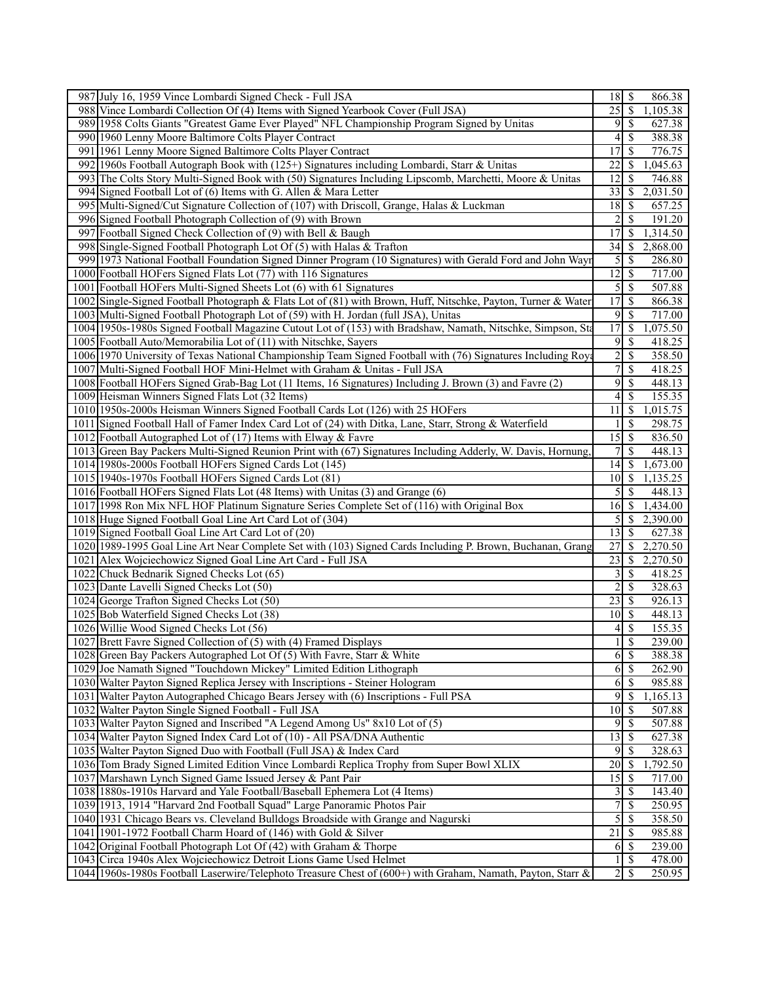| 987 July 16, 1959 Vince Lombardi Signed Check - Full JSA                                                      | 18<br>\$<br>866.38                                    |
|---------------------------------------------------------------------------------------------------------------|-------------------------------------------------------|
| 988 Vince Lombardi Collection Of (4) Items with Signed Yearbook Cover (Full JSA)                              | $\overline{\mathcal{S}}$<br>25<br>1,105.38            |
| 989 1958 Colts Giants "Greatest Game Ever Played" NFL Championship Program Signed by Unitas                   | 9<br>$\overline{\mathcal{S}}$<br>627.38               |
| 990 1960 Lenny Moore Baltimore Colts Player Contract                                                          | \$<br>4<br>388.38                                     |
| 991 1961 Lenny Moore Signed Baltimore Colts Player Contract                                                   | 17<br><sup>\$</sup><br>776.75                         |
| 992 1960s Football Autograph Book with (125+) Signatures including Lombardi, Starr & Unitas                   | $\overline{22}$<br>,045.63<br><sup>\$</sup>           |
| 993 The Colts Story Multi-Signed Book with (50) Signatures Including Lipscomb, Marchetti, Moore & Unitas      | 12<br><sup>\$</sup><br>746.88                         |
| 994 Signed Football Lot of (6) Items with G. Allen & Mara Letter                                              | 33<br>2,031.50<br>8                                   |
| 995 Multi-Signed/Cut Signature Collection of (107) with Driscoll, Grange, Halas & Luckman                     | $\overline{18}$<br>-\$<br>657.25                      |
| 996 Signed Football Photograph Collection of (9) with Brown                                                   | 2<br><sup>\$</sup><br>191.20                          |
| 997 Football Signed Check Collection of (9) with Bell & Baugh                                                 | 17<br><sup>\$</sup><br>1,314.50                       |
| 998 Single-Signed Football Photograph Lot Of (5) with Halas & Trafton                                         | $\overline{34}$<br>2,868.00<br>-\$                    |
| 999 1973 National Football Foundation Signed Dinner Program (10 Signatures) with Gerald Ford and John Wayr    | $\sqrt{5}$<br><sup>\$</sup><br>286.80                 |
| 1000 Football HOFers Signed Flats Lot (77) with 116 Signatures                                                | 12<br><sup>\$</sup><br>717.00                         |
| 1001 Football HOFers Multi-Signed Sheets Lot (6) with 61 Signatures                                           | $\sqrt{5}$<br>$\overline{\mathcal{S}}$<br>507.88      |
| 1002 Single-Signed Football Photograph & Flats Lot of (81) with Brown, Huff, Nitschke, Payton, Turner & Water | $\overline{17}$<br>\$<br>866.38                       |
| 1003 Multi-Signed Football Photograph Lot of (59) with H. Jordan (full JSA), Unitas                           | 9<br><sup>\$</sup><br>717.00                          |
| 1004 1950s-1980s Signed Football Magazine Cutout Lot of (153) with Bradshaw, Namath, Nitschke, Simpson, Sta   | 17<br>\$<br>,075.50                                   |
| 1005 Football Auto/Memorabilia Lot of (11) with Nitschke, Sayers                                              | 9<br>\$<br>418.25                                     |
| 1006 1970 University of Texas National Championship Team Signed Football with (76) Signatures Including Roya  | $\sqrt{2}$<br>\$<br>358.50                            |
| 1007 Multi-Signed Football HOF Mini-Helmet with Graham & Unitas - Full JSA                                    | $\overline{7}$<br>$\mathbb{S}$<br>418.25              |
| 1008 Football HOFers Signed Grab-Bag Lot (11 Items, 16 Signatures) Including J. Brown (3) and Favre (2)       | 9<br>\$<br>448.13                                     |
|                                                                                                               |                                                       |
| 1009 Heisman Winners Signed Flats Lot (32 Items)                                                              | <sup>\$</sup><br>155.35<br>4                          |
| 1010 1950s-2000s Heisman Winners Signed Football Cards Lot (126) with 25 HOFers                               | 11<br>$\mathcal{S}$<br>1,015.75                       |
| 1011 Signed Football Hall of Famer Index Card Lot of (24) with Ditka, Lane, Starr, Strong & Waterfield        | <sup>\$</sup><br>298.75<br>1                          |
| 1012 Football Autographed Lot of (17) Items with Elway & Favre                                                | $\overline{15}$<br>$\overline{\mathcal{S}}$<br>836.50 |
| 1013 Green Bay Packers Multi-Signed Reunion Print with (67) Signatures Including Adderly, W. Davis, Hornung   | $\overline{7}$<br><sup>\$</sup><br>448.13             |
| 1014 1980s-2000s Football HOFers Signed Cards Lot (145)                                                       | 14<br>-\$<br>1,673.00                                 |
| 1015 1940s-1970s Football HOFers Signed Cards Lot (81)                                                        | 10<br>1,135.25<br>8                                   |
| 1016 Football HOFers Signed Flats Lot (48 Items) with Unitas (3) and Grange (6)                               | 5<br><sup>\$</sup><br>448.13                          |
| 1017 1998 Ron Mix NFL HOF Platinum Signature Series Complete Set of (116) with Original Box                   | 16<br>$\mathcal{S}$<br>1,434.00                       |
| 1018 Huge Signed Football Goal Line Art Card Lot of (304)                                                     | 5<br>2,390.00<br>\$                                   |
| 1019 Signed Football Goal Line Art Card Lot of (20)                                                           | $\overline{13}$<br>$\overline{\mathcal{S}}$<br>627.38 |
| 1020 1989-1995 Goal Line Art Near Complete Set with (103) Signed Cards Including P. Brown, Buchanan, Grang    | 27<br>\$<br>2,270.50                                  |
| 1021 Alex Wojciechowicz Signed Goal Line Art Card - Full JSA                                                  | 23<br>-S<br>2,270.50                                  |
| 1022 Chuck Bednarik Signed Checks Lot (65)                                                                    | 3<br><sup>\$</sup><br>418.25                          |
| 1023 Dante Lavelli Signed Checks Lot (50)                                                                     | $\overline{c}$<br>\$<br>328.63                        |
| 1024 George Trafton Signed Checks Lot (50)                                                                    | 23<br>-\$<br>926.13                                   |
| 1025 Bob Waterfield Signed Checks Lot (38)                                                                    | 10<br>$\mathcal{S}$<br>448.13                         |
| 1026 Willie Wood Signed Checks Lot (56)                                                                       | \$<br>$\vert$<br>155.35                               |
| 1027 Brett Favre Signed Collection of (5) with (4) Framed Displays                                            | $\overline{\mathcal{S}}$<br>$\mathbf{1}$<br>239.00    |
| 1028 Green Bay Packers Autographed Lot Of (5) With Favre, Starr & White                                       | 6<br>$\mathbf{s}$<br>388.38                           |
| 1029 Joe Namath Signed "Touchdown Mickey" Limited Edition Lithograph                                          | 6<br><sup>\$</sup><br>262.90                          |
| 1030 Walter Payton Signed Replica Jersey with Inscriptions - Steiner Hologram                                 | 6<br>\$<br>985.88                                     |
| 1031 Walter Payton Autographed Chicago Bears Jersey with (6) Inscriptions - Full PSA                          | 9<br>\$<br>1,165.13                                   |
| 1032 Walter Payton Single Signed Football - Full JSA                                                          | 10 <sup>1</sup><br><sup>\$</sup><br>507.88            |
| 1033 Walter Payton Signed and Inscribed "A Legend Among Us" 8x10 Lot of (5)                                   | 9<br>-\$<br>507.88                                    |
| 1034 Walter Payton Signed Index Card Lot of (10) - All PSA/DNA Authentic                                      | 13<br>$\mathcal{S}$<br>627.38                         |
| 1035 Walter Payton Signed Duo with Football (Full JSA) & Index Card                                           | 9<br>\$<br>328.63                                     |
| 1036 Tom Brady Signed Limited Edition Vince Lombardi Replica Trophy from Super Bowl XLIX                      | $20\,$<br>-\$<br>1,792.50                             |
| 1037 Marshawn Lynch Signed Game Issued Jersey & Pant Pair                                                     | 15<br>S<br>717.00                                     |
| 1038 1880s-1910s Harvard and Yale Football/Baseball Ephemera Lot (4 Items)                                    | 3<br><sup>\$</sup><br>143.40                          |
| 1039 1913, 1914 "Harvard 2nd Football Squad" Large Panoramic Photos Pair                                      | $\overline{7}$<br>\$<br>250.95                        |
| 1040 1931 Chicago Bears vs. Cleveland Bulldogs Broadside with Grange and Nagurski                             | 5<br><sup>\$</sup><br>358.50                          |
| 1041 1901-1972 Football Charm Hoard of (146) with Gold & Silver                                               | 21<br>985.88<br>-S                                    |
| 1042 Original Football Photograph Lot Of (42) with Graham & Thorpe                                            | 6<br>$\mathcal{S}$<br>239.00                          |
| 1043 Circa 1940s Alex Wojciechowicz Detroit Lions Game Used Helmet                                            | <sup>\$</sup><br>478.00                               |
| 1044 1960s-1980s Football Laserwire/Telephoto Treasure Chest of (600+) with Graham, Namath, Payton, Starr &   | $\overline{2}$<br>8<br>250.95                         |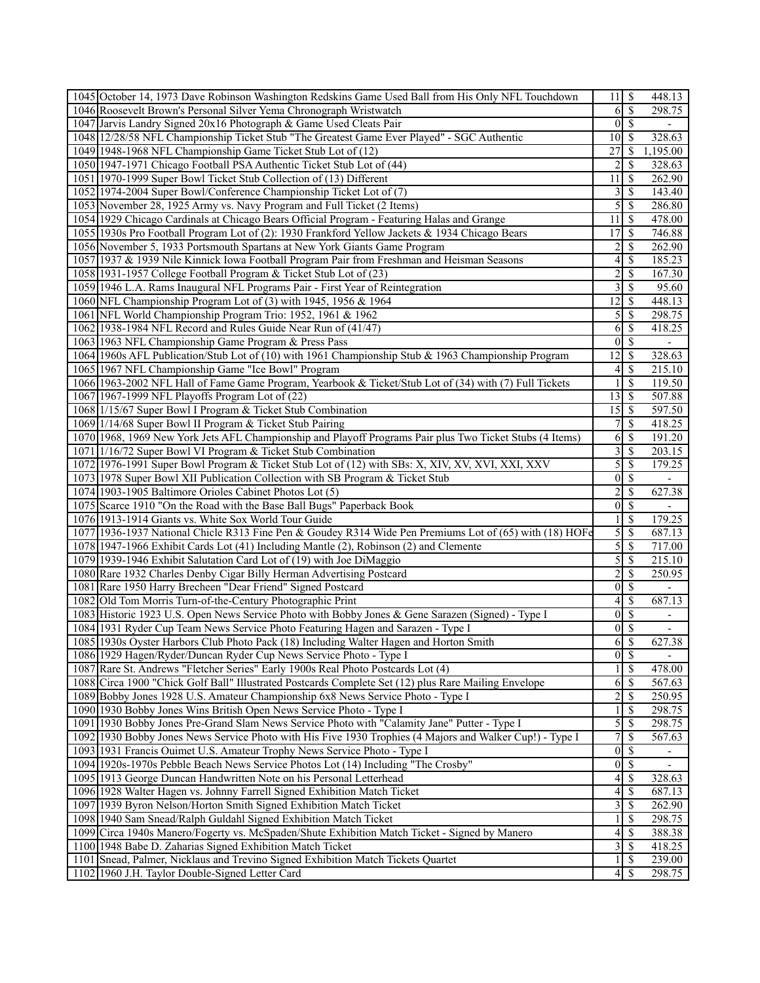| 1045 October 14, 1973 Dave Robinson Washington Redskins Game Used Ball from His Only NFL Touchdown       | $11 \mid$ \$            |                          | 448.13                   |
|----------------------------------------------------------------------------------------------------------|-------------------------|--------------------------|--------------------------|
| 1046 Roosevelt Brown's Personal Silver Yema Chronograph Wristwatch                                       | 6                       | $\overline{\mathcal{S}}$ | 298.75                   |
| 1047 Jarvis Landry Signed 20x16 Photograph & Game Used Cleats Pair                                       | $\overline{0}$          | $\overline{\mathcal{S}}$ | $\overline{\phantom{0}}$ |
| 1048 12/28/58 NFL Championship Ticket Stub "The Greatest Game Ever Played" - SGC Authentic               | 10                      | -S                       | 328.63                   |
| 1049 1948-1968 NFL Championship Game Ticket Stub Lot of (12)                                             | $\overline{27}$         | \$                       | 1,195.00                 |
| 1050 1947-1971 Chicago Football PSA Authentic Ticket Stub Lot of (44)                                    | 2                       | <sup>\$</sup>            | 328.63                   |
| 1051 1970-1999 Super Bowl Ticket Stub Collection of (13) Different                                       | 11                      | -S                       | 262.90                   |
| 1052 1974-2004 Super Bowl/Conference Championship Ticket Lot of (7)                                      | 3                       | $\mathcal{S}$            | 143.40                   |
| 1053 November 28, 1925 Army vs. Navy Program and Full Ticket (2 Items)                                   | 5                       | $\mathcal{S}$            | 286.80                   |
| 1054 1929 Chicago Cardinals at Chicago Bears Official Program - Featuring Halas and Grange               | 11                      | $\mathcal{S}$            | 478.00                   |
| 1055 1930s Pro Football Program Lot of (2): 1930 Frankford Yellow Jackets & 1934 Chicago Bears           | 17                      | \$                       | 746.88                   |
| 1056 November 5, 1933 Portsmouth Spartans at New York Giants Game Program                                | 2                       | $\mathcal{S}$            | 262.90                   |
| 1057 1937 & 1939 Nile Kinnick Iowa Football Program Pair from Freshman and Heisman Seasons               | 4                       | $\mathcal{S}$            | 185.23                   |
|                                                                                                          |                         |                          |                          |
| 1058 1931-1957 College Football Program & Ticket Stub Lot of (23)                                        | $\overline{c}$          | $\overline{\mathcal{S}}$ | 167.30                   |
| 1059 1946 L.A. Rams Inaugural NFL Programs Pair - First Year of Reintegration                            | 3                       | $\mathcal{S}$            | $\overline{95.60}$       |
| 1060 NFL Championship Program Lot of (3) with 1945, 1956 & 1964                                          | 12                      | $\mathcal{S}$            | 448.13                   |
| 1061 NFL World Championship Program Trio: 1952, 1961 & 1962                                              | 5                       | $\mathcal{S}$            | 298.75                   |
| 1062 1938-1984 NFL Record and Rules Guide Near Run of (41/47)                                            | 6                       | -S                       | 418.25                   |
| 1063 1963 NFL Championship Game Program & Press Pass                                                     | $\mathbf{0}$            | $\overline{\mathcal{S}}$ | $\overline{\phantom{a}}$ |
| 1064 1960s AFL Publication/Stub Lot of (10) with 1961 Championship Stub & 1963 Championship Program      | 12                      | $\mathcal{S}$            | 328.63                   |
| 1065 1967 NFL Championship Game "Ice Bowl" Program                                                       | 4                       | -S                       | 215.10                   |
| 1066 1963-2002 NFL Hall of Fame Game Program, Yearbook & Ticket/Stub Lot of (34) with (7) Full Tickets   |                         | $\overline{\mathcal{S}}$ | 119.50                   |
| 1067 1967-1999 NFL Playoffs Program Lot of (22)                                                          | 13                      | -\$                      | 507.88                   |
| 1068 1/15/67 Super Bowl I Program & Ticket Stub Combination                                              | 15                      | $\mathbb{S}$             | 597.50                   |
| 1069 1/14/68 Super Bowl II Program & Ticket Stub Pairing                                                 | 7                       | \$                       | 418.25                   |
| 1070 1968, 1969 New York Jets AFL Championship and Playoff Programs Pair plus Two Ticket Stubs (4 Items) | 6                       | -\$                      | 191.20                   |
| 1071 1/16/72 Super Bowl VI Program & Ticket Stub Combination                                             | 3                       | \$                       | 203.15                   |
| 1072 1976-1991 Super Bowl Program & Ticket Stub Lot of (12) with SBs: X, XIV, XV, XVI, XXI, XXV          | 5                       | $\mathbb{S}$             | 179.25                   |
| 1073 1978 Super Bowl XII Publication Collection with SB Program & Ticket Stub                            | $\mathbf{0}$            | $\mathcal{S}$            |                          |
| 1074 1903-1905 Baltimore Orioles Cabinet Photos Lot (5)                                                  | $\overline{c}$          | $\overline{\mathcal{S}}$ | 627.38                   |
| 1075 Scarce 1910 "On the Road with the Base Ball Bugs" Paperback Book                                    | $\theta$                | $\overline{\mathcal{S}}$ |                          |
| 1076 1913-1914 Giants vs. White Sox World Tour Guide                                                     |                         | \$                       | 179.25                   |
| 1077 1936-1937 National Chicle R313 Fine Pen & Goudey R314 Wide Pen Premiums Lot of (65) with (18) HOFe  | 5                       | \$                       | 687.13                   |
| 1078 1947-1966 Exhibit Cards Lot (41) Including Mantle (2), Robinson (2) and Clemente                    | 5                       | $\mathbb{S}$             | 717.00                   |
| 1079 1939-1946 Exhibit Salutation Card Lot of (19) with Joe DiMaggio                                     | 5                       | $\mathcal{S}$            | 215.10                   |
| 1080 Rare 1932 Charles Denby Cigar Billy Herman Advertising Postcard                                     | $\overline{c}$          | $\mathbb{S}$             | 250.95                   |
| 1081 Rare 1950 Harry Brecheen "Dear Friend" Signed Postcard                                              | $\boldsymbol{0}$        | $\mathbb{S}$             |                          |
| 1082 Old Tom Morris Turn-of-the-Century Photographic Print                                               | 4                       | <sup>5</sup>             | 687.13                   |
| 1083 Historic 1923 U.S. Open News Service Photo with Bobby Jones & Gene Sarazen (Signed) - Type I        | $\overline{0}$          | $\mathbf{\hat{s}}$       | $\overline{\phantom{0}}$ |
| 1084 1931 Ryder Cup Team News Service Photo Featuring Hagen and Sarazen - Type I                         | 0                       | $\mathbb{S}$             | $\overline{\phantom{a}}$ |
| 1085 1930s Oyster Harbors Club Photo Pack (18) Including Walter Hagen and Horton Smith                   | $\overline{6}$          | $\overline{\mathcal{S}}$ | 627.38                   |
| 1086 1929 Hagen/Ryder/Duncan Ryder Cup News Service Photo - Type I                                       |                         | $0 \mid \text{\$}$       | $\overline{\phantom{a}}$ |
| 1087 Rare St. Andrews "Fletcher Series" Early 1900s Real Photo Postcards Lot (4)                         |                         | $\overline{\mathcal{S}}$ | 478.00                   |
| 1088 Circa 1900 "Chick Golf Ball" Illustrated Postcards Complete Set (12) plus Rare Mailing Envelope     | 6                       | $\mathbf s$              | 567.63                   |
| 1089 Bobby Jones 1928 U.S. Amateur Championship 6x8 News Service Photo - Type I                          | $\overline{c}$          | $\mathbb{S}$             | 250.95                   |
| 1090 1930 Bobby Jones Wins British Open News Service Photo - Type I                                      |                         | \$                       | 298.75                   |
| 1091 1930 Bobby Jones Pre-Grand Slam News Service Photo with "Calamity Jane" Putter - Type I             | 5                       | $\mathcal{S}$            | 298.75                   |
| 1092 1930 Bobby Jones News Service Photo with His Five 1930 Trophies (4 Majors and Walker Cup!) - Type I | 7                       | \$                       | $\overline{567.63}$      |
| 1093 1931 Francis Ouimet U.S. Amateur Trophy News Service Photo - Type I                                 | $\boldsymbol{0}$        | $\mathcal{S}$            |                          |
| 1094 1920s-1970s Pebble Beach News Service Photos Lot (14) Including "The Crosby"                        | $\boldsymbol{0}$        | $\mathcal{S}$            | $\overline{a}$           |
| 1095 1913 George Duncan Handwritten Note on his Personal Letterhead                                      | 4                       | \$                       | 328.63                   |
| 1096 1928 Walter Hagen vs. Johnny Farrell Signed Exhibition Match Ticket                                 | 4                       | \$                       | 687.13                   |
| 1097 1939 Byron Nelson/Horton Smith Signed Exhibition Match Ticket                                       | $\overline{\mathbf{3}}$ | -\$                      | 262.90                   |
| 1098 1940 Sam Snead/Ralph Guldahl Signed Exhibition Match Ticket                                         |                         | \$                       | 298.75                   |
| 1099 Circa 1940s Manero/Fogerty vs. McSpaden/Shute Exhibition Match Ticket - Signed by Manero            | 4                       | $\mathcal{S}$            | 388.38                   |
| 1100 1948 Babe D. Zaharias Signed Exhibition Match Ticket                                                | 3                       | - \$                     | 418.25                   |
| 1101 Snead, Palmer, Nicklaus and Trevino Signed Exhibition Match Tickets Quartet                         |                         | $\mathbb{S}$             | 239.00                   |
| 1102 1960 J.H. Taylor Double-Signed Letter Card                                                          |                         | $4$ \ $\sqrt{3}$         | 298.75                   |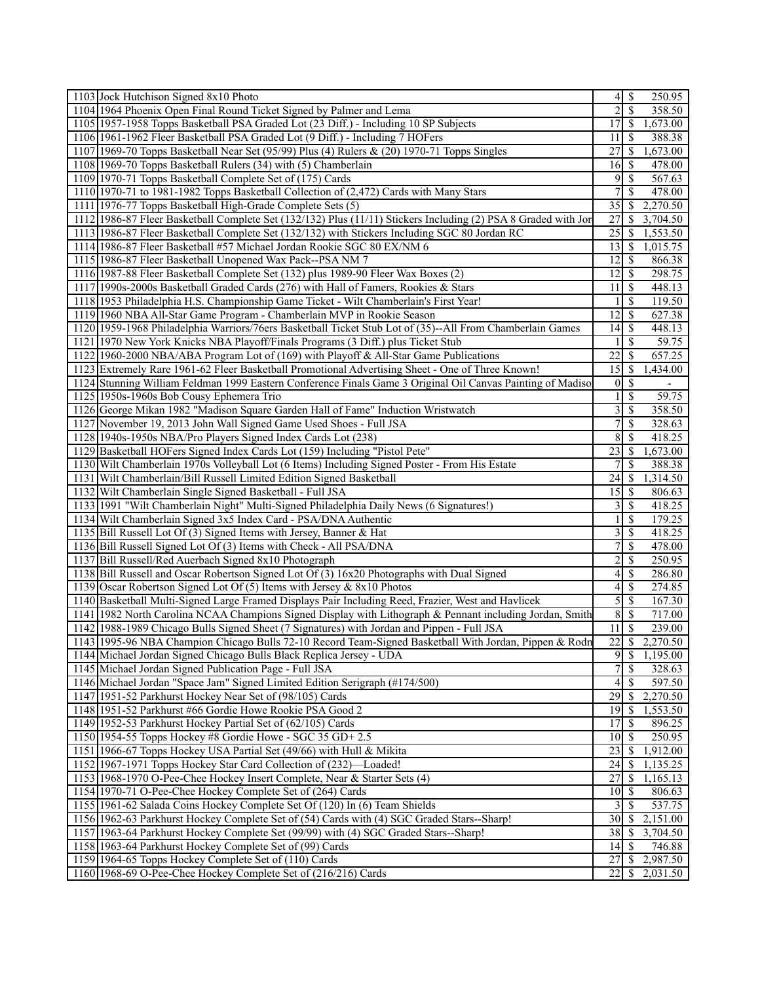| 1103 Jock Hutchison Signed 8x10 Photo                                                                          | 250.95                                               |
|----------------------------------------------------------------------------------------------------------------|------------------------------------------------------|
| 1104 1964 Phoenix Open Final Round Ticket Signed by Palmer and Lema                                            | $\sqrt{S}$<br>$\overline{2}$<br>358.50               |
| 1105 1957-1958 Topps Basketball PSA Graded Lot (23 Diff.) - Including 10 SP Subjects                           | $\overline{17}$<br>$\mathcal{S}$<br>1,673.00         |
| 1106 1961-1962 Fleer Basketball PSA Graded Lot (9 Diff.) - Including 7 HOFers                                  | <b>S</b><br>11<br>388.38                             |
| 1107 1969-70 Topps Basketball Near Set (95/99) Plus (4) Rulers & (20) 1970-71 Topps Singles                    | 27<br>  S<br>1,673.00                                |
| 1108 1969-70 Topps Basketball Rulers (34) with (5) Chamberlain                                                 | $16 \mid$ \$<br>478.00                               |
| 1109 1970-71 Topps Basketball Complete Set of (175) Cards                                                      | 9<br>$\mathsf{S}$<br>567.63                          |
| 1110 1970-71 to 1981-1982 Topps Basketball Collection of (2,472) Cards with Many Stars                         | 7<br>-\$<br>478.00                                   |
| 1111 1976-77 Topps Basketball High-Grade Complete Sets (5)                                                     | 2,270.50<br>$35 \mid \frac{2}{3}$                    |
| 1112 1986-87 Fleer Basketball Complete Set (132/132) Plus (11/11) Stickers Including (2) PSA 8 Graded with Jor | 27<br>-S<br>3,704.50                                 |
| 1113 1986-87 Fleer Basketball Complete Set (132/132) with Stickers Including SGC 80 Jordan RC                  | $25$   \$<br>1,553.50                                |
| 1114 1986-87 Fleer Basketball #57 Michael Jordan Rookie SGC 80 EX/NM 6                                         | 13<br>  S<br>1,015.75                                |
| 1115 1986-87 Fleer Basketball Unopened Wax Pack--PSA NM 7                                                      | $12 \mid$ \$<br>866.38                               |
| 1116 1987-88 Fleer Basketball Complete Set (132) plus 1989-90 Fleer Wax Boxes (2)                              | $\mathsf{S}$<br>12<br>298.75                         |
| 1117 1990s-2000s Basketball Graded Cards (276) with Hall of Famers, Rookies & Stars                            | 11<br>$\mathsf{S}$<br>448.13                         |
| 1118 1953 Philadelphia H.S. Championship Game Ticket - Wilt Chamberlain's First Year!                          | -\$<br>119.50                                        |
| 1119 1960 NBA All-Star Game Program - Chamberlain MVP in Rookie Season                                         | 12<br>8<br>627.38                                    |
| 1120 1959-1968 Philadelphia Warriors/76ers Basketball Ticket Stub Lot of (35)--All From Chamberlain Games      | 14<br>  S<br>448.13                                  |
| 1121 1970 New York Knicks NBA Playoff/Finals Programs (3 Diff.) plus Ticket Stub                               | -\$<br>59.75<br>1                                    |
|                                                                                                                | 22<br><sup>5</sup>                                   |
| 1122 1960-2000 NBA/ABA Program Lot of (169) with Playoff & All-Star Game Publications                          | 657.25                                               |
| 1123 Extremely Rare 1961-62 Fleer Basketball Promotional Advertising Sheet - One of Three Known!               | 15<br><sup>5</sup><br>1,434.00                       |
| 1124 Stunning William Feldman 1999 Eastern Conference Finals Game 3 Original Oil Canvas Painting of Madiso     | <sup>5</sup><br>0<br>$\overline{\phantom{a}}$        |
| 1125 1950s-1960s Bob Cousy Ephemera Trio                                                                       | <sup>\$</sup><br>59.75                               |
| 1126 George Mikan 1982 "Madison Square Garden Hall of Fame" Induction Wristwatch                               | 3<br>- \$<br>358.50                                  |
| 1127 November 19, 2013 John Wall Signed Game Used Shoes - Full JSA                                             | 7<br>$\mathcal{S}$<br>328.63                         |
| 1128 1940s-1950s NBA/Pro Players Signed Index Cards Lot (238)                                                  | 8<br>$\mathcal{S}$<br>418.25                         |
| 1129 Basketball HOFers Signed Index Cards Lot (159) Including "Pistol Pete"                                    | 23<br><sup>5</sup><br>1,673.00                       |
| 1130 Wilt Chamberlain 1970s Volleyball Lot (6 Items) Including Signed Poster - From His Estate                 | <sup>\$</sup><br>388.38                              |
| 1131 Wilt Chamberlain/Bill Russell Limited Edition Signed Basketball                                           | 1,314.50                                             |
| 1132 Wilt Chamberlain Single Signed Basketball - Full JSA                                                      | 806.63                                               |
| 1133 1991 "Wilt Chamberlain Night" Multi-Signed Philadelphia Daily News (6 Signatures!)                        | 3<br>$\mathbb{S}$<br>418.25                          |
| 1134 Wilt Chamberlain Signed 3x5 Index Card - PSA/DNA Authentic                                                | <sup>\$</sup><br>179.25<br>1                         |
| 1135 Bill Russell Lot Of (3) Signed Items with Jersey, Banner & Hat                                            | 3<br>-\$<br>418.25                                   |
| 1136 Bill Russell Signed Lot Of (3) Items with Check - All PSA/DNA                                             | 7<br><sup>\$</sup><br>478.00                         |
| 1137 Bill Russell/Red Auerbach Signed 8x10 Photograph                                                          | $\overline{c}$<br><sup>\$</sup><br>250.95            |
| 1138 Bill Russell and Oscar Robertson Signed Lot Of (3) 16x20 Photographs with Dual Signed                     | 4<br>-\$<br>286.80                                   |
| 1139 Oscar Robertson Signed Lot Of (5) Items with Jersey & 8x10 Photos                                         | $\mathbb{S}$<br>4<br>274.85                          |
| 1140 Basketball Multi-Signed Large Framed Displays Pair Including Reed, Frazier, West and Havlicek             | $\mathfrak{S}$<br>$\overline{\mathcal{S}}$<br>167.30 |
| 1141 1982 North Carolina NCAA Champions Signed Display with Lithograph & Pennant including Jordan, Smith       | 8<br>-\$<br>717.00                                   |
| 1142 1988-1989 Chicago Bulls Signed Sheet (7 Signatures) with Jordan and Pippen - Full JSA                     | $11 \overline{\smash{)}\,}$<br>239.00                |
| 1143 1995-96 NBA Champion Chicago Bulls 72-10 Record Team-Signed Basketball With Jordan, Pippen & Rodn         | $\overline{22}$<br>$\sqrt{s}$<br>2,270.50            |
| 1144 Michael Jordan Signed Chicago Bulls Black Replica Jersey - UDA                                            | $\overline{9}$<br>$\sqrt{S}$<br>1,195.00             |
| 1145 Michael Jordan Signed Publication Page - Full JSA                                                         | $\overline{7}$<br>$\overline{\mathcal{S}}$<br>328.63 |
| 1146 Michael Jordan "Space Jam" Signed Limited Edition Serigraph (#174/500)                                    | 597.50<br>4<br>$\mathsf{S}$                          |
| 1147 1951-52 Parkhurst Hockey Near Set of (98/105) Cards                                                       | 29<br>-\$<br>2,270.50                                |
| 1148 1951-52 Parkhurst #66 Gordie Howe Rookie PSA Good 2                                                       | 19<br>1,553.50<br>8                                  |
| 1149 1952-53 Parkhurst Hockey Partial Set of (62/105) Cards                                                    | 17<br>$\mathsf{S}$<br>896.25                         |
| 1150 1954-55 Topps Hockey #8 Gordie Howe - SGC 35 GD+ 2.5                                                      | 250.95<br>$101$ S                                    |
| 1151 1966-67 Topps Hockey USA Partial Set (49/66) with Hull & Mikita                                           | 23<br>  \$<br>1,912.00                               |
| 1152 1967-1971 Topps Hockey Star Card Collection of (232)—Loaded!                                              | 1,135.25                                             |
| 1153 1968-1970 O-Pee-Chee Hockey Insert Complete, Near & Starter Sets (4)                                      | 27<br>- \$<br>1,165.13                               |
| 1154 1970-71 O-Pee-Chee Hockey Complete Set of (264) Cards                                                     | $10$ $\sqrt{5}$<br>806.63                            |
| 1155 1961-62 Salada Coins Hockey Complete Set Of (120) In (6) Team Shields                                     | $\mathsf{S}$<br>537.75<br>3                          |
| 1156 1962-63 Parkhurst Hockey Complete Set of (54) Cards with (4) SGC Graded Stars--Sharp!                     | $30 \mid S$<br>2,151.00                              |
|                                                                                                                |                                                      |
| 1157 1963-64 Parkhurst Hockey Complete Set (99/99) with (4) SGC Graded Stars--Sharp!                           | $38$   \$<br>3,704.50<br>$14 \mid$ \$                |
| 1158 1963-64 Parkhurst Hockey Complete Set of (99) Cards                                                       | 746.88                                               |
| 1159 1964-65 Topps Hockey Complete Set of (110) Cards                                                          | 2,987.50<br>27<br>-S                                 |
| 1160 1968-69 O-Pee-Chee Hockey Complete Set of (216/216) Cards                                                 | $22 \mid S$<br>2,031.50                              |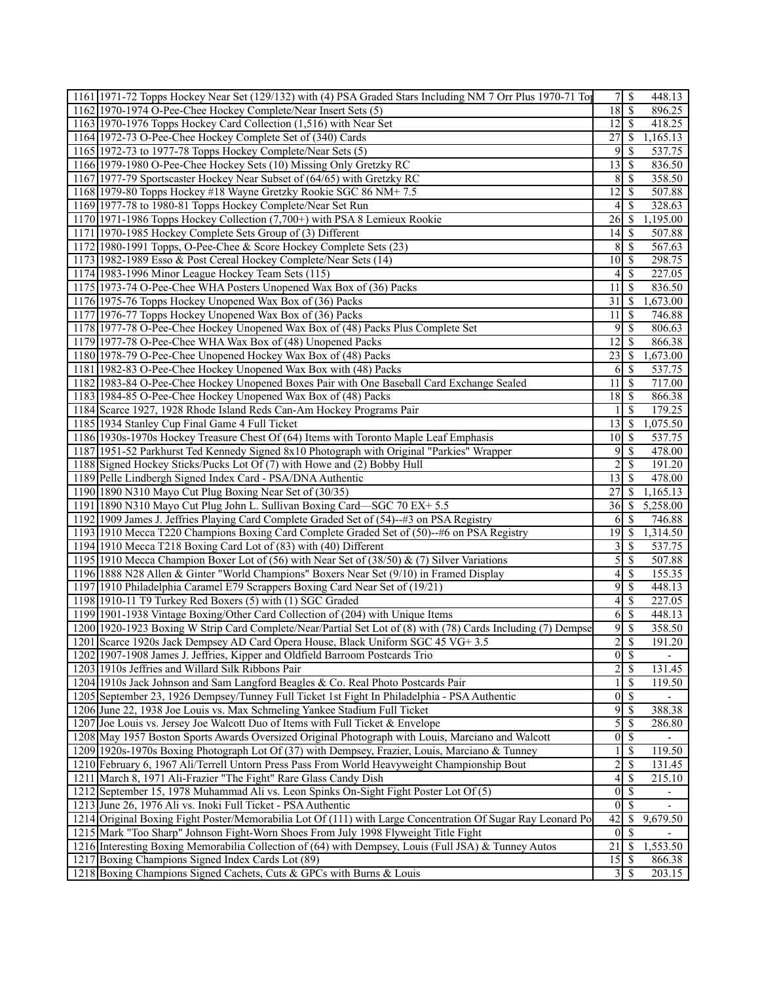| 1161 1971-72 Topps Hockey Near Set (129/132) with (4) PSA Graded Stars Including NM 7 Orr Plus 1970-71 Top                                  | 7 <sup>1</sup>     | -\$                            | 448.13                   |
|---------------------------------------------------------------------------------------------------------------------------------------------|--------------------|--------------------------------|--------------------------|
| 1162 1970-1974 O-Pee-Chee Hockey Complete/Near Insert Sets (5)                                                                              | 18                 | $\mathbf{\hat{s}}$             | 896.25                   |
| 1163 1970-1976 Topps Hockey Card Collection (1,516) with Near Set                                                                           | $12$   \$          |                                | 418.25                   |
| 1164 1972-73 O-Pee-Chee Hockey Complete Set of (340) Cards                                                                                  | 27                 | <sup>\$</sup>                  | 1,165.13                 |
| 1165 1972-73 to 1977-78 Topps Hockey Complete/Near Sets (5)                                                                                 | 9                  | S                              | 537.75                   |
| 1166 1979-1980 O-Pee-Chee Hockey Sets (10) Missing Only Gretzky RC                                                                          | 13                 | -S                             | 836.50                   |
| 1167 1977-79 Sportscaster Hockey Near Subset of (64/65) with Gretzky RC                                                                     | 8                  | <sup>\$</sup>                  | 358.50                   |
| 1168 1979-80 Topps Hockey #18 Wayne Gretzky Rookie SGC 86 NM+7.5                                                                            | 12                 | S                              | 507.88                   |
| 1169 1977-78 to 1980-81 Topps Hockey Complete/Near Set Run                                                                                  | 4                  | <sup>\$</sup>                  | 328.63                   |
| 1170 1971-1986 Topps Hockey Collection (7,700+) with PSA 8 Lemieux Rookie                                                                   | 26                 | -S                             | 1,195.00                 |
| 1171 1970-1985 Hockey Complete Sets Group of (3) Different                                                                                  | 14                 | <sup>\$</sup>                  | 507.88                   |
| 1172 1980-1991 Topps, O-Pee-Chee & Score Hockey Complete Sets (23)                                                                          | 8                  | <sup>\$</sup>                  | 567.63                   |
| 1173 1982-1989 Esso & Post Cereal Hockey Complete/Near Sets (14)                                                                            | 10                 | -\$                            | 298.75                   |
|                                                                                                                                             |                    |                                |                          |
| 1174 1983-1996 Minor League Hockey Team Sets (115)                                                                                          | 4                  | <sup>\$</sup>                  | 227.05                   |
| 1175 1973-74 O-Pee-Chee WHA Posters Unopened Wax Box of (36) Packs                                                                          | 11                 | <sup>\$</sup>                  | 836.50                   |
| 1176 1975-76 Topps Hockey Unopened Wax Box of (36) Packs                                                                                    | 31                 | -S                             | ,673.00                  |
| 1177 1976-77 Topps Hockey Unopened Wax Box of (36) Packs                                                                                    | 11                 | <sup>\$</sup>                  | 746.88                   |
| 1178 1977-78 O-Pee-Chee Hockey Unopened Wax Box of (48) Packs Plus Complete Set                                                             | 9                  | <sup>\$</sup>                  | 806.63                   |
| 1179 1977-78 O-Pee-Chee WHA Wax Box of (48) Unopened Packs                                                                                  | 12                 | <sup>\$</sup>                  | 866.38                   |
| 1180 1978-79 O-Pee-Chee Unopened Hockey Wax Box of (48) Packs                                                                               | 23                 | <sup>\$</sup>                  | 1,673.00                 |
| 1181 1982-83 O-Pee-Chee Hockey Unopened Wax Box with (48) Packs                                                                             | 6                  | <sup>\$</sup>                  | 537.75                   |
| 1182 1983-84 O-Pee-Chee Hockey Unopened Boxes Pair with One Baseball Card Exchange Sealed                                                   | 11                 | <sup>\$</sup>                  | 717.00                   |
| 1183 1984-85 O-Pee-Chee Hockey Unopened Wax Box of (48) Packs                                                                               | 18                 | <sup>\$</sup>                  | 866.38                   |
| 1184 Scarce 1927, 1928 Rhode Island Reds Can-Am Hockey Programs Pair                                                                        |                    | S                              | 179.25                   |
| 1185 1934 Stanley Cup Final Game 4 Full Ticket                                                                                              | 13                 | -S                             | 1,075.50                 |
| 1186 1930s-1970s Hockey Treasure Chest Of (64) Items with Toronto Maple Leaf Emphasis                                                       | 10 <sup>1</sup>    | <sup>\$</sup>                  | 537.75                   |
| 1187 1951-52 Parkhurst Ted Kennedy Signed 8x10 Photograph with Original "Parkies" Wrapper                                                   | 9                  | <sup>\$</sup>                  | 478.00                   |
| 1188 Signed Hockey Sticks/Pucks Lot Of (7) with Howe and (2) Bobby Hull                                                                     | 2                  | <sup>\$</sup>                  | 191.20                   |
| 1189 Pelle Lindbergh Signed Index Card - PSA/DNA Authentic                                                                                  | 13                 | <sup>\$</sup>                  | 478.00                   |
| 1190 1890 N310 Mayo Cut Plug Boxing Near Set of (30/35)                                                                                     | 27                 | S                              | 1,165.13                 |
| 1191 1890 N310 Mayo Cut Plug John L. Sullivan Boxing Card-SGC 70 EX+ 5.5                                                                    | 36                 | <sup>\$</sup>                  | 5,258.00                 |
| 1192 1909 James J. Jeffries Playing Card Complete Graded Set of (54)-43 on PSA Registry                                                     | 6                  | <sup>\$</sup>                  | 746.88                   |
| 1193 1910 Mecca T220 Champions Boxing Card Complete Graded Set of (50)--#6 on PSA Registry                                                  | 19                 | <sup>\$</sup>                  | 1,314.50                 |
| 1194 1910 Mecca T218 Boxing Card Lot of (83) with (40) Different                                                                            | 3                  | <sup>\$</sup>                  | 537.75                   |
| 1195 1910 Mecca Champion Boxer Lot of (56) with Near Set of (38/50) & (7) Silver Variations                                                 | 5                  | \$                             | 507.88                   |
| 1196 1888 N28 Allen & Ginter "World Champions" Boxers Near Set (9/10) in Framed Display                                                     | 4                  | S                              | 155.35                   |
| 1197 1910 Philadelphia Caramel E79 Scrappers Boxing Card Near Set of (19/21)                                                                | 9                  | <sup>\$</sup>                  |                          |
|                                                                                                                                             |                    |                                | 448.13                   |
| 1198 1910-11 T9 Turkey Red Boxers (5) with (1) SGC Graded<br>1199 1901-1938 Vintage Boxing/Other Card Collection of (204) with Unique Items | $\left 4\right $   | <sup>\$</sup><br><sup>\$</sup> | 227.05                   |
|                                                                                                                                             | 6                  |                                | 448.13                   |
| 1200 1920-1923 Boxing W Strip Card Complete/Near/Partial Set Lot of (8) with (78) Cards Including (7) Dempse                                | 9                  | <sup>\$</sup>                  | 358.50                   |
| 1201 Scarce 1920s Jack Dempsey AD Card Opera House, Black Uniform SGC 45 VG+ 3.5                                                            | $\overline{2}$     | <sup>\$</sup>                  | 191.20                   |
| 1202 1907-1908 James J. Jeffries, Kipper and Oldfield Barroom Postcards Trio                                                                | $0 \mid \text{\$}$ |                                | $\overline{\phantom{a}}$ |
| 1203 1910s Jeffries and Willard Silk Ribbons Pair                                                                                           | $\overline{2}$     | <sup>\$</sup>                  | 131.45                   |
| 1204 1910s Jack Johnson and Sam Langford Beagles & Co. Real Photo Postcards Pair                                                            |                    | <sup>\$</sup>                  | 119.50                   |
| 1205 September 23, 1926 Dempsey/Tunney Full Ticket 1st Fight In Philadelphia - PSA Authentic                                                | $\overline{0}$     | $\mathcal{S}$                  |                          |
| 1206 June 22, 1938 Joe Louis vs. Max Schmeling Yankee Stadium Full Ticket                                                                   | 9                  | <sup>\$</sup>                  | 388.38                   |
| 1207 Joe Louis vs. Jersey Joe Walcott Duo of Items with Full Ticket & Envelope                                                              | $\mathfrak{S}$     | \$                             | 286.80                   |
| 1208 May 1957 Boston Sports Awards Oversized Original Photograph with Louis, Marciano and Walcott                                           | $\overline{0}$     | $\mathbb{S}$                   |                          |
| 1209 1920s-1970s Boxing Photograph Lot Of (37) with Dempsey, Frazier, Louis, Marciano & Tunney                                              |                    | \$                             | 119.50                   |
| 1210 February 6, 1967 Ali/Terrell Untorn Press Pass From World Heavyweight Championship Bout                                                | $\overline{c}$     | \$                             | 131.45                   |
| 1211 March 8, 1971 Ali-Frazier "The Fight" Rare Glass Candy Dish                                                                            | $\left 4\right $   | \$                             | 215.10                   |
| 1212 September 15, 1978 Muhammad Ali vs. Leon Spinks On-Sight Fight Poster Lot Of (5)                                                       | $\Omega$           | \$                             |                          |
| 1213 June 26, 1976 Ali vs. Inoki Full Ticket - PSA Authentic                                                                                | $\overline{0}$     | <sup>\$</sup>                  |                          |
| 1214 Original Boxing Fight Poster/Memorabilia Lot Of (111) with Large Concentration Of Sugar Ray Leonard Po                                 | 42                 | \$                             | 9,679.50                 |
| 1215 Mark "Too Sharp" Johnson Fight-Worn Shoes From July 1998 Flyweight Title Fight                                                         | $\vert$ 0          | \$                             |                          |
| 1216 Interesting Boxing Memorabilia Collection of (64) with Dempsey, Louis (Full JSA) & Tunney Autos                                        | $\overline{21}$    | <sup>\$</sup>                  | 1,553.50                 |
| 1217 Boxing Champions Signed Index Cards Lot (89)                                                                                           | 15                 | $\mathcal{S}$                  | 866.38                   |
| 1218 Boxing Champions Signed Cachets, Cuts & GPCs with Burns & Louis                                                                        | $\vert 3 \vert$    | <sup>\$</sup>                  | 203.15                   |
|                                                                                                                                             |                    |                                |                          |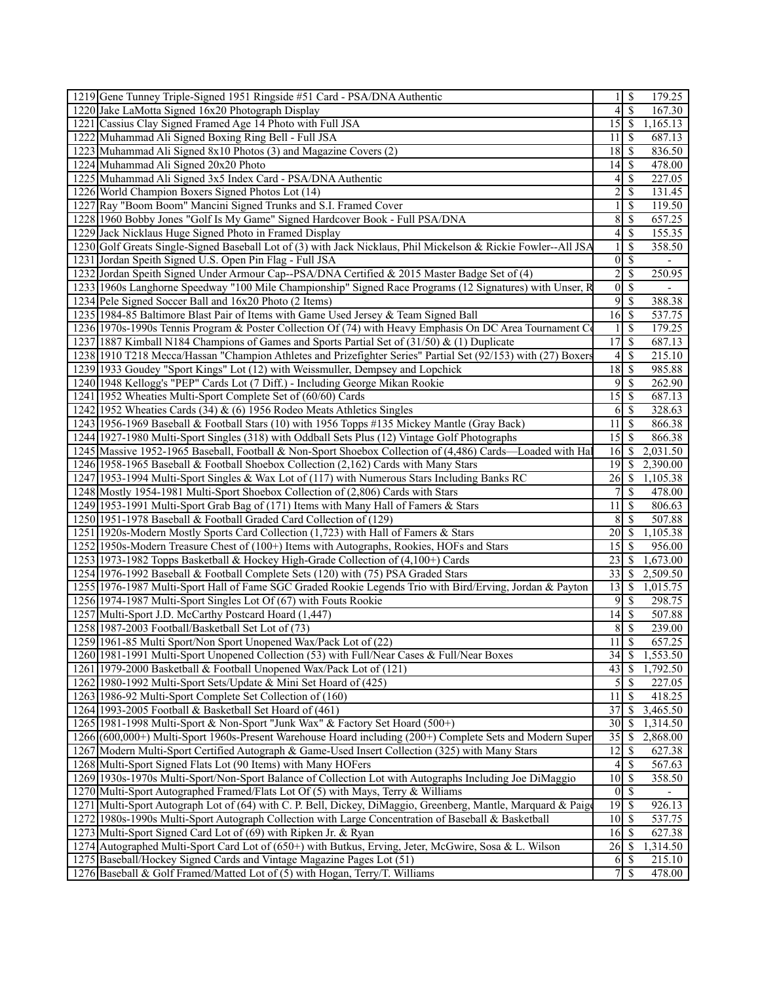|      | 1219 Gene Tunney Triple-Signed 1951 Ringside #51 Card - PSA/DNA Authentic                                      |                 | $1 \mid$ \$              | 179.25   |
|------|----------------------------------------------------------------------------------------------------------------|-----------------|--------------------------|----------|
|      | 1220 Jake LaMotta Signed 16x20 Photograph Display                                                              | 4               | <b>S</b>                 | 167.30   |
| 1221 | Cassius Clay Signed Framed Age 14 Photo with Full JSA                                                          | 15              | \$                       | 1,165.13 |
|      | 1222 Muhammad Ali Signed Boxing Ring Bell - Full JSA                                                           | 11              | -S                       | 687.13   |
|      | 1223 Muhammad Ali Signed 8x10 Photos (3) and Magazine Covers (2)                                               | 18              | 8                        | 836.50   |
|      | 1224 Muhammad Ali Signed 20x20 Photo                                                                           | 14              | -\$                      | 478.00   |
|      | 1225 Muhammad Ali Signed 3x5 Index Card - PSA/DNA Authentic                                                    | 4               | $\mathcal{S}$            | 227.05   |
|      | 1226 World Champion Boxers Signed Photos Lot (14)                                                              | 2               | $\mathcal{S}$            | 131.45   |
| 1227 | Ray "Boom Boom" Mancini Signed Trunks and S.I. Framed Cover                                                    |                 | \$                       | 119.50   |
|      | 1228 1960 Bobby Jones "Golf Is My Game" Signed Hardcover Book - Full PSA/DNA                                   | 8               | $\mathcal{S}$            | 657.25   |
|      | 1229 Jack Nicklaus Huge Signed Photo in Framed Display                                                         | 4               | -\$                      | 155.35   |
|      | 1230 Golf Greats Single-Signed Baseball Lot of (3) with Jack Nicklaus, Phil Mickelson & Rickie Fowler--All JSA |                 | \$                       | 358.50   |
|      | 1231 Jordan Speith Signed U.S. Open Pin Flag - Full JSA                                                        | $\vert 0 \vert$ | $\overline{\mathcal{S}}$ |          |
|      | 1232 Jordan Speith Signed Under Armour Cap--PSA/DNA Certified & 2015 Master Badge Set of (4)                   | $\overline{2}$  | <sup>\$</sup>            | 250.95   |
|      | 1233 1960s Langhorne Speedway "100 Mile Championship" Signed Race Programs (12 Signatures) with Unser, R       | $\overline{0}$  | $\mathcal{S}$            | ÷,       |
|      |                                                                                                                | 9               | -\$                      | 388.38   |
|      | 1234 Pele Signed Soccer Ball and 16x20 Photo (2 Items)                                                         |                 |                          |          |
|      | 1235 1984-85 Baltimore Blast Pair of Items with Game Used Jersey & Team Signed Ball                            | 16              | $\mathsf{S}$             | 537.75   |
|      | 1236 1970s-1990s Tennis Program & Poster Collection Of (74) with Heavy Emphasis On DC Area Tournament Co       |                 | $\mathcal{S}$            | 179.25   |
|      | 1237 1887 Kimball N184 Champions of Games and Sports Partial Set of (31/50) & (1) Duplicate                    | $\overline{17}$ | -\$                      | 687.13   |
|      | 1238 1910 T218 Mecca/Hassan "Champion Athletes and Prizefighter Series" Partial Set (92/153) with (27) Boxers  | 4               | -\$                      | 215.10   |
|      | 1239 1933 Goudey "Sport Kings" Lot (12) with Weissmuller, Dempsey and Lopchick                                 | 18              | $\mathcal{S}$            | 985.88   |
|      | 1240 1948 Kellogg's "PEP" Cards Lot (7 Diff.) - Including George Mikan Rookie                                  | 9               | -S                       | 262.90   |
|      | 1241 1952 Wheaties Multi-Sport Complete Set of (60/60) Cards                                                   | 15              | $\sqrt{3}$               | 687.13   |
|      | 1242 1952 Wheaties Cards (34) $\&$ (6) 1956 Rodeo Meats Athletics Singles                                      | 6               | <b>S</b>                 | 328.63   |
|      | 1243 1956-1969 Baseball & Football Stars (10) with 1956 Topps #135 Mickey Mantle (Gray Back)                   | 11              | $\sqrt{S}$               | 866.38   |
|      | 1244 1927-1980 Multi-Sport Singles (318) with Oddball Sets Plus (12) Vintage Golf Photographs                  | 15              | l \$                     | 866.38   |
|      | 1245 Massive 1952-1965 Baseball, Football & Non-Sport Shoebox Collection of (4,486) Cards—Loaded with Hal      | 16              | -\$                      | 2,031.50 |
|      | 1246 1958-1965 Baseball & Football Shoebox Collection (2,162) Cards with Many Stars                            | 19              | 8                        | 2,390.00 |
|      | 1247 1953-1994 Multi-Sport Singles & Wax Lot of (117) with Numerous Stars Including Banks RC                   | 26              | -\$                      | 1,105.38 |
|      | 1248 Mostly 1954-1981 Multi-Sport Shoebox Collection of (2,806) Cards with Stars                               | 7               | -\$                      | 478.00   |
|      | 1249 1953-1991 Multi-Sport Grab Bag of (171) Items with Many Hall of Famers & Stars                            | 11              | -\$                      | 806.63   |
|      |                                                                                                                |                 | $\mathcal{S}$            | 507.88   |
|      | 1250 1951-1978 Baseball & Football Graded Card Collection of (129)                                             | 8               |                          |          |
|      | 1251 1920s-Modern Mostly Sports Card Collection (1,723) with Hall of Famers & Stars                            | 20              | -\$                      | 1,105.38 |
|      | 1252 1950s-Modern Treasure Chest of (100+) Items with Autographs, Rookies, HOFs and Stars                      | 15              | - \$                     | 956.00   |
|      | 1253 1973-1982 Topps Basketball & Hockey High-Grade Collection of (4,100+) Cards                               | 23              | -\$                      | 1,673.00 |
|      | 1254 1976-1992 Baseball & Football Complete Sets (120) with (75) PSA Graded Stars                              | 33              | - \$                     | 2,509.50 |
|      | 1255 1976-1987 Multi-Sport Hall of Fame SGC Graded Rookie Legends Trio with Bird/Erving, Jordan & Payton       | 13              | $\sqrt{S}$               | 1,015.75 |
|      | 1256 1974-1987 Multi-Sport Singles Lot Of (67) with Fouts Rookie                                               | 9               | $\mathcal{S}$            | 298.75   |
|      | 1257 Multi-Sport J.D. McCarthy Postcard Hoard (1,447)                                                          | 14              | 8                        | 507.88   |
|      | 1258 1987-2003 Football/Basketball Set Lot of (73)                                                             | 8               | 8                        | 239.00   |
|      | 1259 1961-85 Multi Sport/Non Sport Unopened Wax/Pack Lot of (22)                                               | $\overline{11}$ | $\overline{\mathcal{S}}$ | 657.25   |
|      | 1260 1981-1991 Multi-Sport Unopened Collection (53) with Full/Near Cases & Full/Near Boxes                     |                 |                          | 1,553.50 |
|      | 1261 1979-2000 Basketball & Football Unopened Wax/Pack Lot of (121)                                            | 43              | -\$                      | 1,792.50 |
|      | 1262 1980-1992 Multi-Sport Sets/Update & Mini Set Hoard of (425)                                               | $\mathfrak{H}$  | <b>S</b>                 | 227.05   |
|      | 1263 1986-92 Multi-Sport Complete Set Collection of (160)                                                      | 11              | -S                       | 418.25   |
|      | 1264 1993-2005 Football & Basketball Set Hoard of (461)                                                        | 37              | -\$                      | 3,465.50 |
|      | 1265 1981-1998 Multi-Sport & Non-Sport "Junk Wax" & Factory Set Hoard (500+)                                   | 30              | -\$                      | 1,314.50 |
|      | 1266 (600,000+) Multi-Sport 1960s-Present Warehouse Hoard including (200+) Complete Sets and Modern Super      | 35              | -\$                      | 2,868.00 |
|      | 1267 Modern Multi-Sport Certified Autograph & Game-Used Insert Collection (325) with Many Stars                | 12              | -S                       | 627.38   |
|      | 1268 Multi-Sport Signed Flats Lot (90 Items) with Many HOFers                                                  | 4               | $\mathbb{S}$             | 567.63   |
|      | 1269 1930s-1970s Multi-Sport/Non-Sport Balance of Collection Lot with Autographs Including Joe DiMaggio        | 10              | -S                       | 358.50   |
|      | 1270 Multi-Sport Autographed Framed/Flats Lot Of (5) with Mays, Terry & Williams                               | $0\vert S$      |                          |          |
|      | 1271 Multi-Sport Autograph Lot of (64) with C. P. Bell, Dickey, DiMaggio, Greenberg, Mantle, Marquard & Paigo  | 19              | - \$                     | 926.13   |
|      |                                                                                                                |                 |                          |          |
|      | 1272 1980s-1990s Multi-Sport Autograph Collection with Large Concentration of Baseball & Basketball            | 10              | S                        | 537.75   |
|      | 1273 Multi-Sport Signed Card Lot of (69) with Ripken Jr. & Ryan                                                | $16$ $\sqrt{ }$ |                          | 627.38   |
|      | 1274 Autographed Multi-Sport Card Lot of (650+) with Butkus, Erving, Jeter, McGwire, Sosa & L. Wilson          | 26              | 8                        | 1,314.50 |
|      | 1275 Baseball/Hockey Signed Cards and Vintage Magazine Pages Lot (51)                                          | 6               | - \$                     | 215.10   |
|      | 1276 Baseball & Golf Framed/Matted Lot of (5) with Hogan, Terry/T. Williams                                    |                 | 7s                       | 478.00   |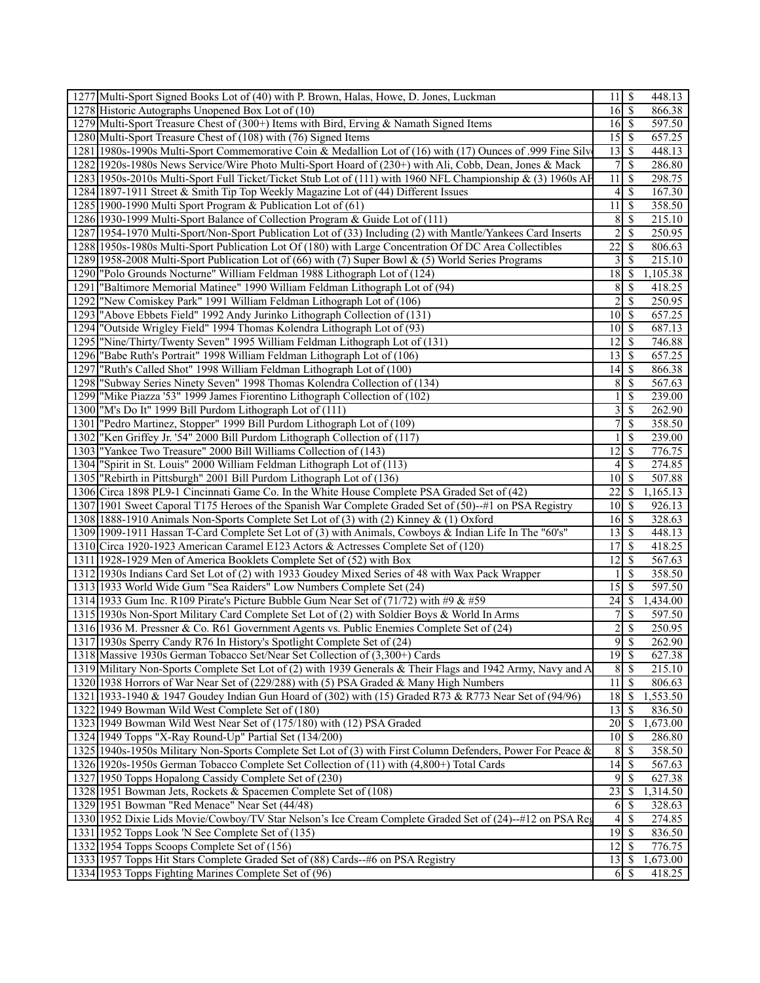|      | 1277 Multi-Sport Signed Books Lot of (40) with P. Brown, Halas, Howe, D. Jones, Luckman                       | 11                      | \$            | 448.13              |
|------|---------------------------------------------------------------------------------------------------------------|-------------------------|---------------|---------------------|
|      | 1278 Historic Autographs Unopened Box Lot of (10)                                                             | $16\overline{3}$        |               | 866.38              |
|      | 1279 Multi-Sport Treasure Chest of (300+) Items with Bird, Erving & Namath Signed Items                       | 16S                     |               | 597.50              |
|      | 1280 Multi-Sport Treasure Chest of (108) with (76) Signed Items                                               | 15                      | 8             | 657.25              |
|      | 1281 1980s-1990s Multi-Sport Commemorative Coin & Medallion Lot of (16) with (17) Ounces of .999 Fine Silve   | 13                      | 8             | 448.13              |
|      | 1282 1920s-1980s News Service/Wire Photo Multi-Sport Hoard of (230+) with Ali, Cobb, Dean, Jones & Mack       | 7                       | S             | 286.80              |
|      | 1283 1950s-2010s Multi-Sport Full Ticket/Ticket Stub Lot of (111) with 1960 NFL Championship & (3) 1960s AF   | 11                      | S             | 298.75              |
|      |                                                                                                               |                         |               |                     |
|      | 1284 1897-1911 Street & Smith Tip Top Weekly Magazine Lot of (44) Different Issues                            | 4                       | -\$           | 167.30              |
|      | 1285 1900-1990 Multi Sport Program & Publication Lot of (61)                                                  | 11                      | S             | 358.50              |
|      | 1286 1930-1999 Multi-Sport Balance of Collection Program & Guide Lot of (111)                                 | 8                       | \$            | 215.10              |
|      | 1287   1954-1970 Multi-Sport/Non-Sport Publication Lot of (33) Including (2) with Mantle/Yankees Card Inserts | $\overline{c}$          | \$            | 250.95              |
|      | 1288 1950s-1980s Multi-Sport Publication Lot Of (180) with Large Concentration Of DC Area Collectibles        | 22                      | <sup>\$</sup> | 806.63              |
|      | 1289 1958-2008 Multi-Sport Publication Lot of (66) with (7) Super Bowl & (5) World Series Programs            | 3                       | S             | 215.10              |
|      | 1290 "Polo Grounds Nocturne" William Feldman 1988 Lithograph Lot of (124)                                     |                         |               | 1,105.38            |
| 1291 | "Baltimore Memorial Matinee" 1990 William Feldman Lithograph Lot of (94)                                      | 8                       | <sup>\$</sup> | 418.25              |
|      | 1292 "New Comiskey Park" 1991 William Feldman Lithograph Lot of (106)                                         | 2                       | S             | 250.95              |
|      | 1293   "Above Ebbets Field" 1992 Andy Jurinko Lithograph Collection of (131)                                  | $10 \mid S$             |               | 657.25              |
|      | 1294 "Outside Wrigley Field" 1994 Thomas Kolendra Lithograph Lot of (93)                                      | $10\vert S$             |               | 687.13              |
|      | 1295  "Nine/Thirty/Twenty Seven" 1995 William Feldman Lithograph Lot of (131)                                 | 12                      | - \$          | 746.88              |
|      | 1296 Babe Ruth's Portrait" 1998 William Feldman Lithograph Lot of (106)                                       |                         |               | 657.25              |
| 1297 | "Ruth's Called Shot" 1998 William Feldman Lithograph Lot of (100)                                             | 14                      | \$            | 866.38              |
|      | 1298 Subway Series Ninety Seven" 1998 Thomas Kolendra Collection of (134)                                     | 8                       | \$            | 567.63              |
|      |                                                                                                               |                         |               |                     |
|      | 1299  "Mike Piazza '53" 1999 James Fiorentino Lithograph Collection of (102)                                  |                         | -S            | 239.00              |
|      | 1300  "M's Do It" 1999 Bill Purdom Lithograph Lot of (111)                                                    | $\overline{\mathbf{3}}$ | -\$           | 262.90              |
|      | 1301   "Pedro Martinez, Stopper" 1999 Bill Purdom Lithograph Lot of (109)                                     | 7                       | \$            | 358.50              |
| 1302 | "Ken Griffey Jr. '54" 2000 Bill Purdom Lithograph Collection of (117)                                         |                         | -S            | 239.00              |
|      | 1303 "Yankee Two Treasure" 2000 Bill Williams Collection of (143)                                             | 12                      | \$            | 776.75              |
|      | 1304 Spirit in St. Louis" 2000 William Feldman Lithograph Lot of (113)                                        | 4                       | S             | 274.85              |
|      | 1305  "Rebirth in Pittsburgh" 2001 Bill Purdom Lithograph Lot of (136)                                        | 10 <sup>1</sup>         | l \$          | 507.88              |
|      | 1306 Circa 1898 PL9-1 Cincinnati Game Co. In the White House Complete PSA Graded Set of (42)                  | 22                      | S             | 1,165.13            |
|      | 1307 1901 Sweet Caporal T175 Heroes of the Spanish War Complete Graded Set of (50)--#1 on PSA Registry        | 10                      | 8             | 926.13              |
|      | 1308 1888-1910 Animals Non-Sports Complete Set Lot of (3) with (2) Kinney & (1) Oxford                        | $16 \mid$ \$            |               | 328.63              |
|      | 1309 1909-1911 Hassan T-Card Complete Set Lot of (3) with Animals, Cowboys & Indian Life In The "60's"        |                         |               | 448.13              |
|      | 1310 Circa 1920-1923 American Caramel E123 Actors & Actresses Complete Set of (120)                           | 17                      | \$            | 418.25              |
|      | 1311 1928-1929 Men of America Booklets Complete Set of (52) with Box                                          | 12                      | -S            | 567.63              |
|      | 1312 1930s Indians Card Set Lot of (2) with 1933 Goudey Mixed Series of 48 with Wax Pack Wrapper              |                         | <sup>\$</sup> | 358.50              |
|      | 1313 1933 World Wide Gum "Sea Raiders" Low Numbers Complete Set (24)                                          | 15                      | S             | 597.50              |
|      |                                                                                                               |                         |               | 1,434.00            |
|      | 1314 1933 Gum Inc. R109 Pirate's Picture Bubble Gum Near Set of $(71/72)$ with #9 & #59                       |                         |               |                     |
|      | 1315 1930s Non-Sport Military Card Complete Set Lot of (2) with Soldier Boys & World In Arms                  |                         | \$            | 597.50              |
|      | 1316 1936 M. Pressner & Co. R61 Government Agents vs. Public Enemies Complete Set of (24)                     | $\overline{\mathbf{c}}$ | \$            | 250.95              |
|      | 1317 1930s Sperry Candy R76 In History's Spotlight Complete Set of (24)                                       |                         | 95            | 262.90              |
|      | 1318 Massive 1930s German Tobacco Set/Near Set Collection of (3,300+) Cards                                   |                         |               | 627.38              |
|      | 1319 Military Non-Sports Complete Set Lot of (2) with 1939 Generals & Their Flags and 1942 Army, Navy and A   | 8                       | $\mathbf{\$}$ | $\overline{215.10}$ |
|      | 1320 1938 Horrors of War Near Set of (229/288) with (5) PSA Graded & Many High Numbers                        | 11                      | <sup>5</sup>  | 806.63              |
|      | 1321 1933-1940 & 1947 Goudey Indian Gun Hoard of (302) with (15) Graded R73 & R773 Near Set of (94/96)        | 18                      | \$            | 1,553.50            |
|      | 1322 1949 Bowman Wild West Complete Set of (180)                                                              | 13                      | S             | 836.50              |
|      | 1323 1949 Bowman Wild West Near Set of (175/180) with (12) PSA Graded                                         |                         |               | 1,673.00            |
|      | 1324 1949 Topps "X-Ray Round-Up" Partial Set (134/200)                                                        | 10 <sup>1</sup>         | - \$          | 286.80              |
|      | 1325 1940s-1950s Military Non-Sports Complete Set Lot of (3) with First Column Defenders, Power For Peace &   | 8                       | -S            | 358.50              |
|      | 1326 1920s-1950s German Tobacco Complete Set Collection of (11) with (4,800+) Total Cards                     | 14                      | <sup>\$</sup> | 567.63              |
|      | 1327 1950 Topps Hopalong Cassidy Complete Set of (230)                                                        | 9                       | S             | 627.38              |
|      | 1328 1951 Bowman Jets, Rockets & Spacemen Complete Set of (108)                                               | $\overline{23}$         | -S            | 1,314.50            |
|      | 1329 1951 Bowman "Red Menace" Near Set (44/48)                                                                | 6                       | -S            | 328.63              |
|      | 1330 1952 Dixie Lids Movie/Cowboy/TV Star Nelson's Ice Cream Complete Graded Set of (24)-+#12 on PSA Reg      | 4                       | S             | 274.85              |
|      |                                                                                                               |                         |               |                     |
|      | 1331 1952 Topps Look 'N See Complete Set of (135)                                                             | $\overline{19}$ \$      |               | 836.50              |
|      | 1332 1954 Topps Scoops Complete Set of (156)                                                                  | $12 \mid$ \$            |               | 776.75              |
|      | 1333 1957 Topps Hit Stars Complete Graded Set of (88) Cards--#6 on PSA Registry                               | $13 \mid$ \$            |               | 1,673.00            |
|      | 1334 1953 Topps Fighting Marines Complete Set of (96)                                                         |                         |               | 418.25              |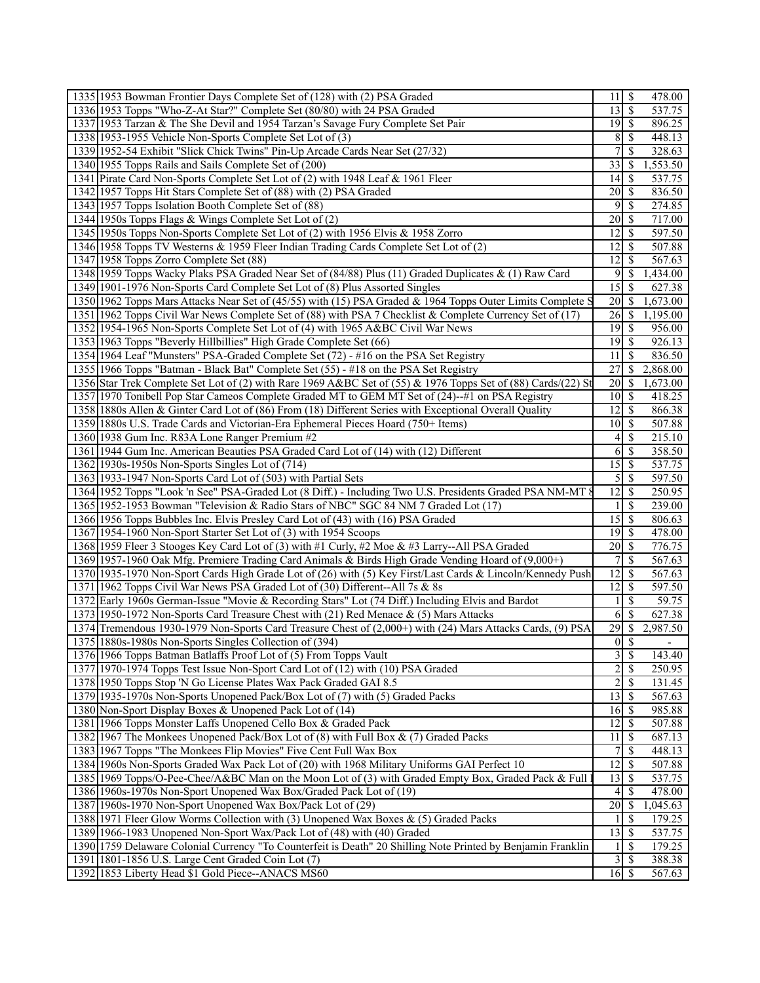| 1335 1953 Bowman Frontier Days Complete Set of (128) with (2) PSA Graded                                      | 11                      | \$                         | 478.00          |
|---------------------------------------------------------------------------------------------------------------|-------------------------|----------------------------|-----------------|
| 1336 1953 Topps "Who-Z-At Star?" Complete Set (80/80) with 24 PSA Graded                                      | 13                      | $\overline{\mathcal{S}}$   | 537.75          |
| 1337 1953 Tarzan & The She Devil and 1954 Tarzan's Savage Fury Complete Set Pair                              |                         |                            | 896.25          |
| 1338 1953-1955 Vehicle Non-Sports Complete Set Lot of (3)                                                     | 8                       | <sup>\$</sup>              | 448.13          |
| 1339 1952-54 Exhibit "Slick Chick Twins" Pin-Up Arcade Cards Near Set (27/32)                                 | 7                       | \$.                        | 328.63          |
| 1340 1955 Topps Rails and Sails Complete Set of (200)                                                         | 33                      | -S                         | 1,553.50        |
| 1341 Pirate Card Non-Sports Complete Set Lot of (2) with 1948 Leaf & 1961 Fleer                               | 14                      | <sup>\$</sup>              | 537.75          |
| 1342 1957 Topps Hit Stars Complete Set of (88) with (2) PSA Graded                                            | 20                      | -S                         | 836.50          |
| 1343 1957 Topps Isolation Booth Complete Set of (88)                                                          | 9                       | -S                         | 274.85          |
| 1344 1950s Topps Flags & Wings Complete Set Lot of (2)                                                        | 20                      | -S                         | 717.00          |
| 1345 1950s Topps Non-Sports Complete Set Lot of (2) with 1956 Elvis & 1958 Zorro                              | 12                      | \$                         | 597.50          |
|                                                                                                               | 12                      |                            |                 |
| 1346 1958 Topps TV Westerns & 1959 Fleer Indian Trading Cards Complete Set Lot of (2)                         |                         | \$                         | 507.88          |
| 1347 1958 Topps Zorro Complete Set (88)                                                                       | $12 \mid$ \$            |                            | 567.63          |
| 1348 1959 Topps Wacky Plaks PSA Graded Near Set of (84/88) Plus (11) Graded Duplicates & (1) Raw Card         | 9                       | -S                         | 1,434.00        |
| 1349 1901-1976 Non-Sports Card Complete Set Lot of (8) Plus Assorted Singles                                  | $\overline{15}$ \$      |                            | 627.38          |
| 1350 1962 Topps Mars Attacks Near Set of (45/55) with (15) PSA Graded & 1964 Topps Outer Limits Complete S    | 20                      | <sup>\$</sup>              | 1,673.00        |
| 1351 1962 Topps Civil War News Complete Set of (88) with PSA 7 Checklist & Complete Currency Set of (17)      | 26                      | <sup>S</sup>               | 1,195.00        |
| 1352 1954-1965 Non-Sports Complete Set Lot of (4) with 1965 A&BC Civil War News                               | 19                      | - \$                       | 956.00          |
| 1353 1963 Topps "Beverly Hillbillies" High Grade Complete Set (66)                                            |                         | $19$ $\sqrt{5}$            | 926.13          |
| 1354 1964 Leaf "Munsters" PSA-Graded Complete Set (72) - #16 on the PSA Set Registry                          | 11                      | <sup>\$</sup>              | 836.50          |
| 1355 1966 Topps "Batman - Black Bat" Complete Set (55) - #18 on the PSA Set Registry                          | 27                      | <sup>S</sup>               | 2,868.00        |
| 1356 Star Trek Complete Set Lot of (2) with Rare 1969 A&BC Set of (55) & 1976 Topps Set of (88) Cards/(22) St | 20                      | $\mathbb{S}$               | 1,673.00        |
| 1357 1970 Tonibell Pop Star Cameos Complete Graded MT to GEM MT Set of (24)--#1 on PSA Registry               | 10 <sup>1</sup>         | \$                         | 418.25          |
| 1358 1880s Allen & Ginter Card Lot of (86) From (18) Different Series with Exceptional Overall Quality        | 12                      | <sup>\$</sup>              | 866.38          |
| 1359 1880s U.S. Trade Cards and Victorian-Era Ephemeral Pieces Hoard (750+ Items)                             |                         | $10\vert S$                | 507.88          |
| 1360 1938 Gum Inc. R83A Lone Ranger Premium #2                                                                | $\vert 4 \vert$         | <sup>\$</sup>              | 215.10          |
| 1361 1944 Gum Inc. American Beauties PSA Graded Card Lot of (14) with (12) Different                          | 6                       | -S                         | 358.50          |
| 1362 1930s-1950s Non-Sports Singles Lot of (714)                                                              | 15                      | <sup>\$</sup>              | 537.75          |
| 1363 1933-1947 Non-Sports Card Lot of (503) with Partial Sets                                                 | 5                       | -S                         | 597.50          |
| 1364 1952 Topps "Look 'n See" PSA-Graded Lot (8 Diff.) - Including Two U.S. Presidents Graded PSA NM-MT 8     | 12                      | <sup>\$</sup>              | 250.95          |
| 1365 1952-1953 Bowman "Television & Radio Stars of NBC" SGC 84 NM 7 Graded Lot (17)                           | $\mathbf{1}$            | <sup>\$</sup>              | 239.00          |
| 1366 1956 Topps Bubbles Inc. Elvis Presley Card Lot of (43) with (16) PSA Graded                              | 15                      | -S                         | 806.63          |
| 1367 1954-1960 Non-Sport Starter Set Lot of (3) with 1954 Scoops                                              |                         |                            | 478.00          |
| 1368 1959 Fleer 3 Stooges Key Card Lot of (3) with #1 Curly, #2 Moe & #3 Larry--All PSA Graded                | 20                      | <sup>\$</sup>              | 776.75          |
| 1369 1957-1960 Oak Mfg. Premiere Trading Card Animals & Birds High Grade Vending Hoard of (9,000+)            | 7                       | <sup>\$</sup>              | 567.63          |
| 1370 1935-1970 Non-Sport Cards High Grade Lot of (26) with (5) Key First/Last Cards & Lincoln/Kennedy Push    | 12                      | -S                         | 567.63          |
| 1371 1962 Topps Civil War News PSA Graded Lot of (30) Different--All 7s & 8s                                  | 12                      | <sup>\$</sup>              |                 |
|                                                                                                               | $\mathbf{1}$            | <sup>\$</sup>              | 597.50<br>59.75 |
| 1372 Early 1960s German-Issue "Movie & Recording Stars" Lot (74 Diff.) Including Elvis and Bardot             |                         |                            |                 |
| 1373 1950-1972 Non-Sports Card Treasure Chest with (21) Red Menace & (5) Mars Attacks                         | 6                       | $\mathbb{S}$               | 627.38          |
| 1374 Tremendous 1930-1979 Non-Sports Card Treasure Chest of (2,000+) with (24) Mars Attacks Cards, (9) PSA    |                         | $\overline{29}$ \$         | 2,987.50        |
| 1375 1880s-1980s Non-Sports Singles Collection of (394)                                                       |                         | $0 \overline{\smash{)}\,}$ |                 |
| 1376 1966 Topps Batman Batlaffs Proof Lot of (5) From Topps Vault                                             | $\overline{\mathbf{3}}$ | -S                         | 143.40          |
| 1377 1970-1974 Topps Test Issue Non-Sport Card Lot of (12) with (10) PSA Graded                               | $\sqrt{2}$              | <sup>\$</sup>              | 250.95          |
| 1378 1950 Topps Stop 'N Go License Plates Wax Pack Graded GAI 8.5                                             | $\boldsymbol{2}$        | $\mathcal{S}$              | 131.45          |
| 1379 1935-1970s Non-Sports Unopened Pack/Box Lot of (7) with (5) Graded Packs                                 | 13                      | -S                         | 567.63          |
| 1380 Non-Sport Display Boxes & Unopened Pack Lot of (14)                                                      | 16                      | <sup>\$</sup>              | 985.88          |
| 1381 1966 Topps Monster Laffs Unopened Cello Box & Graded Pack                                                | 12                      | -S                         | 507.88          |
| 1382 1967 The Monkees Unopened Pack/Box Lot of (8) with Full Box & (7) Graded Packs                           | 11                      | \$                         | 687.13          |
| 1383 1967 Topps "The Monkees Flip Movies" Five Cent Full Wax Box                                              | 7                       | S                          | 448.13          |
| 1384 1960s Non-Sports Graded Wax Pack Lot of (20) with 1968 Military Uniforms GAI Perfect 10                  | 12                      | -S                         | 507.88          |
| 1385 1969 Topps/O-Pee-Chee/A&BC Man on the Moon Lot of (3) with Graded Empty Box, Graded Pack & Full          | 13                      | <sup>\$</sup>              | 537.75          |
| 1386 1960s-1970s Non-Sport Unopened Wax Box/Graded Pack Lot of (19)                                           | 4                       | S                          | 478.00          |
| 1387 1960s-1970 Non-Sport Unopened Wax Box/Pack Lot of (29)                                                   | 20                      | <sup>S</sup>               | 1,045.63        |
| 1388 1971 Fleer Glow Worms Collection with (3) Unopened Wax Boxes & (5) Graded Packs                          | 1                       | S                          | 179.25          |
| 1389 1966-1983 Unopened Non-Sport Wax/Pack Lot of (48) with (40) Graded                                       | 13                      | -S                         | 537.75          |
| 1390 1759 Delaware Colonial Currency "To Counterfeit is Death" 20 Shilling Note Printed by Benjamin Franklin  | $\mathbf{1}$            | <sup>S</sup>               | 179.25          |
| 1391 1801-1856 U.S. Large Cent Graded Coin Lot (7)                                                            | $\mathfrak{Z}$          | <sup>\$</sup>              | 388.38          |
| 1392 1853 Liberty Head \$1 Gold Piece--ANACS MS60                                                             | $16 \mid$ \$            |                            | 567.63          |
|                                                                                                               |                         |                            |                 |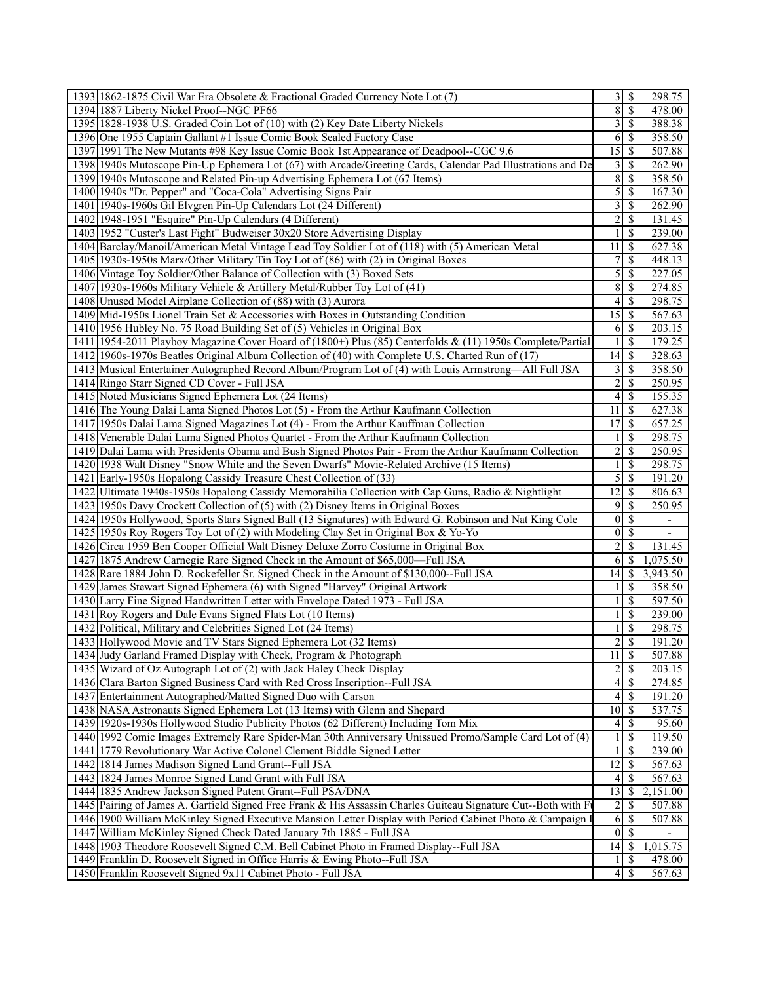| 1393 1862-1875 Civil War Era Obsolete & Fractional Graded Currency Note Lot (7)                                |                         |                          | 298.75                   |
|----------------------------------------------------------------------------------------------------------------|-------------------------|--------------------------|--------------------------|
| 1394 1887 Liberty Nickel Proof--NGC PF66                                                                       | 8                       | $\overline{\mathcal{S}}$ | 478.00                   |
| 1395 1828-1938 U.S. Graded Coin Lot of (10) with (2) Key Date Liberty Nickels                                  | 3                       | $\mathcal{S}$            | 388.38                   |
| 1396 One 1955 Captain Gallant #1 Issue Comic Book Sealed Factory Case                                          | 6                       | $\mathbb{S}$             | 358.50                   |
| 1397 1991 The New Mutants #98 Key Issue Comic Book 1st Appearance of Deadpool--CGC 9.6                         | $\overline{15}$         | $\mathcal{S}$            | 507.88                   |
| 1398 1940s Mutoscope Pin-Up Ephemera Lot (67) with Arcade/Greeting Cards, Calendar Pad Illustrations and De    | 3                       | \$                       | 262.90                   |
| 1399 1940s Mutoscope and Related Pin-up Advertising Ephemera Lot (67 Items)                                    | $\overline{8}$          | \$                       | 358.50                   |
| 1400 1940s "Dr. Pepper" and "Coca-Cola" Advertising Signs Pair                                                 | 5                       | $\mathcal{S}$            | 167.30                   |
| 1401 1940s-1960s Gil Elvgren Pin-Up Calendars Lot (24 Different)                                               | 3                       | \$                       | 262.90                   |
| 1402 1948-1951 "Esquire" Pin-Up Calendars (4 Different)                                                        | $\overline{c}$          | $\mathcal{S}$            | 131.45                   |
| 1403 1952 "Custer's Last Fight" Budweiser 30x20 Store Advertising Display                                      | 1                       | $\mathcal{S}$            | 239.00                   |
| 1404 Barclay/Manoil/American Metal Vintage Lead Toy Soldier Lot of (118) with (5) American Metal               | 11                      | $\mathcal{S}$            | 627.38                   |
| 1405 1930s-1950s Marx/Other Military Tin Toy Lot of (86) with (2) in Original Boxes                            | 7                       | $\mathcal{S}$            | 448.13                   |
|                                                                                                                |                         |                          |                          |
| 1406 Vintage Toy Soldier/Other Balance of Collection with (3) Boxed Sets                                       | 5                       | $\mathcal{S}$            | $\overline{227.05}$      |
| 1407 1930s-1960s Military Vehicle & Artillery Metal/Rubber Toy Lot of (41)                                     | 8                       | \$                       | 274.85                   |
| 1408 Unused Model Airplane Collection of (88) with (3) Aurora                                                  | 4                       | -S                       | 298.75                   |
| 1409 Mid-1950s Lionel Train Set & Accessories with Boxes in Outstanding Condition                              | 15                      | - \$                     | 567.63                   |
| 1410 1956 Hubley No. 75 Road Building Set of (5) Vehicles in Original Box                                      | 6                       | $\mathcal{S}$            | 203.15                   |
| 1411   1954-2011 Playboy Magazine Cover Hoard of (1800+) Plus (85) Centerfolds & (11) 1950s Complete/Partial   |                         | $\mathcal{S}$            | 179.25                   |
| 1412 1960s-1970s Beatles Original Album Collection of (40) with Complete U.S. Charted Run of (17)              | 14                      | $\mathsf{S}$             | 328.63                   |
| 1413 Musical Entertainer Autographed Record Album/Program Lot of (4) with Louis Armstrong—All Full JSA         | 3                       | $\mathcal{S}$            | 358.50                   |
| 1414 Ringo Starr Signed CD Cover - Full JSA                                                                    | $\overline{c}$          | $\mathbb{S}$             | 250.95                   |
| 1415 Noted Musicians Signed Ephemera Lot (24 Items)                                                            | $\overline{4}$          | -\$                      | 155.35                   |
| 1416 The Young Dalai Lama Signed Photos Lot (5) - From the Arthur Kaufmann Collection                          | 11                      | -\$                      | 627.38                   |
| 1417 1950s Dalai Lama Signed Magazines Lot (4) - From the Arthur Kauffman Collection                           | 17                      | $\mathcal{S}$            | 657.25                   |
| 1418 Venerable Dalai Lama Signed Photos Quartet - From the Arthur Kaufmann Collection                          |                         | $\mathcal{S}$            | 298.75                   |
| 1419 Dalai Lama with Presidents Obama and Bush Signed Photos Pair - From the Arthur Kaufmann Collection        | $\overline{c}$          | $\overline{\mathcal{S}}$ | 250.95                   |
| 1420 1938 Walt Disney "Snow White and the Seven Dwarfs" Movie-Related Archive (15 Items)                       |                         | \$                       | 298.75                   |
| 1421 Early-1950s Hopalong Cassidy Treasure Chest Collection of (33)                                            | 5                       | -\$                      | 191.20                   |
| 1422 Ultimate 1940s-1950s Hopalong Cassidy Memorabilia Collection with Cap Guns, Radio & Nightlight            | 12                      | $\mathcal{S}$            | 806.63                   |
| 1423 1950s Davy Crockett Collection of (5) with (2) Disney Items in Original Boxes                             | 9                       | \$                       | 250.95                   |
| 1424 1950s Hollywood, Sports Stars Signed Ball (13 Signatures) with Edward G. Robinson and Nat King Cole       | $\boldsymbol{0}$        | $\overline{\mathcal{S}}$ | $\overline{\phantom{a}}$ |
| 1425 1950s Roy Rogers Toy Lot of (2) with Modeling Clay Set in Original Box & Yo-Yo                            | $\boldsymbol{0}$        | $\mathbb{S}$             | $\overline{\phantom{a}}$ |
| 1426 Circa 1959 Ben Cooper Official Walt Disney Deluxe Zorro Costume in Original Box                           | $\overline{2}$          | \$                       | 131.45                   |
| 1427 1875 Andrew Carnegie Rare Signed Check in the Amount of \$65,000-Full JSA                                 | 6                       | -\$                      | 1,075.50                 |
| 1428 Rare 1884 John D. Rockefeller Sr. Signed Check in the Amount of \$130,000--Full JSA                       | 14                      | -S                       | 3,943.50                 |
| 1429 James Stewart Signed Ephemera (6) with Signed "Harvey" Original Artwork                                   |                         | <sup>\$</sup>            | 358.50                   |
| 1430 Larry Fine Signed Handwritten Letter with Envelope Dated 1973 - Full JSA                                  |                         | \$                       | 597.50                   |
| 1431 Roy Rogers and Dale Evans Signed Flats Lot (10 Items)                                                     |                         | \$                       | 239.00                   |
| 1432 Political, Military and Celebrities Signed Lot (24 Items)                                                 |                         | \$                       | 298.75                   |
| 1433 Hollywood Movie and TV Stars Signed Ephemera Lot (32 Items)                                               | $\overline{c}$          | $\overline{\mathcal{S}}$ | 191.20                   |
| 1434 Judy Garland Framed Display with Check, Program & Photograph                                              | 11                      | $\sqrt{S}$               | 507.88                   |
| 1435 Wizard of Oz Autograph Lot of (2) with Jack Haley Check Display                                           | $\overline{\mathbf{c}}$ | $\overline{\mathcal{S}}$ | 203.15                   |
| 1436 Clara Barton Signed Business Card with Red Cross Inscription--Full JSA                                    | $\vert 4 \vert$         | \$                       | 274.85                   |
| 1437 Entertainment Autographed/Matted Signed Duo with Carson                                                   | 4                       | $\mathcal{S}$            | 191.20                   |
| 1438 NASA Astronauts Signed Ephemera Lot (13 Items) with Glenn and Shepard                                     | 10 <sup>1</sup>         | -\$                      | 537.75                   |
| 1439 1920s-1930s Hollywood Studio Publicity Photos (62 Different) Including Tom Mix                            | $\left 4\right $        | - \$                     | 95.60                    |
| 1440 1992 Comic Images Extremely Rare Spider-Man 30th Anniversary Unissued Promo/Sample Card Lot of (4)        |                         | $\mathcal{S}$            | 119.50                   |
| 1441 1779 Revolutionary War Active Colonel Clement Biddle Signed Letter                                        |                         | \$                       | 239.00                   |
| 1442 1814 James Madison Signed Land Grant--Full JSA                                                            | 12                      | $\mathcal{S}$            | 567.63                   |
| 1443 1824 James Monroe Signed Land Grant with Full JSA                                                         | 4                       | \$                       | 567.63                   |
| 1444 1835 Andrew Jackson Signed Patent Grant--Full PSA/DNA                                                     | 13                      | -S                       | 2,151.00                 |
| 1445 Pairing of James A. Garfield Signed Free Frank & His Assassin Charles Guiteau Signature Cut--Both with Fi | $\overline{c}$          | $\mathcal{S}$            | 507.88                   |
| 1446 1900 William McKinley Signed Executive Mansion Letter Display with Period Cabinet Photo & Campaign 1      | 6                       | $\mathbb{S}$             | 507.88                   |
| 1447 William McKinley Signed Check Dated January 7th 1885 - Full JSA                                           | $\overline{0}$          | $\sqrt{S}$               |                          |
| 1448 1903 Theodore Roosevelt Signed C.M. Bell Cabinet Photo in Framed Display--Full JSA                        | 14                      | -\$                      | 1,015.75                 |
| 1449 Franklin D. Roosevelt Signed in Office Harris & Ewing Photo--Full JSA                                     |                         | $\mathbb{S}$             | 478.00                   |
| 1450 Franklin Roosevelt Signed 9x11 Cabinet Photo - Full JSA                                                   |                         |                          | 567.63                   |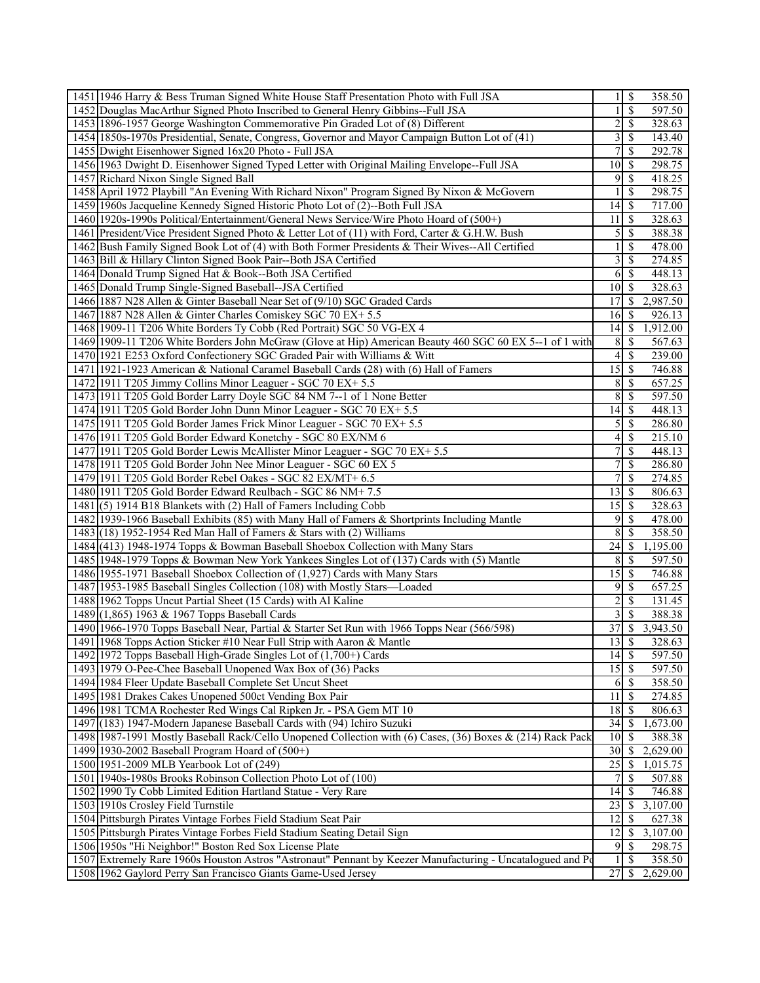| 1451 1946 Harry & Bess Truman Signed White House Staff Presentation Photo with Full JSA                    | $1 \overline{\sqrt{}}$                   |                          | 358.50              |
|------------------------------------------------------------------------------------------------------------|------------------------------------------|--------------------------|---------------------|
| 1452 Douglas MacArthur Signed Photo Inscribed to General Henry Gibbins--Full JSA                           | 1 <sup>1</sup>                           | $\overline{\mathcal{S}}$ | 597.50              |
| 1453 1896-1957 George Washington Commemorative Pin Graded Lot of (8) Different                             | $\overline{2}$                           | $\mathbb{S}$             | 328.63              |
| 1454 1850s-1970s Presidential, Senate, Congress, Governor and Mayor Campaign Button Lot of (41)            | $\overline{\mathbf{3}}$                  | $\overline{\mathcal{S}}$ | 143.40              |
| 1455 Dwight Eisenhower Signed 16x20 Photo - Full JSA                                                       | 7 <sup>1</sup>                           | \$                       | 292.78              |
| 1456 1963 Dwight D. Eisenhower Signed Typed Letter with Original Mailing Envelope--Full JSA                | 10 <sup>1</sup>                          | $\mathcal{S}$            | 298.75              |
| 1457 Richard Nixon Single Signed Ball                                                                      | 9                                        | \$                       | 418.25              |
| 1458 April 1972 Playbill "An Evening With Richard Nixon" Program Signed By Nixon & McGovern                | $\mathbf{1}$                             | $\mathbb{S}$             | 298.75              |
| 1459 1960s Jacqueline Kennedy Signed Historic Photo Lot of (2)--Both Full JSA                              | 14                                       | $\mathbb{S}$             | 717.00              |
| 1460 1920s-1990s Political/Entertainment/General News Service/Wire Photo Hoard of (500+)                   | 11                                       | $\mathbb{S}$             | 328.63              |
| 1461 President/Vice President Signed Photo & Letter Lot of (11) with Ford, Carter & G.H.W. Bush            | $\overline{5}$                           | $\mathbb{S}$             | 388.38              |
| 1462 Bush Family Signed Book Lot of (4) with Both Former Presidents & Their Wives--All Certified           | $\mathbf{1}$                             | \$                       | 478.00              |
|                                                                                                            | $\overline{\mathbf{3}}$                  | $\mathbb{S}$             |                     |
| 1463 Bill & Hillary Clinton Signed Book Pair--Both JSA Certified                                           |                                          |                          | 274.85              |
| 1464 Donald Trump Signed Hat & Book--Both JSA Certified                                                    | $6 \overline{\smash{)}\,}$               |                          | 448.13              |
| 1465 Donald Trump Single-Signed Baseball--JSA Certified                                                    | $10$ $\sqrt{5}$                          |                          | 328.63              |
| 1466 1887 N28 Allen & Ginter Baseball Near Set of (9/10) SGC Graded Cards                                  | 17                                       | \$                       | 2,987.50            |
| 1467 1887 N28 Allen & Ginter Charles Comiskey SGC 70 EX+ 5.5                                               | $16 \mid$ \$                             |                          | 926.13              |
| 1468 1909-11 T206 White Borders Ty Cobb (Red Portrait) SGC 50 VG-EX 4                                      |                                          |                          | 1,912.00            |
| 1469 1909-11 T206 White Borders John McGraw (Glove at Hip) American Beauty 460 SGC 60 EX 5--1 of 1 with    | 8 <sup>l</sup>                           | <sup>S</sup>             | 567.63              |
| 1470 1921 E253 Oxford Confectionery SGC Graded Pair with Williams & Witt                                   | $4 \overline{\sqrt{}}$                   |                          | 239.00              |
| 1471 1921-1923 American & National Caramel Baseball Cards (28) with (6) Hall of Famers                     |                                          |                          | 746.88              |
| 1472 1911 T205 Jimmy Collins Minor Leaguer - SGC 70 EX+ 5.5                                                | 8 <sup>l</sup>                           | <sup>\$</sup>            | 657.25              |
| 1473 1911 T205 Gold Border Larry Doyle SGC 84 NM 7--1 of 1 None Better                                     | $\overline{8}$                           | $\mathbb{S}$             | 597.50              |
| 1474 1911 T205 Gold Border John Dunn Minor Leaguer - SGC 70 EX+ 5.5                                        | 14                                       | $\mathcal{S}$            | 448.13              |
| 1475 1911 T205 Gold Border James Frick Minor Leaguer - SGC 70 EX+ 5.5                                      | $\mathfrak{S}$                           | $\mathbb{S}$             | 286.80              |
| 1476 1911 T205 Gold Border Edward Konetchy - SGC 80 EX/NM 6                                                | $4\sqrt{3}$                              |                          | $2\overline{15.10}$ |
| 1477 1911 T205 Gold Border Lewis McAllister Minor Leaguer - SGC 70 EX+ 5.5                                 | 71                                       | $\mathbb{S}$             | 448.13              |
| 1478 1911 T205 Gold Border John Nee Minor Leaguer - SGC 60 EX 5                                            | $7\vert$                                 | \$                       | 286.80              |
| 1479 1911 T205 Gold Border Rebel Oakes - SGC 82 EX/MT+ 6.5                                                 | $\overline{7}$                           | \$                       | 274.85              |
| 1480 1911 T205 Gold Border Edward Reulbach - SGC 86 NM+7.5                                                 | $\overline{13}$ \ $\overline{\$}$        |                          | 806.63              |
| 1481 (5) 1914 B18 Blankets with (2) Hall of Famers Including Cobb                                          | 15                                       | <sup>\$</sup>            | 328.63              |
| 1482 1939-1966 Baseball Exhibits (85) with Many Hall of Famers & Shortprints Including Mantle              | 9                                        | $\mathbb{S}$             | 478.00              |
| 1483 $(18)$ 1952-1954 Red Man Hall of Famers & Stars with (2) Williams                                     | 8 <sup>1</sup>                           | $\mathcal{S}$            | 358.50              |
| 1484 (413) 1948-1974 Topps & Bowman Baseball Shoebox Collection with Many Stars                            | 24                                       | S.                       | 1,195.00            |
| 1485 1948-1979 Topps & Bowman New York Yankees Singles Lot of (137) Cards with (5) Mantle                  | $8 \mid$ \$                              |                          | 597.50              |
| 1486 1955-1971 Baseball Shoebox Collection of (1,927) Cards with Many Stars                                | 15                                       | $\mathcal{S}$            | 746.88              |
| 1487 1953-1985 Baseball Singles Collection (108) with Mostly Stars—Loaded                                  | 9                                        | <sup>\$</sup>            | 657.25              |
| 1488 1962 Topps Uncut Partial Sheet (15 Cards) with Al Kaline                                              | $\overline{2}$                           | $\mathbb{S}$             | 131.45              |
| 1489 (1,865) 1963 & 1967 Topps Baseball Cards                                                              | $\overline{3}$                           | $\overline{\mathcal{S}}$ | 388.38              |
| 1490 1966-1970 Topps Baseball Near, Partial & Starter Set Run with 1966 Topps Near (566/598)               | 37                                       | \$                       | 3,943.50            |
| 1491 1968 Topps Action Sticker #10 Near Full Strip with Aaron & Mantle                                     | $\overline{13}$ \ $\overline{\$}$        |                          | 328.63              |
| 1492 1972 Topps Baseball High-Grade Singles Lot of (1,700+) Cards                                          | $14 \mid$ \$                             |                          | 597.50              |
| 1493 1979 O-Pee-Chee Baseball Unopened Wax Box of (36) Packs                                               | $15\overline{\smash{)}\,}$               |                          | 597.50              |
| 1494 1984 Fleer Update Baseball Complete Set Uncut Sheet                                                   | $6\sqrt{5}$                              |                          | 358.50              |
| 1495 1981 Drakes Cakes Unopened 500ct Vending Box Pair                                                     | 11 l                                     | $\mathbb{S}$             | 274.85              |
| 1496 1981 TCMA Rochester Red Wings Cal Ripken Jr. - PSA Gem MT 10                                          | 18 <sup> </sup>                          | <sup>\$</sup>            | 806.63              |
| 1497 (183) 1947-Modern Japanese Baseball Cards with (94) Ichiro Suzuki                                     |                                          |                          | 1,673.00            |
| 1498 1987-1991 Mostly Baseball Rack/Cello Unopened Collection with (6) Cases, (36) Boxes & (214) Rack Pack | $10\overline{\smash{)}\,}$               |                          | 388.38              |
| 1499 1930-2002 Baseball Program Hoard of $(500+)$                                                          | $30 \mid \frac{2}{3}$                    |                          | 2,629.00            |
| 1500 1951-2009 MLB Yearbook Lot of (249)                                                                   | 25                                       | <sup>\$</sup>            | 1,015.75            |
| 1501 1940s-1980s Brooks Robinson Collection Photo Lot of (100)                                             | 71                                       | $\mathbb{S}$             | 507.88              |
| 1502 1990 Ty Cobb Limited Edition Hartland Statue - Very Rare                                              | 4                                        | $\mathcal{S}$            | 746.88              |
| 1503 1910s Crosley Field Turnstile                                                                         | $23 \mid$ \$                             |                          | 3,107.00            |
| 1504 Pittsburgh Pirates Vintage Forbes Field Stadium Seat Pair                                             | 12                                       | $\overline{\mathcal{S}}$ | 627.38              |
| 1505 Pittsburgh Pirates Vintage Forbes Field Stadium Seating Detail Sign                                   | 12                                       | $\mathbb{S}$             | 3,107.00            |
| 1506 1950s "Hi Neighbor!" Boston Red Sox License Plate                                                     | 9 <sup>1</sup>                           | $\mathcal{S}$            | 298.75              |
| 1507 Extremely Rare 1960s Houston Astros "Astronaut" Pennant by Keezer Manufacturing - Uncatalogued and Po | $\mathbf{1}$                             | \$                       | 358.50              |
| 1508 1962 Gaylord Perry San Francisco Giants Game-Used Jersey                                              | $27 \overline{\smash{\big)}\, \text{S}}$ |                          | 2,629.00            |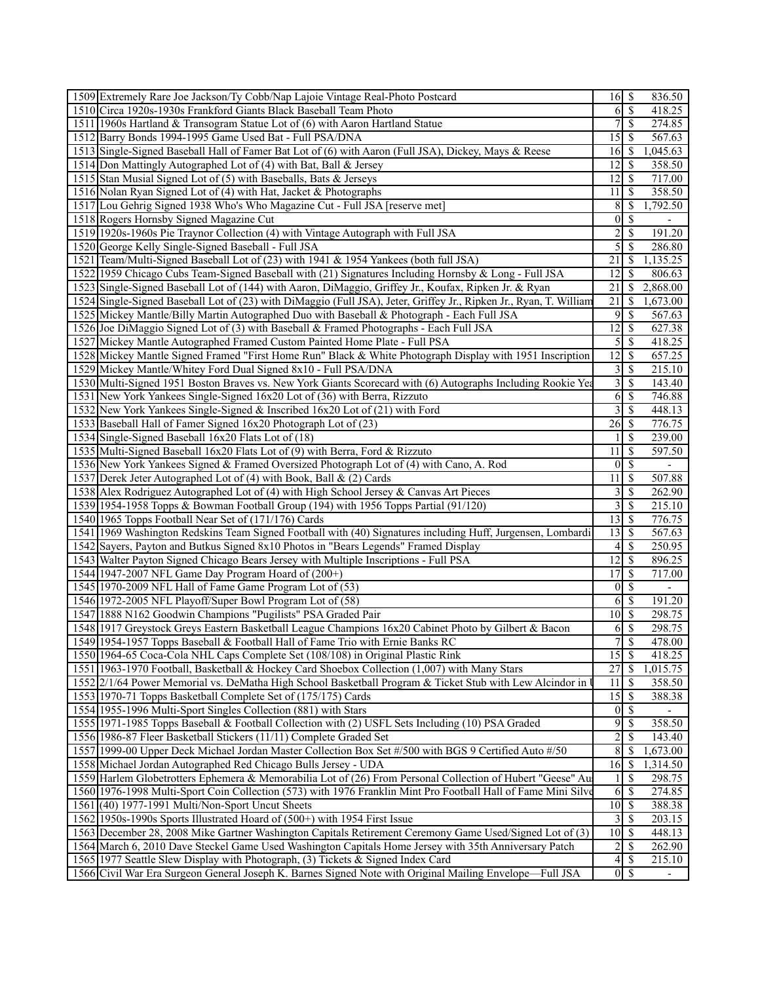| 1509 Extremely Rare Joe Jackson/Ty Cobb/Nap Lajoie Vintage Real-Photo Postcard                                     | \$<br>836.50<br>16                                          |
|--------------------------------------------------------------------------------------------------------------------|-------------------------------------------------------------|
| 1510 Circa 1920s-1930s Frankford Giants Black Baseball Team Photo                                                  | \$<br>418.25<br>6                                           |
| 1511 1960s Hartland & Transogram Statue Lot of (6) with Aaron Hartland Statue                                      | 7<br><sup>\$</sup><br>274.85                                |
| 1512 Barry Bonds 1994-1995 Game Used Bat - Full PSA/DNA                                                            | 15<br>567.63<br>S                                           |
| 1513 Single-Signed Baseball Hall of Famer Bat Lot of (6) with Aaron (Full JSA), Dickey, Mays & Reese               | S<br>1,045.63<br>16 <sub>1</sub>                            |
| 1514 Don Mattingly Autographed Lot of (4) with Bat, Ball & Jersey                                                  | 12<br>S<br>358.50                                           |
| 1515 Stan Musial Signed Lot of (5) with Baseballs, Bats & Jerseys                                                  | 12<br>S<br>717.00                                           |
| 1516 Nolan Ryan Signed Lot of (4) with Hat, Jacket & Photographs                                                   | 358.50<br>11<br><sup>\$</sup>                               |
| 1517 Lou Gehrig Signed 1938 Who's Who Magazine Cut - Full JSA [reserve met]                                        | 8<br><sup>\$</sup><br>1,792.50                              |
| 1518 Rogers Hornsby Signed Magazine Cut                                                                            | <sup>\$</sup><br>$\overline{0}$<br>$\overline{\phantom{a}}$ |
| 1519 1920s-1960s Pie Traynor Collection (4) with Vintage Autograph with Full JSA                                   | $\overline{2}$<br>\$<br>191.20                              |
| 1520 George Kelly Single-Signed Baseball - Full JSA                                                                | $\overline{5}$<br>286.80<br>S                               |
| 1521 Team/Multi-Signed Baseball Lot of (23) with 1941 & 1954 Yankees (both full JSA)                               | 21<br>1,135.25<br>S                                         |
| 1522 1959 Chicago Cubs Team-Signed Baseball with (21) Signatures Including Hornsby & Long - Full JSA               | \$<br>12<br>806.63                                          |
| 1523 Single-Signed Baseball Lot of (144) with Aaron, DiMaggio, Griffey Jr., Koufax, Ripken Jr. & Ryan              | 21<br><sup>\$</sup><br>2,868.00                             |
|                                                                                                                    | \$                                                          |
| 1524 Single-Signed Baseball Lot of (23) with DiMaggio (Full JSA), Jeter, Griffey Jr., Ripken Jr., Ryan, T. William | 21<br>1,673.00                                              |
| 1525 Mickey Mantle/Billy Martin Autographed Duo with Baseball & Photograph - Each Full JSA                         | 9<br>S<br>567.63                                            |
| 1526 Joe DiMaggio Signed Lot of (3) with Baseball & Framed Photographs - Each Full JSA                             | 12<br><sup>\$</sup><br>627.38                               |
| 1527 Mickey Mantle Autographed Framed Custom Painted Home Plate - Full PSA                                         | $\mathfrak{S}$<br><sup>\$</sup><br>418.25                   |
| 1528 Mickey Mantle Signed Framed "First Home Run" Black & White Photograph Display with 1951 Inscription           | 12 <br>657.25<br>S                                          |
| 1529 Mickey Mantle/Whitey Ford Dual Signed 8x10 - Full PSA/DNA                                                     | $\overline{3}$<br><sup>\$</sup><br>215.10                   |
| 1530 Multi-Signed 1951 Boston Braves vs. New York Giants Scorecard with (6) Autographs Including Rookie Yea        | $\overline{3}$<br>\$<br>143.40                              |
| 1531 New York Yankees Single-Signed 16x20 Lot of (36) with Berra, Rizzuto                                          | 6<br>\$<br>746.88                                           |
| 1532 New York Yankees Single-Signed & Inscribed 16x20 Lot of (21) with Ford                                        | $\overline{3}$<br>S<br>448.13                               |
| 1533 Baseball Hall of Famer Signed 16x20 Photograph Lot of (23)                                                    | 26<br>776.75<br>S                                           |
| 1534 Single-Signed Baseball 16x20 Flats Lot of (18)                                                                | 239.00<br><sup>\$</sup>                                     |
| 1535 Multi-Signed Baseball 16x20 Flats Lot of (9) with Berra, Ford & Rizzuto                                       | 11<br>S<br>597.50                                           |
| 1536 New York Yankees Signed & Framed Oversized Photograph Lot of (4) with Cano, A. Rod                            | $\vert 0 \vert$<br>S<br>$\overline{\phantom{a}}$            |
| 1537 Derek Jeter Autographed Lot of (4) with Book, Ball & (2) Cards                                                | S<br>507.88<br>11                                           |
| 1538 Alex Rodriguez Autographed Lot of (4) with High School Jersey & Canvas Art Pieces                             | $\frac{3}{ }$<br>S<br>262.90                                |
| 1539 1954-1958 Topps & Bowman Football Group (194) with 1956 Topps Partial (91/120)                                | $\overline{\mathbf{3}}$<br>215.10<br>S                      |
| 1540 1965 Topps Football Near Set of (171/176) Cards                                                               | 13<br><sup>\$</sup><br>776.75                               |
| 1541 1969 Washington Redskins Team Signed Football with (40) Signatures including Huff, Jurgensen, Lombardi        | 13<br>S<br>567.63                                           |
| 1542 Sayers, Payton and Butkus Signed 8x10 Photos in "Bears Legends" Framed Display                                | <sup>\$</sup><br>4<br>250.95                                |
| 1543 Walter Payton Signed Chicago Bears Jersey with Multiple Inscriptions - Full PSA                               | 12<br>\$<br>896.25                                          |
| 1544 1947-2007 NFL Game Day Program Hoard of (200+)                                                                | 17<br>S<br>717.00                                           |
| 1545 1970-2009 NFL Hall of Fame Game Program Lot of (53)                                                           | <sup>\$</sup><br>$\overline{0}$                             |
| 1546 1972-2005 NFL Playoff/Super Bowl Program Lot of (58)                                                          | 191.20                                                      |
| 1547 1888 N162 Goodwin Champions "Pugilists" PSA Graded Pair                                                       | 10 <sup>1</sup><br><sup>\$</sup><br>298.75                  |
| 1548 1917 Greystock Greys Eastern Basketball League Champions 16x20 Cabinet Photo by Gilbert & Bacon               | 6S<br>298.75                                                |
| 1549 1954-1957 Topps Baseball & Football Hall of Fame Trio with Ernie Banks RC                                     | 7 <sup>1</sup><br>$\mathbb{S}$<br>478.00                    |
| 1550 1964-65 Coca-Cola NHL Caps Complete Set (108/108) in Original Plastic Rink                                    | 15<br>418.25<br>S                                           |
| 1551 1963-1970 Football, Basketball & Hockey Card Shoebox Collection (1,007) with Many Stars                       | 27<br>\$<br>1,015.75                                        |
| 1552 2/1/64 Power Memorial vs. DeMatha High School Basketball Program & Ticket Stub with Lew Alcindor in           | \$<br>358.50<br>11                                          |
| 1553 1970-71 Topps Basketball Complete Set of (175/175) Cards                                                      | 15<br>S<br>388.38                                           |
| 1554 1955-1996 Multi-Sport Singles Collection (881) with Stars                                                     | \$<br> 0                                                    |
| 1555 1971-1985 Topps Baseball & Football Collection with (2) USFL Sets Including (10) PSA Graded                   | $\overline{9}$<br>358.50<br>S                               |
| 1556 1986-87 Fleer Basketball Stickers (11/11) Complete Graded Set                                                 | $\overline{2}$<br>143.40<br>S                               |
| 1557   1999-00 Upper Deck Michael Jordan Master Collection Box Set #/500 with BGS 9 Certified Auto #/50            | $\sqrt{8}$<br>\$<br>1,673.00                                |
| 1558 Michael Jordan Autographed Red Chicago Bulls Jersey - UDA                                                     | 1,314.50                                                    |
| 1559 Harlem Globetrotters Ephemera & Memorabilia Lot of (26) From Personal Collection of Hubert "Geese" Au         | <sup>\$</sup><br>298.75                                     |
| 1560 1976-1998 Multi-Sport Coin Collection (573) with 1976 Franklin Mint Pro Football Hall of Fame Mini Silve      | \$<br>274.85<br>6                                           |
| 1561 (40) 1977-1991 Multi/Non-Sport Uncut Sheets                                                                   | $10 \,$ \$<br>388.38                                        |
| 1562 1950s-1990s Sports Illustrated Hoard of (500+) with 1954 First Issue                                          | $3\vert$<br>203.15<br>S                                     |
| 1563 December 28, 2008 Mike Gartner Washington Capitals Retirement Ceremony Game Used/Signed Lot of (3)            | 448.13                                                      |
| 1564 March 6, 2010 Dave Steckel Game Used Washington Capitals Home Jersey with 35th Anniversary Patch              | $2\vert$<br>262.90<br>S                                     |
| 1565 1977 Seattle Slew Display with Photograph, (3) Tickets & Signed Index Card                                    | 4<br>S<br>215.10                                            |
| 1566 Civil War Era Surgeon General Joseph K. Barnes Signed Note with Original Mailing Envelope—Full JSA            |                                                             |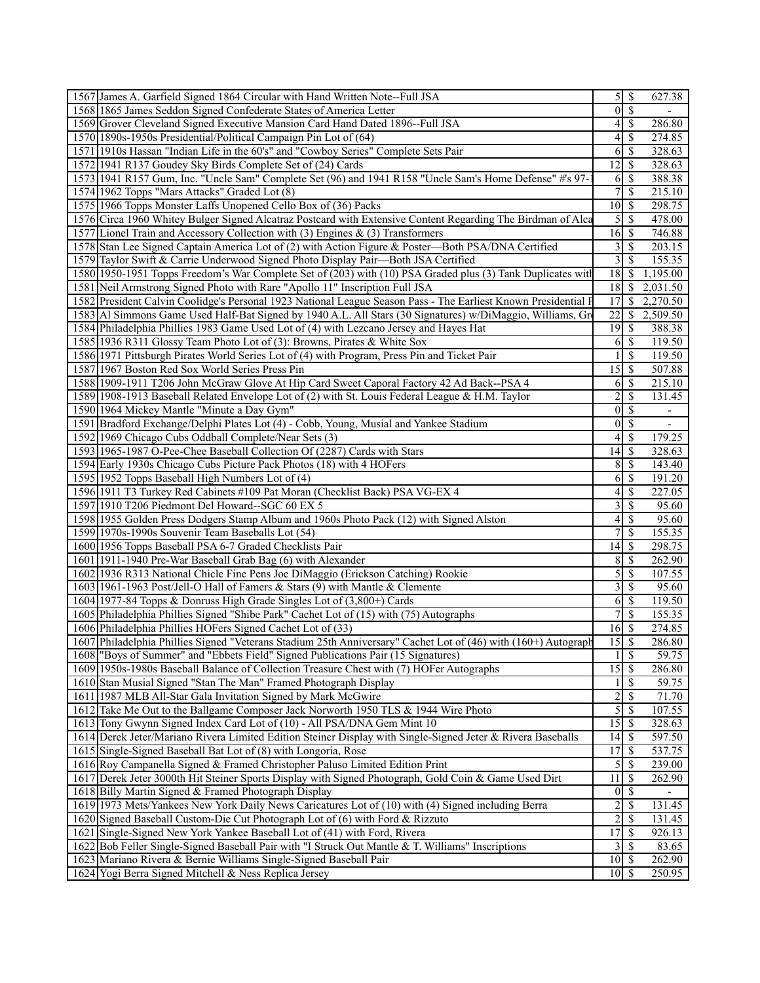|                                                                                                                            |                                                                                                                                                                                                                                                                                                                                                                                                                                                                                                                                                                                                                                                                                                                                                                                                                                                                                                                                                                                                                                                                                                                                                                                                                                                                                                                                                                                                                                                                                                                                                                                                                                                                                                                                                                                                                                                                                                                                                                                                                                                                                                                                                                                                                                                                                                                                                                                                                                                                                                                                                                                                                                                                                                                                                                                                                                                                                                                                                                                                                                                                                                                                                                                                                                                                                                                                                                                                                                                                                                                                                                                                                                                                              |                                                                                                                                                                                                                                                                                                                                                                                                                                                                                                                                                                             | 627.38                                                                                                                                                                                                                                                                                                                                                                                                                                                                                                                                                                                             |                                                                                                                                                                                                                                                                            |
|----------------------------------------------------------------------------------------------------------------------------|------------------------------------------------------------------------------------------------------------------------------------------------------------------------------------------------------------------------------------------------------------------------------------------------------------------------------------------------------------------------------------------------------------------------------------------------------------------------------------------------------------------------------------------------------------------------------------------------------------------------------------------------------------------------------------------------------------------------------------------------------------------------------------------------------------------------------------------------------------------------------------------------------------------------------------------------------------------------------------------------------------------------------------------------------------------------------------------------------------------------------------------------------------------------------------------------------------------------------------------------------------------------------------------------------------------------------------------------------------------------------------------------------------------------------------------------------------------------------------------------------------------------------------------------------------------------------------------------------------------------------------------------------------------------------------------------------------------------------------------------------------------------------------------------------------------------------------------------------------------------------------------------------------------------------------------------------------------------------------------------------------------------------------------------------------------------------------------------------------------------------------------------------------------------------------------------------------------------------------------------------------------------------------------------------------------------------------------------------------------------------------------------------------------------------------------------------------------------------------------------------------------------------------------------------------------------------------------------------------------------------------------------------------------------------------------------------------------------------------------------------------------------------------------------------------------------------------------------------------------------------------------------------------------------------------------------------------------------------------------------------------------------------------------------------------------------------------------------------------------------------------------------------------------------------------------------------------------------------------------------------------------------------------------------------------------------------------------------------------------------------------------------------------------------------------------------------------------------------------------------------------------------------------------------------------------------------------------------------------------------------------------------------------------------------|-----------------------------------------------------------------------------------------------------------------------------------------------------------------------------------------------------------------------------------------------------------------------------------------------------------------------------------------------------------------------------------------------------------------------------------------------------------------------------------------------------------------------------------------------------------------------------|----------------------------------------------------------------------------------------------------------------------------------------------------------------------------------------------------------------------------------------------------------------------------------------------------------------------------------------------------------------------------------------------------------------------------------------------------------------------------------------------------------------------------------------------------------------------------------------------------|----------------------------------------------------------------------------------------------------------------------------------------------------------------------------------------------------------------------------------------------------------------------------|
|                                                                                                                            |                                                                                                                                                                                                                                                                                                                                                                                                                                                                                                                                                                                                                                                                                                                                                                                                                                                                                                                                                                                                                                                                                                                                                                                                                                                                                                                                                                                                                                                                                                                                                                                                                                                                                                                                                                                                                                                                                                                                                                                                                                                                                                                                                                                                                                                                                                                                                                                                                                                                                                                                                                                                                                                                                                                                                                                                                                                                                                                                                                                                                                                                                                                                                                                                                                                                                                                                                                                                                                                                                                                                                                                                                                                                              |                                                                                                                                                                                                                                                                                                                                                                                                                                                                                                                                                                             |                                                                                                                                                                                                                                                                                                                                                                                                                                                                                                                                                                                                    |                                                                                                                                                                                                                                                                            |
|                                                                                                                            |                                                                                                                                                                                                                                                                                                                                                                                                                                                                                                                                                                                                                                                                                                                                                                                                                                                                                                                                                                                                                                                                                                                                                                                                                                                                                                                                                                                                                                                                                                                                                                                                                                                                                                                                                                                                                                                                                                                                                                                                                                                                                                                                                                                                                                                                                                                                                                                                                                                                                                                                                                                                                                                                                                                                                                                                                                                                                                                                                                                                                                                                                                                                                                                                                                                                                                                                                                                                                                                                                                                                                                                                                                                                              | S                                                                                                                                                                                                                                                                                                                                                                                                                                                                                                                                                                           | 286.80                                                                                                                                                                                                                                                                                                                                                                                                                                                                                                                                                                                             |                                                                                                                                                                                                                                                                            |
|                                                                                                                            |                                                                                                                                                                                                                                                                                                                                                                                                                                                                                                                                                                                                                                                                                                                                                                                                                                                                                                                                                                                                                                                                                                                                                                                                                                                                                                                                                                                                                                                                                                                                                                                                                                                                                                                                                                                                                                                                                                                                                                                                                                                                                                                                                                                                                                                                                                                                                                                                                                                                                                                                                                                                                                                                                                                                                                                                                                                                                                                                                                                                                                                                                                                                                                                                                                                                                                                                                                                                                                                                                                                                                                                                                                                                              | <sup>\$</sup>                                                                                                                                                                                                                                                                                                                                                                                                                                                                                                                                                               | 274.85                                                                                                                                                                                                                                                                                                                                                                                                                                                                                                                                                                                             |                                                                                                                                                                                                                                                                            |
|                                                                                                                            |                                                                                                                                                                                                                                                                                                                                                                                                                                                                                                                                                                                                                                                                                                                                                                                                                                                                                                                                                                                                                                                                                                                                                                                                                                                                                                                                                                                                                                                                                                                                                                                                                                                                                                                                                                                                                                                                                                                                                                                                                                                                                                                                                                                                                                                                                                                                                                                                                                                                                                                                                                                                                                                                                                                                                                                                                                                                                                                                                                                                                                                                                                                                                                                                                                                                                                                                                                                                                                                                                                                                                                                                                                                                              |                                                                                                                                                                                                                                                                                                                                                                                                                                                                                                                                                                             | 328.63                                                                                                                                                                                                                                                                                                                                                                                                                                                                                                                                                                                             |                                                                                                                                                                                                                                                                            |
|                                                                                                                            |                                                                                                                                                                                                                                                                                                                                                                                                                                                                                                                                                                                                                                                                                                                                                                                                                                                                                                                                                                                                                                                                                                                                                                                                                                                                                                                                                                                                                                                                                                                                                                                                                                                                                                                                                                                                                                                                                                                                                                                                                                                                                                                                                                                                                                                                                                                                                                                                                                                                                                                                                                                                                                                                                                                                                                                                                                                                                                                                                                                                                                                                                                                                                                                                                                                                                                                                                                                                                                                                                                                                                                                                                                                                              |                                                                                                                                                                                                                                                                                                                                                                                                                                                                                                                                                                             | 328.63                                                                                                                                                                                                                                                                                                                                                                                                                                                                                                                                                                                             |                                                                                                                                                                                                                                                                            |
|                                                                                                                            |                                                                                                                                                                                                                                                                                                                                                                                                                                                                                                                                                                                                                                                                                                                                                                                                                                                                                                                                                                                                                                                                                                                                                                                                                                                                                                                                                                                                                                                                                                                                                                                                                                                                                                                                                                                                                                                                                                                                                                                                                                                                                                                                                                                                                                                                                                                                                                                                                                                                                                                                                                                                                                                                                                                                                                                                                                                                                                                                                                                                                                                                                                                                                                                                                                                                                                                                                                                                                                                                                                                                                                                                                                                                              |                                                                                                                                                                                                                                                                                                                                                                                                                                                                                                                                                                             | 388.38                                                                                                                                                                                                                                                                                                                                                                                                                                                                                                                                                                                             |                                                                                                                                                                                                                                                                            |
|                                                                                                                            |                                                                                                                                                                                                                                                                                                                                                                                                                                                                                                                                                                                                                                                                                                                                                                                                                                                                                                                                                                                                                                                                                                                                                                                                                                                                                                                                                                                                                                                                                                                                                                                                                                                                                                                                                                                                                                                                                                                                                                                                                                                                                                                                                                                                                                                                                                                                                                                                                                                                                                                                                                                                                                                                                                                                                                                                                                                                                                                                                                                                                                                                                                                                                                                                                                                                                                                                                                                                                                                                                                                                                                                                                                                                              |                                                                                                                                                                                                                                                                                                                                                                                                                                                                                                                                                                             | 215.10                                                                                                                                                                                                                                                                                                                                                                                                                                                                                                                                                                                             |                                                                                                                                                                                                                                                                            |
|                                                                                                                            |                                                                                                                                                                                                                                                                                                                                                                                                                                                                                                                                                                                                                                                                                                                                                                                                                                                                                                                                                                                                                                                                                                                                                                                                                                                                                                                                                                                                                                                                                                                                                                                                                                                                                                                                                                                                                                                                                                                                                                                                                                                                                                                                                                                                                                                                                                                                                                                                                                                                                                                                                                                                                                                                                                                                                                                                                                                                                                                                                                                                                                                                                                                                                                                                                                                                                                                                                                                                                                                                                                                                                                                                                                                                              |                                                                                                                                                                                                                                                                                                                                                                                                                                                                                                                                                                             | 298.75                                                                                                                                                                                                                                                                                                                                                                                                                                                                                                                                                                                             |                                                                                                                                                                                                                                                                            |
|                                                                                                                            |                                                                                                                                                                                                                                                                                                                                                                                                                                                                                                                                                                                                                                                                                                                                                                                                                                                                                                                                                                                                                                                                                                                                                                                                                                                                                                                                                                                                                                                                                                                                                                                                                                                                                                                                                                                                                                                                                                                                                                                                                                                                                                                                                                                                                                                                                                                                                                                                                                                                                                                                                                                                                                                                                                                                                                                                                                                                                                                                                                                                                                                                                                                                                                                                                                                                                                                                                                                                                                                                                                                                                                                                                                                                              |                                                                                                                                                                                                                                                                                                                                                                                                                                                                                                                                                                             | 478.00                                                                                                                                                                                                                                                                                                                                                                                                                                                                                                                                                                                             |                                                                                                                                                                                                                                                                            |
|                                                                                                                            |                                                                                                                                                                                                                                                                                                                                                                                                                                                                                                                                                                                                                                                                                                                                                                                                                                                                                                                                                                                                                                                                                                                                                                                                                                                                                                                                                                                                                                                                                                                                                                                                                                                                                                                                                                                                                                                                                                                                                                                                                                                                                                                                                                                                                                                                                                                                                                                                                                                                                                                                                                                                                                                                                                                                                                                                                                                                                                                                                                                                                                                                                                                                                                                                                                                                                                                                                                                                                                                                                                                                                                                                                                                                              |                                                                                                                                                                                                                                                                                                                                                                                                                                                                                                                                                                             | 746.88                                                                                                                                                                                                                                                                                                                                                                                                                                                                                                                                                                                             |                                                                                                                                                                                                                                                                            |
|                                                                                                                            |                                                                                                                                                                                                                                                                                                                                                                                                                                                                                                                                                                                                                                                                                                                                                                                                                                                                                                                                                                                                                                                                                                                                                                                                                                                                                                                                                                                                                                                                                                                                                                                                                                                                                                                                                                                                                                                                                                                                                                                                                                                                                                                                                                                                                                                                                                                                                                                                                                                                                                                                                                                                                                                                                                                                                                                                                                                                                                                                                                                                                                                                                                                                                                                                                                                                                                                                                                                                                                                                                                                                                                                                                                                                              |                                                                                                                                                                                                                                                                                                                                                                                                                                                                                                                                                                             |                                                                                                                                                                                                                                                                                                                                                                                                                                                                                                                                                                                                    |                                                                                                                                                                                                                                                                            |
|                                                                                                                            |                                                                                                                                                                                                                                                                                                                                                                                                                                                                                                                                                                                                                                                                                                                                                                                                                                                                                                                                                                                                                                                                                                                                                                                                                                                                                                                                                                                                                                                                                                                                                                                                                                                                                                                                                                                                                                                                                                                                                                                                                                                                                                                                                                                                                                                                                                                                                                                                                                                                                                                                                                                                                                                                                                                                                                                                                                                                                                                                                                                                                                                                                                                                                                                                                                                                                                                                                                                                                                                                                                                                                                                                                                                                              |                                                                                                                                                                                                                                                                                                                                                                                                                                                                                                                                                                             |                                                                                                                                                                                                                                                                                                                                                                                                                                                                                                                                                                                                    |                                                                                                                                                                                                                                                                            |
|                                                                                                                            |                                                                                                                                                                                                                                                                                                                                                                                                                                                                                                                                                                                                                                                                                                                                                                                                                                                                                                                                                                                                                                                                                                                                                                                                                                                                                                                                                                                                                                                                                                                                                                                                                                                                                                                                                                                                                                                                                                                                                                                                                                                                                                                                                                                                                                                                                                                                                                                                                                                                                                                                                                                                                                                                                                                                                                                                                                                                                                                                                                                                                                                                                                                                                                                                                                                                                                                                                                                                                                                                                                                                                                                                                                                                              |                                                                                                                                                                                                                                                                                                                                                                                                                                                                                                                                                                             |                                                                                                                                                                                                                                                                                                                                                                                                                                                                                                                                                                                                    |                                                                                                                                                                                                                                                                            |
|                                                                                                                            |                                                                                                                                                                                                                                                                                                                                                                                                                                                                                                                                                                                                                                                                                                                                                                                                                                                                                                                                                                                                                                                                                                                                                                                                                                                                                                                                                                                                                                                                                                                                                                                                                                                                                                                                                                                                                                                                                                                                                                                                                                                                                                                                                                                                                                                                                                                                                                                                                                                                                                                                                                                                                                                                                                                                                                                                                                                                                                                                                                                                                                                                                                                                                                                                                                                                                                                                                                                                                                                                                                                                                                                                                                                                              |                                                                                                                                                                                                                                                                                                                                                                                                                                                                                                                                                                             |                                                                                                                                                                                                                                                                                                                                                                                                                                                                                                                                                                                                    |                                                                                                                                                                                                                                                                            |
|                                                                                                                            |                                                                                                                                                                                                                                                                                                                                                                                                                                                                                                                                                                                                                                                                                                                                                                                                                                                                                                                                                                                                                                                                                                                                                                                                                                                                                                                                                                                                                                                                                                                                                                                                                                                                                                                                                                                                                                                                                                                                                                                                                                                                                                                                                                                                                                                                                                                                                                                                                                                                                                                                                                                                                                                                                                                                                                                                                                                                                                                                                                                                                                                                                                                                                                                                                                                                                                                                                                                                                                                                                                                                                                                                                                                                              |                                                                                                                                                                                                                                                                                                                                                                                                                                                                                                                                                                             |                                                                                                                                                                                                                                                                                                                                                                                                                                                                                                                                                                                                    |                                                                                                                                                                                                                                                                            |
|                                                                                                                            |                                                                                                                                                                                                                                                                                                                                                                                                                                                                                                                                                                                                                                                                                                                                                                                                                                                                                                                                                                                                                                                                                                                                                                                                                                                                                                                                                                                                                                                                                                                                                                                                                                                                                                                                                                                                                                                                                                                                                                                                                                                                                                                                                                                                                                                                                                                                                                                                                                                                                                                                                                                                                                                                                                                                                                                                                                                                                                                                                                                                                                                                                                                                                                                                                                                                                                                                                                                                                                                                                                                                                                                                                                                                              |                                                                                                                                                                                                                                                                                                                                                                                                                                                                                                                                                                             |                                                                                                                                                                                                                                                                                                                                                                                                                                                                                                                                                                                                    |                                                                                                                                                                                                                                                                            |
|                                                                                                                            |                                                                                                                                                                                                                                                                                                                                                                                                                                                                                                                                                                                                                                                                                                                                                                                                                                                                                                                                                                                                                                                                                                                                                                                                                                                                                                                                                                                                                                                                                                                                                                                                                                                                                                                                                                                                                                                                                                                                                                                                                                                                                                                                                                                                                                                                                                                                                                                                                                                                                                                                                                                                                                                                                                                                                                                                                                                                                                                                                                                                                                                                                                                                                                                                                                                                                                                                                                                                                                                                                                                                                                                                                                                                              |                                                                                                                                                                                                                                                                                                                                                                                                                                                                                                                                                                             |                                                                                                                                                                                                                                                                                                                                                                                                                                                                                                                                                                                                    |                                                                                                                                                                                                                                                                            |
|                                                                                                                            |                                                                                                                                                                                                                                                                                                                                                                                                                                                                                                                                                                                                                                                                                                                                                                                                                                                                                                                                                                                                                                                                                                                                                                                                                                                                                                                                                                                                                                                                                                                                                                                                                                                                                                                                                                                                                                                                                                                                                                                                                                                                                                                                                                                                                                                                                                                                                                                                                                                                                                                                                                                                                                                                                                                                                                                                                                                                                                                                                                                                                                                                                                                                                                                                                                                                                                                                                                                                                                                                                                                                                                                                                                                                              |                                                                                                                                                                                                                                                                                                                                                                                                                                                                                                                                                                             |                                                                                                                                                                                                                                                                                                                                                                                                                                                                                                                                                                                                    |                                                                                                                                                                                                                                                                            |
|                                                                                                                            |                                                                                                                                                                                                                                                                                                                                                                                                                                                                                                                                                                                                                                                                                                                                                                                                                                                                                                                                                                                                                                                                                                                                                                                                                                                                                                                                                                                                                                                                                                                                                                                                                                                                                                                                                                                                                                                                                                                                                                                                                                                                                                                                                                                                                                                                                                                                                                                                                                                                                                                                                                                                                                                                                                                                                                                                                                                                                                                                                                                                                                                                                                                                                                                                                                                                                                                                                                                                                                                                                                                                                                                                                                                                              |                                                                                                                                                                                                                                                                                                                                                                                                                                                                                                                                                                             |                                                                                                                                                                                                                                                                                                                                                                                                                                                                                                                                                                                                    |                                                                                                                                                                                                                                                                            |
|                                                                                                                            |                                                                                                                                                                                                                                                                                                                                                                                                                                                                                                                                                                                                                                                                                                                                                                                                                                                                                                                                                                                                                                                                                                                                                                                                                                                                                                                                                                                                                                                                                                                                                                                                                                                                                                                                                                                                                                                                                                                                                                                                                                                                                                                                                                                                                                                                                                                                                                                                                                                                                                                                                                                                                                                                                                                                                                                                                                                                                                                                                                                                                                                                                                                                                                                                                                                                                                                                                                                                                                                                                                                                                                                                                                                                              |                                                                                                                                                                                                                                                                                                                                                                                                                                                                                                                                                                             |                                                                                                                                                                                                                                                                                                                                                                                                                                                                                                                                                                                                    |                                                                                                                                                                                                                                                                            |
|                                                                                                                            |                                                                                                                                                                                                                                                                                                                                                                                                                                                                                                                                                                                                                                                                                                                                                                                                                                                                                                                                                                                                                                                                                                                                                                                                                                                                                                                                                                                                                                                                                                                                                                                                                                                                                                                                                                                                                                                                                                                                                                                                                                                                                                                                                                                                                                                                                                                                                                                                                                                                                                                                                                                                                                                                                                                                                                                                                                                                                                                                                                                                                                                                                                                                                                                                                                                                                                                                                                                                                                                                                                                                                                                                                                                                              |                                                                                                                                                                                                                                                                                                                                                                                                                                                                                                                                                                             |                                                                                                                                                                                                                                                                                                                                                                                                                                                                                                                                                                                                    |                                                                                                                                                                                                                                                                            |
|                                                                                                                            |                                                                                                                                                                                                                                                                                                                                                                                                                                                                                                                                                                                                                                                                                                                                                                                                                                                                                                                                                                                                                                                                                                                                                                                                                                                                                                                                                                                                                                                                                                                                                                                                                                                                                                                                                                                                                                                                                                                                                                                                                                                                                                                                                                                                                                                                                                                                                                                                                                                                                                                                                                                                                                                                                                                                                                                                                                                                                                                                                                                                                                                                                                                                                                                                                                                                                                                                                                                                                                                                                                                                                                                                                                                                              |                                                                                                                                                                                                                                                                                                                                                                                                                                                                                                                                                                             |                                                                                                                                                                                                                                                                                                                                                                                                                                                                                                                                                                                                    |                                                                                                                                                                                                                                                                            |
|                                                                                                                            |                                                                                                                                                                                                                                                                                                                                                                                                                                                                                                                                                                                                                                                                                                                                                                                                                                                                                                                                                                                                                                                                                                                                                                                                                                                                                                                                                                                                                                                                                                                                                                                                                                                                                                                                                                                                                                                                                                                                                                                                                                                                                                                                                                                                                                                                                                                                                                                                                                                                                                                                                                                                                                                                                                                                                                                                                                                                                                                                                                                                                                                                                                                                                                                                                                                                                                                                                                                                                                                                                                                                                                                                                                                                              |                                                                                                                                                                                                                                                                                                                                                                                                                                                                                                                                                                             |                                                                                                                                                                                                                                                                                                                                                                                                                                                                                                                                                                                                    |                                                                                                                                                                                                                                                                            |
|                                                                                                                            |                                                                                                                                                                                                                                                                                                                                                                                                                                                                                                                                                                                                                                                                                                                                                                                                                                                                                                                                                                                                                                                                                                                                                                                                                                                                                                                                                                                                                                                                                                                                                                                                                                                                                                                                                                                                                                                                                                                                                                                                                                                                                                                                                                                                                                                                                                                                                                                                                                                                                                                                                                                                                                                                                                                                                                                                                                                                                                                                                                                                                                                                                                                                                                                                                                                                                                                                                                                                                                                                                                                                                                                                                                                                              |                                                                                                                                                                                                                                                                                                                                                                                                                                                                                                                                                                             | $\overline{\phantom{a}}$                                                                                                                                                                                                                                                                                                                                                                                                                                                                                                                                                                           |                                                                                                                                                                                                                                                                            |
|                                                                                                                            |                                                                                                                                                                                                                                                                                                                                                                                                                                                                                                                                                                                                                                                                                                                                                                                                                                                                                                                                                                                                                                                                                                                                                                                                                                                                                                                                                                                                                                                                                                                                                                                                                                                                                                                                                                                                                                                                                                                                                                                                                                                                                                                                                                                                                                                                                                                                                                                                                                                                                                                                                                                                                                                                                                                                                                                                                                                                                                                                                                                                                                                                                                                                                                                                                                                                                                                                                                                                                                                                                                                                                                                                                                                                              |                                                                                                                                                                                                                                                                                                                                                                                                                                                                                                                                                                             | $\overline{\phantom{a}}$                                                                                                                                                                                                                                                                                                                                                                                                                                                                                                                                                                           |                                                                                                                                                                                                                                                                            |
|                                                                                                                            |                                                                                                                                                                                                                                                                                                                                                                                                                                                                                                                                                                                                                                                                                                                                                                                                                                                                                                                                                                                                                                                                                                                                                                                                                                                                                                                                                                                                                                                                                                                                                                                                                                                                                                                                                                                                                                                                                                                                                                                                                                                                                                                                                                                                                                                                                                                                                                                                                                                                                                                                                                                                                                                                                                                                                                                                                                                                                                                                                                                                                                                                                                                                                                                                                                                                                                                                                                                                                                                                                                                                                                                                                                                                              |                                                                                                                                                                                                                                                                                                                                                                                                                                                                                                                                                                             |                                                                                                                                                                                                                                                                                                                                                                                                                                                                                                                                                                                                    |                                                                                                                                                                                                                                                                            |
|                                                                                                                            |                                                                                                                                                                                                                                                                                                                                                                                                                                                                                                                                                                                                                                                                                                                                                                                                                                                                                                                                                                                                                                                                                                                                                                                                                                                                                                                                                                                                                                                                                                                                                                                                                                                                                                                                                                                                                                                                                                                                                                                                                                                                                                                                                                                                                                                                                                                                                                                                                                                                                                                                                                                                                                                                                                                                                                                                                                                                                                                                                                                                                                                                                                                                                                                                                                                                                                                                                                                                                                                                                                                                                                                                                                                                              |                                                                                                                                                                                                                                                                                                                                                                                                                                                                                                                                                                             | 328.63                                                                                                                                                                                                                                                                                                                                                                                                                                                                                                                                                                                             |                                                                                                                                                                                                                                                                            |
|                                                                                                                            |                                                                                                                                                                                                                                                                                                                                                                                                                                                                                                                                                                                                                                                                                                                                                                                                                                                                                                                                                                                                                                                                                                                                                                                                                                                                                                                                                                                                                                                                                                                                                                                                                                                                                                                                                                                                                                                                                                                                                                                                                                                                                                                                                                                                                                                                                                                                                                                                                                                                                                                                                                                                                                                                                                                                                                                                                                                                                                                                                                                                                                                                                                                                                                                                                                                                                                                                                                                                                                                                                                                                                                                                                                                                              | S                                                                                                                                                                                                                                                                                                                                                                                                                                                                                                                                                                           | 143.40                                                                                                                                                                                                                                                                                                                                                                                                                                                                                                                                                                                             |                                                                                                                                                                                                                                                                            |
|                                                                                                                            |                                                                                                                                                                                                                                                                                                                                                                                                                                                                                                                                                                                                                                                                                                                                                                                                                                                                                                                                                                                                                                                                                                                                                                                                                                                                                                                                                                                                                                                                                                                                                                                                                                                                                                                                                                                                                                                                                                                                                                                                                                                                                                                                                                                                                                                                                                                                                                                                                                                                                                                                                                                                                                                                                                                                                                                                                                                                                                                                                                                                                                                                                                                                                                                                                                                                                                                                                                                                                                                                                                                                                                                                                                                                              | <sup>\$</sup>                                                                                                                                                                                                                                                                                                                                                                                                                                                                                                                                                               | 191.20                                                                                                                                                                                                                                                                                                                                                                                                                                                                                                                                                                                             |                                                                                                                                                                                                                                                                            |
|                                                                                                                            | 4                                                                                                                                                                                                                                                                                                                                                                                                                                                                                                                                                                                                                                                                                                                                                                                                                                                                                                                                                                                                                                                                                                                                                                                                                                                                                                                                                                                                                                                                                                                                                                                                                                                                                                                                                                                                                                                                                                                                                                                                                                                                                                                                                                                                                                                                                                                                                                                                                                                                                                                                                                                                                                                                                                                                                                                                                                                                                                                                                                                                                                                                                                                                                                                                                                                                                                                                                                                                                                                                                                                                                                                                                                                                            | <sup>\$</sup>                                                                                                                                                                                                                                                                                                                                                                                                                                                                                                                                                               | 227.05                                                                                                                                                                                                                                                                                                                                                                                                                                                                                                                                                                                             |                                                                                                                                                                                                                                                                            |
|                                                                                                                            |                                                                                                                                                                                                                                                                                                                                                                                                                                                                                                                                                                                                                                                                                                                                                                                                                                                                                                                                                                                                                                                                                                                                                                                                                                                                                                                                                                                                                                                                                                                                                                                                                                                                                                                                                                                                                                                                                                                                                                                                                                                                                                                                                                                                                                                                                                                                                                                                                                                                                                                                                                                                                                                                                                                                                                                                                                                                                                                                                                                                                                                                                                                                                                                                                                                                                                                                                                                                                                                                                                                                                                                                                                                                              | <sup>\$</sup>                                                                                                                                                                                                                                                                                                                                                                                                                                                                                                                                                               | 95.60                                                                                                                                                                                                                                                                                                                                                                                                                                                                                                                                                                                              |                                                                                                                                                                                                                                                                            |
|                                                                                                                            |                                                                                                                                                                                                                                                                                                                                                                                                                                                                                                                                                                                                                                                                                                                                                                                                                                                                                                                                                                                                                                                                                                                                                                                                                                                                                                                                                                                                                                                                                                                                                                                                                                                                                                                                                                                                                                                                                                                                                                                                                                                                                                                                                                                                                                                                                                                                                                                                                                                                                                                                                                                                                                                                                                                                                                                                                                                                                                                                                                                                                                                                                                                                                                                                                                                                                                                                                                                                                                                                                                                                                                                                                                                                              |                                                                                                                                                                                                                                                                                                                                                                                                                                                                                                                                                                             | 95.60                                                                                                                                                                                                                                                                                                                                                                                                                                                                                                                                                                                              |                                                                                                                                                                                                                                                                            |
|                                                                                                                            |                                                                                                                                                                                                                                                                                                                                                                                                                                                                                                                                                                                                                                                                                                                                                                                                                                                                                                                                                                                                                                                                                                                                                                                                                                                                                                                                                                                                                                                                                                                                                                                                                                                                                                                                                                                                                                                                                                                                                                                                                                                                                                                                                                                                                                                                                                                                                                                                                                                                                                                                                                                                                                                                                                                                                                                                                                                                                                                                                                                                                                                                                                                                                                                                                                                                                                                                                                                                                                                                                                                                                                                                                                                                              |                                                                                                                                                                                                                                                                                                                                                                                                                                                                                                                                                                             | 155.35                                                                                                                                                                                                                                                                                                                                                                                                                                                                                                                                                                                             |                                                                                                                                                                                                                                                                            |
|                                                                                                                            |                                                                                                                                                                                                                                                                                                                                                                                                                                                                                                                                                                                                                                                                                                                                                                                                                                                                                                                                                                                                                                                                                                                                                                                                                                                                                                                                                                                                                                                                                                                                                                                                                                                                                                                                                                                                                                                                                                                                                                                                                                                                                                                                                                                                                                                                                                                                                                                                                                                                                                                                                                                                                                                                                                                                                                                                                                                                                                                                                                                                                                                                                                                                                                                                                                                                                                                                                                                                                                                                                                                                                                                                                                                                              |                                                                                                                                                                                                                                                                                                                                                                                                                                                                                                                                                                             | 298.75                                                                                                                                                                                                                                                                                                                                                                                                                                                                                                                                                                                             |                                                                                                                                                                                                                                                                            |
|                                                                                                                            |                                                                                                                                                                                                                                                                                                                                                                                                                                                                                                                                                                                                                                                                                                                                                                                                                                                                                                                                                                                                                                                                                                                                                                                                                                                                                                                                                                                                                                                                                                                                                                                                                                                                                                                                                                                                                                                                                                                                                                                                                                                                                                                                                                                                                                                                                                                                                                                                                                                                                                                                                                                                                                                                                                                                                                                                                                                                                                                                                                                                                                                                                                                                                                                                                                                                                                                                                                                                                                                                                                                                                                                                                                                                              | -\$                                                                                                                                                                                                                                                                                                                                                                                                                                                                                                                                                                         | 262.90                                                                                                                                                                                                                                                                                                                                                                                                                                                                                                                                                                                             |                                                                                                                                                                                                                                                                            |
|                                                                                                                            |                                                                                                                                                                                                                                                                                                                                                                                                                                                                                                                                                                                                                                                                                                                                                                                                                                                                                                                                                                                                                                                                                                                                                                                                                                                                                                                                                                                                                                                                                                                                                                                                                                                                                                                                                                                                                                                                                                                                                                                                                                                                                                                                                                                                                                                                                                                                                                                                                                                                                                                                                                                                                                                                                                                                                                                                                                                                                                                                                                                                                                                                                                                                                                                                                                                                                                                                                                                                                                                                                                                                                                                                                                                                              | -\$                                                                                                                                                                                                                                                                                                                                                                                                                                                                                                                                                                         | 107.55                                                                                                                                                                                                                                                                                                                                                                                                                                                                                                                                                                                             |                                                                                                                                                                                                                                                                            |
|                                                                                                                            |                                                                                                                                                                                                                                                                                                                                                                                                                                                                                                                                                                                                                                                                                                                                                                                                                                                                                                                                                                                                                                                                                                                                                                                                                                                                                                                                                                                                                                                                                                                                                                                                                                                                                                                                                                                                                                                                                                                                                                                                                                                                                                                                                                                                                                                                                                                                                                                                                                                                                                                                                                                                                                                                                                                                                                                                                                                                                                                                                                                                                                                                                                                                                                                                                                                                                                                                                                                                                                                                                                                                                                                                                                                                              | -S                                                                                                                                                                                                                                                                                                                                                                                                                                                                                                                                                                          | 95.60                                                                                                                                                                                                                                                                                                                                                                                                                                                                                                                                                                                              |                                                                                                                                                                                                                                                                            |
|                                                                                                                            |                                                                                                                                                                                                                                                                                                                                                                                                                                                                                                                                                                                                                                                                                                                                                                                                                                                                                                                                                                                                                                                                                                                                                                                                                                                                                                                                                                                                                                                                                                                                                                                                                                                                                                                                                                                                                                                                                                                                                                                                                                                                                                                                                                                                                                                                                                                                                                                                                                                                                                                                                                                                                                                                                                                                                                                                                                                                                                                                                                                                                                                                                                                                                                                                                                                                                                                                                                                                                                                                                                                                                                                                                                                                              |                                                                                                                                                                                                                                                                                                                                                                                                                                                                                                                                                                             | 119.50                                                                                                                                                                                                                                                                                                                                                                                                                                                                                                                                                                                             |                                                                                                                                                                                                                                                                            |
|                                                                                                                            |                                                                                                                                                                                                                                                                                                                                                                                                                                                                                                                                                                                                                                                                                                                                                                                                                                                                                                                                                                                                                                                                                                                                                                                                                                                                                                                                                                                                                                                                                                                                                                                                                                                                                                                                                                                                                                                                                                                                                                                                                                                                                                                                                                                                                                                                                                                                                                                                                                                                                                                                                                                                                                                                                                                                                                                                                                                                                                                                                                                                                                                                                                                                                                                                                                                                                                                                                                                                                                                                                                                                                                                                                                                                              |                                                                                                                                                                                                                                                                                                                                                                                                                                                                                                                                                                             | 155.35                                                                                                                                                                                                                                                                                                                                                                                                                                                                                                                                                                                             |                                                                                                                                                                                                                                                                            |
|                                                                                                                            |                                                                                                                                                                                                                                                                                                                                                                                                                                                                                                                                                                                                                                                                                                                                                                                                                                                                                                                                                                                                                                                                                                                                                                                                                                                                                                                                                                                                                                                                                                                                                                                                                                                                                                                                                                                                                                                                                                                                                                                                                                                                                                                                                                                                                                                                                                                                                                                                                                                                                                                                                                                                                                                                                                                                                                                                                                                                                                                                                                                                                                                                                                                                                                                                                                                                                                                                                                                                                                                                                                                                                                                                                                                                              |                                                                                                                                                                                                                                                                                                                                                                                                                                                                                                                                                                             | 274.85                                                                                                                                                                                                                                                                                                                                                                                                                                                                                                                                                                                             |                                                                                                                                                                                                                                                                            |
|                                                                                                                            |                                                                                                                                                                                                                                                                                                                                                                                                                                                                                                                                                                                                                                                                                                                                                                                                                                                                                                                                                                                                                                                                                                                                                                                                                                                                                                                                                                                                                                                                                                                                                                                                                                                                                                                                                                                                                                                                                                                                                                                                                                                                                                                                                                                                                                                                                                                                                                                                                                                                                                                                                                                                                                                                                                                                                                                                                                                                                                                                                                                                                                                                                                                                                                                                                                                                                                                                                                                                                                                                                                                                                                                                                                                                              |                                                                                                                                                                                                                                                                                                                                                                                                                                                                                                                                                                             | 286.80                                                                                                                                                                                                                                                                                                                                                                                                                                                                                                                                                                                             |                                                                                                                                                                                                                                                                            |
|                                                                                                                            |                                                                                                                                                                                                                                                                                                                                                                                                                                                                                                                                                                                                                                                                                                                                                                                                                                                                                                                                                                                                                                                                                                                                                                                                                                                                                                                                                                                                                                                                                                                                                                                                                                                                                                                                                                                                                                                                                                                                                                                                                                                                                                                                                                                                                                                                                                                                                                                                                                                                                                                                                                                                                                                                                                                                                                                                                                                                                                                                                                                                                                                                                                                                                                                                                                                                                                                                                                                                                                                                                                                                                                                                                                                                              |                                                                                                                                                                                                                                                                                                                                                                                                                                                                                                                                                                             | 59.75                                                                                                                                                                                                                                                                                                                                                                                                                                                                                                                                                                                              |                                                                                                                                                                                                                                                                            |
|                                                                                                                            |                                                                                                                                                                                                                                                                                                                                                                                                                                                                                                                                                                                                                                                                                                                                                                                                                                                                                                                                                                                                                                                                                                                                                                                                                                                                                                                                                                                                                                                                                                                                                                                                                                                                                                                                                                                                                                                                                                                                                                                                                                                                                                                                                                                                                                                                                                                                                                                                                                                                                                                                                                                                                                                                                                                                                                                                                                                                                                                                                                                                                                                                                                                                                                                                                                                                                                                                                                                                                                                                                                                                                                                                                                                                              |                                                                                                                                                                                                                                                                                                                                                                                                                                                                                                                                                                             |                                                                                                                                                                                                                                                                                                                                                                                                                                                                                                                                                                                                    |                                                                                                                                                                                                                                                                            |
|                                                                                                                            |                                                                                                                                                                                                                                                                                                                                                                                                                                                                                                                                                                                                                                                                                                                                                                                                                                                                                                                                                                                                                                                                                                                                                                                                                                                                                                                                                                                                                                                                                                                                                                                                                                                                                                                                                                                                                                                                                                                                                                                                                                                                                                                                                                                                                                                                                                                                                                                                                                                                                                                                                                                                                                                                                                                                                                                                                                                                                                                                                                                                                                                                                                                                                                                                                                                                                                                                                                                                                                                                                                                                                                                                                                                                              | <sup>\$</sup>                                                                                                                                                                                                                                                                                                                                                                                                                                                                                                                                                               |                                                                                                                                                                                                                                                                                                                                                                                                                                                                                                                                                                                                    |                                                                                                                                                                                                                                                                            |
|                                                                                                                            |                                                                                                                                                                                                                                                                                                                                                                                                                                                                                                                                                                                                                                                                                                                                                                                                                                                                                                                                                                                                                                                                                                                                                                                                                                                                                                                                                                                                                                                                                                                                                                                                                                                                                                                                                                                                                                                                                                                                                                                                                                                                                                                                                                                                                                                                                                                                                                                                                                                                                                                                                                                                                                                                                                                                                                                                                                                                                                                                                                                                                                                                                                                                                                                                                                                                                                                                                                                                                                                                                                                                                                                                                                                                              |                                                                                                                                                                                                                                                                                                                                                                                                                                                                                                                                                                             |                                                                                                                                                                                                                                                                                                                                                                                                                                                                                                                                                                                                    |                                                                                                                                                                                                                                                                            |
|                                                                                                                            |                                                                                                                                                                                                                                                                                                                                                                                                                                                                                                                                                                                                                                                                                                                                                                                                                                                                                                                                                                                                                                                                                                                                                                                                                                                                                                                                                                                                                                                                                                                                                                                                                                                                                                                                                                                                                                                                                                                                                                                                                                                                                                                                                                                                                                                                                                                                                                                                                                                                                                                                                                                                                                                                                                                                                                                                                                                                                                                                                                                                                                                                                                                                                                                                                                                                                                                                                                                                                                                                                                                                                                                                                                                                              |                                                                                                                                                                                                                                                                                                                                                                                                                                                                                                                                                                             |                                                                                                                                                                                                                                                                                                                                                                                                                                                                                                                                                                                                    |                                                                                                                                                                                                                                                                            |
|                                                                                                                            |                                                                                                                                                                                                                                                                                                                                                                                                                                                                                                                                                                                                                                                                                                                                                                                                                                                                                                                                                                                                                                                                                                                                                                                                                                                                                                                                                                                                                                                                                                                                                                                                                                                                                                                                                                                                                                                                                                                                                                                                                                                                                                                                                                                                                                                                                                                                                                                                                                                                                                                                                                                                                                                                                                                                                                                                                                                                                                                                                                                                                                                                                                                                                                                                                                                                                                                                                                                                                                                                                                                                                                                                                                                                              |                                                                                                                                                                                                                                                                                                                                                                                                                                                                                                                                                                             |                                                                                                                                                                                                                                                                                                                                                                                                                                                                                                                                                                                                    |                                                                                                                                                                                                                                                                            |
|                                                                                                                            |                                                                                                                                                                                                                                                                                                                                                                                                                                                                                                                                                                                                                                                                                                                                                                                                                                                                                                                                                                                                                                                                                                                                                                                                                                                                                                                                                                                                                                                                                                                                                                                                                                                                                                                                                                                                                                                                                                                                                                                                                                                                                                                                                                                                                                                                                                                                                                                                                                                                                                                                                                                                                                                                                                                                                                                                                                                                                                                                                                                                                                                                                                                                                                                                                                                                                                                                                                                                                                                                                                                                                                                                                                                                              |                                                                                                                                                                                                                                                                                                                                                                                                                                                                                                                                                                             |                                                                                                                                                                                                                                                                                                                                                                                                                                                                                                                                                                                                    |                                                                                                                                                                                                                                                                            |
|                                                                                                                            |                                                                                                                                                                                                                                                                                                                                                                                                                                                                                                                                                                                                                                                                                                                                                                                                                                                                                                                                                                                                                                                                                                                                                                                                                                                                                                                                                                                                                                                                                                                                                                                                                                                                                                                                                                                                                                                                                                                                                                                                                                                                                                                                                                                                                                                                                                                                                                                                                                                                                                                                                                                                                                                                                                                                                                                                                                                                                                                                                                                                                                                                                                                                                                                                                                                                                                                                                                                                                                                                                                                                                                                                                                                                              |                                                                                                                                                                                                                                                                                                                                                                                                                                                                                                                                                                             |                                                                                                                                                                                                                                                                                                                                                                                                                                                                                                                                                                                                    |                                                                                                                                                                                                                                                                            |
|                                                                                                                            |                                                                                                                                                                                                                                                                                                                                                                                                                                                                                                                                                                                                                                                                                                                                                                                                                                                                                                                                                                                                                                                                                                                                                                                                                                                                                                                                                                                                                                                                                                                                                                                                                                                                                                                                                                                                                                                                                                                                                                                                                                                                                                                                                                                                                                                                                                                                                                                                                                                                                                                                                                                                                                                                                                                                                                                                                                                                                                                                                                                                                                                                                                                                                                                                                                                                                                                                                                                                                                                                                                                                                                                                                                                                              |                                                                                                                                                                                                                                                                                                                                                                                                                                                                                                                                                                             |                                                                                                                                                                                                                                                                                                                                                                                                                                                                                                                                                                                                    |                                                                                                                                                                                                                                                                            |
|                                                                                                                            |                                                                                                                                                                                                                                                                                                                                                                                                                                                                                                                                                                                                                                                                                                                                                                                                                                                                                                                                                                                                                                                                                                                                                                                                                                                                                                                                                                                                                                                                                                                                                                                                                                                                                                                                                                                                                                                                                                                                                                                                                                                                                                                                                                                                                                                                                                                                                                                                                                                                                                                                                                                                                                                                                                                                                                                                                                                                                                                                                                                                                                                                                                                                                                                                                                                                                                                                                                                                                                                                                                                                                                                                                                                                              |                                                                                                                                                                                                                                                                                                                                                                                                                                                                                                                                                                             |                                                                                                                                                                                                                                                                                                                                                                                                                                                                                                                                                                                                    |                                                                                                                                                                                                                                                                            |
|                                                                                                                            |                                                                                                                                                                                                                                                                                                                                                                                                                                                                                                                                                                                                                                                                                                                                                                                                                                                                                                                                                                                                                                                                                                                                                                                                                                                                                                                                                                                                                                                                                                                                                                                                                                                                                                                                                                                                                                                                                                                                                                                                                                                                                                                                                                                                                                                                                                                                                                                                                                                                                                                                                                                                                                                                                                                                                                                                                                                                                                                                                                                                                                                                                                                                                                                                                                                                                                                                                                                                                                                                                                                                                                                                                                                                              |                                                                                                                                                                                                                                                                                                                                                                                                                                                                                                                                                                             |                                                                                                                                                                                                                                                                                                                                                                                                                                                                                                                                                                                                    |                                                                                                                                                                                                                                                                            |
|                                                                                                                            |                                                                                                                                                                                                                                                                                                                                                                                                                                                                                                                                                                                                                                                                                                                                                                                                                                                                                                                                                                                                                                                                                                                                                                                                                                                                                                                                                                                                                                                                                                                                                                                                                                                                                                                                                                                                                                                                                                                                                                                                                                                                                                                                                                                                                                                                                                                                                                                                                                                                                                                                                                                                                                                                                                                                                                                                                                                                                                                                                                                                                                                                                                                                                                                                                                                                                                                                                                                                                                                                                                                                                                                                                                                                              |                                                                                                                                                                                                                                                                                                                                                                                                                                                                                                                                                                             |                                                                                                                                                                                                                                                                                                                                                                                                                                                                                                                                                                                                    |                                                                                                                                                                                                                                                                            |
| 1618 Billy Martin Signed & Framed Photograph Display                                                                       |                                                                                                                                                                                                                                                                                                                                                                                                                                                                                                                                                                                                                                                                                                                                                                                                                                                                                                                                                                                                                                                                                                                                                                                                                                                                                                                                                                                                                                                                                                                                                                                                                                                                                                                                                                                                                                                                                                                                                                                                                                                                                                                                                                                                                                                                                                                                                                                                                                                                                                                                                                                                                                                                                                                                                                                                                                                                                                                                                                                                                                                                                                                                                                                                                                                                                                                                                                                                                                                                                                                                                                                                                                                                              |                                                                                                                                                                                                                                                                                                                                                                                                                                                                                                                                                                             |                                                                                                                                                                                                                                                                                                                                                                                                                                                                                                                                                                                                    |                                                                                                                                                                                                                                                                            |
| 1619 1973 Mets/Yankees New York Daily News Caricatures Lot of (10) with (4) Signed including Berra                         |                                                                                                                                                                                                                                                                                                                                                                                                                                                                                                                                                                                                                                                                                                                                                                                                                                                                                                                                                                                                                                                                                                                                                                                                                                                                                                                                                                                                                                                                                                                                                                                                                                                                                                                                                                                                                                                                                                                                                                                                                                                                                                                                                                                                                                                                                                                                                                                                                                                                                                                                                                                                                                                                                                                                                                                                                                                                                                                                                                                                                                                                                                                                                                                                                                                                                                                                                                                                                                                                                                                                                                                                                                                                              | $2\sqrt{3}$                                                                                                                                                                                                                                                                                                                                                                                                                                                                                                                                                                 | 131.45                                                                                                                                                                                                                                                                                                                                                                                                                                                                                                                                                                                             |                                                                                                                                                                                                                                                                            |
| 1620 Signed Baseball Custom-Die Cut Photograph Lot of (6) with Ford & Rizzuto                                              | 2 <sup>1</sup>                                                                                                                                                                                                                                                                                                                                                                                                                                                                                                                                                                                                                                                                                                                                                                                                                                                                                                                                                                                                                                                                                                                                                                                                                                                                                                                                                                                                                                                                                                                                                                                                                                                                                                                                                                                                                                                                                                                                                                                                                                                                                                                                                                                                                                                                                                                                                                                                                                                                                                                                                                                                                                                                                                                                                                                                                                                                                                                                                                                                                                                                                                                                                                                                                                                                                                                                                                                                                                                                                                                                                                                                                                                               | -\$                                                                                                                                                                                                                                                                                                                                                                                                                                                                                                                                                                         | 131.45                                                                                                                                                                                                                                                                                                                                                                                                                                                                                                                                                                                             |                                                                                                                                                                                                                                                                            |
| 1621 Single-Signed New York Yankee Baseball Lot of (41) with Ford, Rivera                                                  | $\overline{17}$ \$                                                                                                                                                                                                                                                                                                                                                                                                                                                                                                                                                                                                                                                                                                                                                                                                                                                                                                                                                                                                                                                                                                                                                                                                                                                                                                                                                                                                                                                                                                                                                                                                                                                                                                                                                                                                                                                                                                                                                                                                                                                                                                                                                                                                                                                                                                                                                                                                                                                                                                                                                                                                                                                                                                                                                                                                                                                                                                                                                                                                                                                                                                                                                                                                                                                                                                                                                                                                                                                                                                                                                                                                                                                           |                                                                                                                                                                                                                                                                                                                                                                                                                                                                                                                                                                             | 926.13                                                                                                                                                                                                                                                                                                                                                                                                                                                                                                                                                                                             |                                                                                                                                                                                                                                                                            |
| 1622 Bob Feller Single-Signed Baseball Pair with "I Struck Out Mantle & T. Williams" Inscriptions                          |                                                                                                                                                                                                                                                                                                                                                                                                                                                                                                                                                                                                                                                                                                                                                                                                                                                                                                                                                                                                                                                                                                                                                                                                                                                                                                                                                                                                                                                                                                                                                                                                                                                                                                                                                                                                                                                                                                                                                                                                                                                                                                                                                                                                                                                                                                                                                                                                                                                                                                                                                                                                                                                                                                                                                                                                                                                                                                                                                                                                                                                                                                                                                                                                                                                                                                                                                                                                                                                                                                                                                                                                                                                                              | $3$ \ $\sqrt{3}$                                                                                                                                                                                                                                                                                                                                                                                                                                                                                                                                                            | 83.65                                                                                                                                                                                                                                                                                                                                                                                                                                                                                                                                                                                              |                                                                                                                                                                                                                                                                            |
| 1623 Mariano Rivera & Bernie Williams Single-Signed Baseball Pair<br>1624 Yogi Berra Signed Mitchell & Ness Replica Jersey | $10 \mid S$                                                                                                                                                                                                                                                                                                                                                                                                                                                                                                                                                                                                                                                                                                                                                                                                                                                                                                                                                                                                                                                                                                                                                                                                                                                                                                                                                                                                                                                                                                                                                                                                                                                                                                                                                                                                                                                                                                                                                                                                                                                                                                                                                                                                                                                                                                                                                                                                                                                                                                                                                                                                                                                                                                                                                                                                                                                                                                                                                                                                                                                                                                                                                                                                                                                                                                                                                                                                                                                                                                                                                                                                                                                                  | $10\vert S$                                                                                                                                                                                                                                                                                                                                                                                                                                                                                                                                                                 | 262.90<br>250.95                                                                                                                                                                                                                                                                                                                                                                                                                                                                                                                                                                                   |                                                                                                                                                                                                                                                                            |
|                                                                                                                            | 1567 James A. Garfield Signed 1864 Circular with Hand Written Note--Full JSA<br>1568 1865 James Seddon Signed Confederate States of America Letter<br>1569 Grover Cleveland Signed Executive Mansion Card Hand Dated 1896-Full JSA<br>1570 1890s-1950s Presidential/Political Campaign Pin Lot of (64)<br>1571 1910s Hassan "Indian Life in the 60's" and "Cowboy Series" Complete Sets Pair<br>1572 1941 R137 Goudey Sky Birds Complete Set of (24) Cards<br>1573 1941 R157 Gum, Inc. "Uncle Sam" Complete Set (96) and 1941 R158 "Uncle Sam's Home Defense" #'s 97-<br>1574 1962 Topps "Mars Attacks" Graded Lot (8)<br>1575 1966 Topps Monster Laffs Unopened Cello Box of (36) Packs<br>1577 Lionel Train and Accessory Collection with (3) Engines $\&$ (3) Transformers<br>1578 Stan Lee Signed Captain America Lot of (2) with Action Figure & Poster—Both PSA/DNA Certified<br>1579 Taylor Swift & Carrie Underwood Signed Photo Display Pair—Both JSA Certified<br>1581 Neil Armstrong Signed Photo with Rare "Apollo 11" Inscription Full JSA<br>1584 Philadelphia Phillies 1983 Game Used Lot of (4) with Lezcano Jersey and Hayes Hat<br>1585 1936 R311 Glossy Team Photo Lot of (3): Browns, Pirates & White Sox<br>1586 1971 Pittsburgh Pirates World Series Lot of (4) with Program, Press Pin and Ticket Pair<br>1587 1967 Boston Red Sox World Series Press Pin<br>1588 1909-1911 T206 John McGraw Glove At Hip Card Sweet Caporal Factory 42 Ad Back--PSA 4<br>1589 1908-1913 Baseball Related Envelope Lot of (2) with St. Louis Federal League & H.M. Taylor<br>1590 1964 Mickey Mantle "Minute a Day Gym"<br>1591 Bradford Exchange/Delphi Plates Lot (4) - Cobb, Young, Musial and Yankee Stadium<br>1592 1969 Chicago Cubs Oddball Complete/Near Sets (3)<br>1593 1965-1987 O-Pee-Chee Baseball Collection Of (2287) Cards with Stars<br>1594 Early 1930s Chicago Cubs Picture Pack Photos (18) with 4 HOFers<br>1595 1952 Topps Baseball High Numbers Lot of (4)<br>1596 1911 T3 Turkey Red Cabinets #109 Pat Moran (Checklist Back) PSA VG-EX 4<br>1597 1910 T206 Piedmont Del Howard--SGC 60 EX 5<br>1598 1955 Golden Press Dodgers Stamp Album and 1960s Photo Pack (12) with Signed Alston<br>1599 1970s-1990s Souvenir Team Baseballs Lot (54)<br>1600 1956 Topps Baseball PSA 6-7 Graded Checklists Pair<br>1601 1911-1940 Pre-War Baseball Grab Bag (6) with Alexander<br>1602 1936 R313 National Chicle Fine Pens Joe DiMaggio (Erickson Catching) Rookie<br>1603 1961-1963 Post/Jell-O Hall of Famers & Stars (9) with Mantle & Clemente<br>1604 1977-84 Topps & Donruss High Grade Singles Lot of (3,800+) Cards<br>1605 Philadelphia Phillies Signed "Shibe Park" Cachet Lot of (15) with (75) Autographs<br>1606 Philadelphia Phillies HOFers Signed Cachet Lot of (33)<br>1608 "Boys of Summer" and "Ebbets Field" Signed Publications Pair (15 Signatures)<br>1609 1950s-1980s Baseball Balance of Collection Treasure Chest with (7) HOFer Autographs<br>1610 Stan Musial Signed "Stan The Man" Framed Photograph Display<br>1611 1987 MLB All-Star Gala Invitation Signed by Mark McGwire<br>1612 Take Me Out to the Ballgame Composer Jack Norworth 1950 TLS & 1944 Wire Photo<br>1613 Tony Gwynn Signed Index Card Lot of (10) - All PSA/DNA Gem Mint 10<br>1614 Derek Jeter/Mariano Rivera Limited Edition Steiner Display with Single-Signed Jeter & Rivera Baseballs<br>1615 Single-Signed Baseball Bat Lot of (8) with Longoria, Rose<br>1616 Roy Campanella Signed & Framed Christopher Paluso Limited Edition Print<br>1617 Derek Jeter 3000th Hit Steiner Sports Display with Signed Photograph, Gold Coin & Game Used Dirt | 1576 Circa 1960 Whitey Bulger Signed Alcatraz Postcard with Extensive Content Regarding The Birdman of Alca<br>1580 1950-1951 Topps Freedom's War Complete Set of (203) with (10) PSA Graded plus (3) Tank Duplicates with<br>1582 President Calvin Coolidge's Personal 1923 National League Season Pass - The Earliest Known Presidential P<br>1583 Al Simmons Game Used Half-Bat Signed by 1940 A.L. All Stars (30 Signatures) w/DiMaggio, Williams, Gr<br>1607 Philadelphia Phillies Signed "Veterans Stadium 25th Anniversary" Cachet Lot of (46) with (160+) Autograph | 0 <sup>1</sup><br>41<br>41<br>$6 \mid$ \$<br>$\overline{12}$ \$<br>$6 \mid S$<br>7s<br>$10$   \$<br>$5$ $\sqrt{5}$<br>$16$ $\sqrt{ }$<br>$3$ \ $\sqrt{3}$<br>$3 \mid$ \$<br>18S<br>$17$ S<br> 22 <br><sup>\$</sup><br>6 S<br>- \$<br>61 S<br>$\overline{2}$<br><sup>\$</sup><br>$0\vert$ \$<br>$0\vert$ \$<br>14   S<br>81<br>61<br>3I<br>41S<br>$7$ $\sqrt{5}$<br>$14\sqrt{3}$<br>81<br>51<br>3I<br>$6 \mid S$<br>$7$ $\sqrt{ }$<br>$16$ $\sqrt{5}$<br>$\overline{15}$ \$<br>$1 \,$ \$<br>$\overline{15}$ \$<br>$\overline{2}$<br><sup>\$</sup><br>$15\overline{\smash{)}\,}$<br>5S<br>- \$<br>11 | 203.15<br>155.35<br>1,195.00<br>$\overline{18}$ \ \$ 2,031.50<br>2,270.50<br>2,509.50<br>388.38<br>119.50<br>119.50<br>507.88<br>215.10<br>131.45<br>179.25<br>286.80<br>59.75<br>71.70<br>107.55<br>328.63<br>597.50<br>537.75<br>239.00<br>262.90<br>$0 \mid \mathsf{S}$ |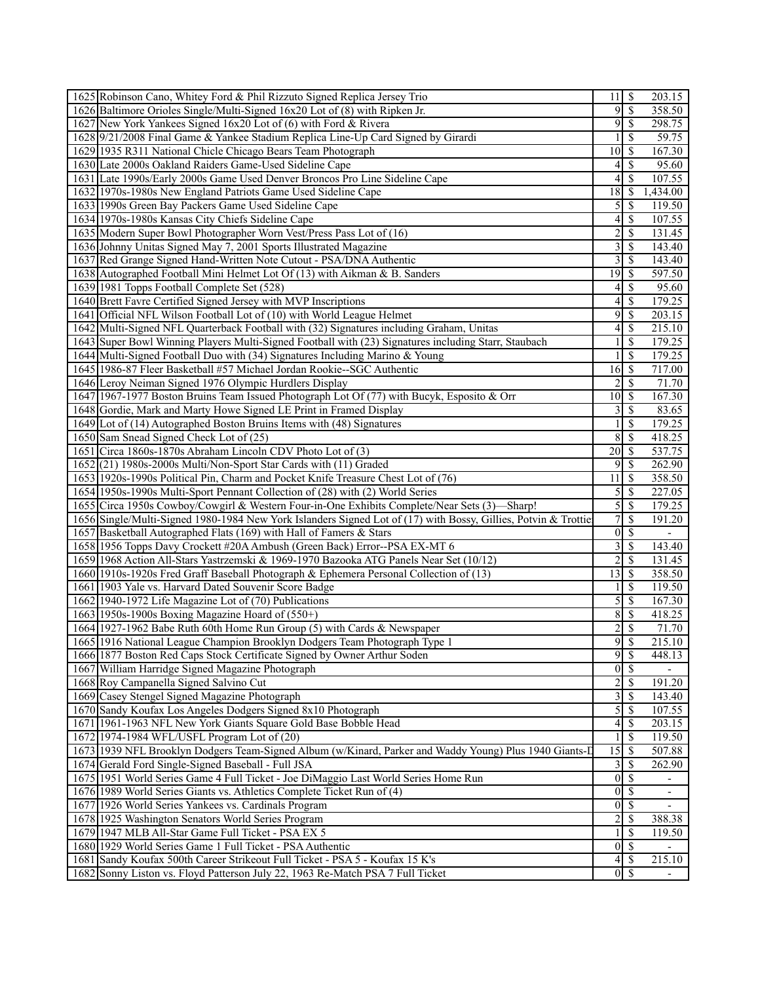| 1625 Robinson Cano, Whitey Ford & Phil Rizzuto Signed Replica Jersey Trio                                      | 11                      | \$                            | 203.15                   |  |
|----------------------------------------------------------------------------------------------------------------|-------------------------|-------------------------------|--------------------------|--|
| 1626 Baltimore Orioles Single/Multi-Signed 16x20 Lot of (8) with Ripken Jr.                                    | 9                       | $\overline{\mathcal{S}}$      | 358.50                   |  |
| 1627 New York Yankees Signed 16x20 Lot of (6) with Ford & Rivera                                               |                         | $9 \mid \$$                   | 298.75                   |  |
| 1628 9/21/2008 Final Game & Yankee Stadium Replica Line-Up Card Signed by Girardi                              | 1                       | S                             | 59.75                    |  |
| 1629 1935 R311 National Chicle Chicago Bears Team Photograph                                                   | 10                      | -S                            | 167.30                   |  |
| 1630 Late 2000s Oakland Raiders Game-Used Sideline Cape                                                        | $\vert 4 \vert$         | -S                            | 95.60                    |  |
| 1631 Late 1990s/Early 2000s Game Used Denver Broncos Pro Line Sideline Cape                                    | 4                       | S                             | 107.55                   |  |
| 1632 1970s-1980s New England Patriots Game Used Sideline Cape                                                  | 18                      | -S                            | 1,434.00                 |  |
| 1633 1990s Green Bay Packers Game Used Sideline Cape                                                           |                         |                               | 119.50                   |  |
| 1634 1970s-1980s Kansas City Chiefs Sideline Cape                                                              | 4                       | $\mathcal{S}$                 | 107.55                   |  |
| 1635 Modern Super Bowl Photographer Worn Vest/Press Pass Lot of (16)                                           | $\overline{c}$          | <sup>\$</sup>                 | 131.45                   |  |
| 1636 Johnny Unitas Signed May 7, 2001 Sports Illustrated Magazine                                              | $\overline{\mathbf{3}}$ | -S                            | 143.40                   |  |
| 1637 Red Grange Signed Hand-Written Note Cutout - PSA/DNA Authentic                                            | $\overline{3}$          | $\mathcal{S}$                 | 143.40                   |  |
| 1638 Autographed Football Mini Helmet Lot Of (13) with Aikman & B. Sanders                                     | 19                      | -\$                           | 597.50                   |  |
| 1639 1981 Topps Football Complete Set (528)                                                                    |                         |                               | 95.60                    |  |
| 1640 Brett Favre Certified Signed Jersey with MVP Inscriptions                                                 | $\vert 4 \vert$         | $\mathcal{S}$                 | 179.25                   |  |
| 1641 Official NFL Wilson Football Lot of (10) with World League Helmet                                         | 9                       | -S                            | 203.15                   |  |
| 1642 Multi-Signed NFL Quarterback Football with (32) Signatures including Graham, Unitas                       | $\overline{\mathbf{4}}$ | \$                            | 215.10                   |  |
| 1643 Super Bowl Winning Players Multi-Signed Football with (23) Signatures including Starr, Staubach           |                         | \$                            | 179.25                   |  |
| 1644 Multi-Signed Football Duo with (34) Signatures Including Marino & Young                                   |                         | <sup>\$</sup>                 | 179.25                   |  |
| 1645 1986-87 Fleer Basketball #57 Michael Jordan Rookie--SGC Authentic                                         | 16                      | 8                             | 717.00                   |  |
| 1646 Leroy Neiman Signed 1976 Olympic Hurdlers Display                                                         | $\overline{2}$          | \$                            | 71.70                    |  |
| 1647 1967-1977 Boston Bruins Team Issued Photograph Lot Of (77) with Bucyk, Esposito & Orr                     | 10                      | -S                            | 167.30                   |  |
| 1648 Gordie, Mark and Marty Howe Signed LE Print in Framed Display                                             | $\overline{\mathbf{3}}$ | -S                            | 83.65                    |  |
| 1649 Lot of (14) Autographed Boston Bruins Items with (48) Signatures                                          | 1                       | \$                            | 179.25                   |  |
| 1650 Sam Snead Signed Check Lot of (25)                                                                        | 8                       | -S                            | 418.25                   |  |
| 1651 Circa 1860s-1870s Abraham Lincoln CDV Photo Lot of (3)                                                    |                         |                               | 537.75                   |  |
| 1652(21) 1980s-2000s Multi/Non-Sport Star Cards with (11) Graded                                               | 9                       | \$                            | 262.90                   |  |
| 1653 1920s-1990s Political Pin, Charm and Pocket Knife Treasure Chest Lot of (76)                              | 11                      | -S                            | 358.50                   |  |
| 1654 1950s-1990s Multi-Sport Pennant Collection of (28) with (2) World Series                                  | $\mathfrak{S}$          | -S                            | 227.05                   |  |
| 1655 Circa 1950s Cowboy/Cowgirl & Western Four-in-One Exhibits Complete/Near Sets (3)—Sharp!                   | $\overline{5}$          | -S                            | 179.25                   |  |
| 1656 Single/Multi-Signed 1980-1984 New York Islanders Signed Lot of (17) with Bossy, Gillies, Potvin & Trottie | $\overline{7}$          | <sup>\$</sup>                 | 191.20                   |  |
| 1657 Basketball Autographed Flats (169) with Hall of Famers & Stars                                            |                         | $0 \mid \mathsf{S}$           | $\overline{\phantom{a}}$ |  |
| 1658 1956 Topps Davy Crockett #20A Ambush (Green Back) Error--PSA EX-MT 6                                      | $\overline{\mathbf{3}}$ | $\mathcal{S}$                 | 143.40                   |  |
| 1659 1968 Action All-Stars Yastrzemski & 1969-1970 Bazooka ATG Panels Near Set (10/12)                         | $\overline{2}$          | $\mathcal{S}$                 | 131.45                   |  |
| 1660 1910s-1920s Fred Graff Baseball Photograph & Ephemera Personal Collection of (13)                         | $\overline{13}$         | -\$                           | 358.50                   |  |
| 1661 1903 Yale vs. Harvard Dated Souvenir Score Badge                                                          |                         | <sup>\$</sup>                 | 119.50                   |  |
| 1662 1940-1972 Life Magazine Lot of (70) Publications                                                          |                         | $5\overline{\smash{)}\,}$     | 167.30                   |  |
| 1663 1950s-1900s Boxing Magazine Hoard of (550+)                                                               | 8                       | -S                            |                          |  |
| 1664 1927-1962 Babe Ruth 60th Home Run Group (5) with Cards & Newspaper                                        | $\overline{2}$          | \$                            | 418.25<br>71.70          |  |
| 1665 1916 National League Champion Brooklyn Dodgers Team Photograph Type 1                                     |                         | 9s                            | 215.10                   |  |
| 1666 1877 Boston Red Caps Stock Certificate Signed by Owner Arthur Soden                                       | 9                       | -S                            | 448.13                   |  |
|                                                                                                                |                         |                               |                          |  |
| 1667 William Harridge Signed Magazine Photograph                                                               | $\vert 0 \vert$         | $\mathbf{\$}$<br><sup>S</sup> |                          |  |
| 1668 Roy Campanella Signed Salvino Cut                                                                         | $\overline{2}$          |                               | 191.20                   |  |
| 1669 Casey Stengel Signed Magazine Photograph                                                                  | $\overline{\mathbf{3}}$ | -S                            | 143.40                   |  |
| 1670 Sandy Koufax Los Angeles Dodgers Signed 8x10 Photograph                                                   | 5                       | \$                            | 107.55                   |  |
| 1671 1961-1963 NFL New York Giants Square Gold Base Bobble Head                                                | $\overline{\mathbf{4}}$ | $\mathcal{S}$                 | 203.15                   |  |
| 1672 1974-1984 WFL/USFL Program Lot of (20)                                                                    | 1                       | <sup>\$</sup>                 | 119.50                   |  |
| 1673 1939 NFL Brooklyn Dodgers Team-Signed Album (w/Kinard, Parker and Waddy Young) Plus 1940 Giants-I         | 15                      | -S                            | 507.88                   |  |
| 1674 Gerald Ford Single-Signed Baseball - Full JSA                                                             |                         | $3\overline{3}$               | 262.90                   |  |
| 1675 1951 World Series Game 4 Full Ticket - Joe DiMaggio Last World Series Home Run                            | $\vert 0 \vert$         | -S                            | $\overline{\phantom{a}}$ |  |
| 1676 1989 World Series Giants vs. Athletics Complete Ticket Run of (4)                                         | $\vert 0 \vert$         | <sup>\$</sup>                 | $\overline{\phantom{a}}$ |  |
| 1677 1926 World Series Yankees vs. Cardinals Program                                                           |                         | $0 \overline{\smash{5}}$      |                          |  |
| 1678 1925 Washington Senators World Series Program                                                             | $\overline{2}$          | -S                            | 388.38                   |  |
| 1679 1947 MLB All-Star Game Full Ticket - PSA EX 5                                                             | 1                       | -S                            | 119.50                   |  |
| 1680 1929 World Series Game 1 Full Ticket - PSA Authentic                                                      |                         | $0\sqrt{s}$                   |                          |  |
| 1681 Sandy Koufax 500th Career Strikeout Full Ticket - PSA 5 - Koufax 15 K's                                   | $\vert 4 \vert$         | -S                            | 215.10                   |  |
| 1682 Sonny Liston vs. Floyd Patterson July 22, 1963 Re-Match PSA 7 Full Ticket                                 |                         | $\overline{0}$ \$             |                          |  |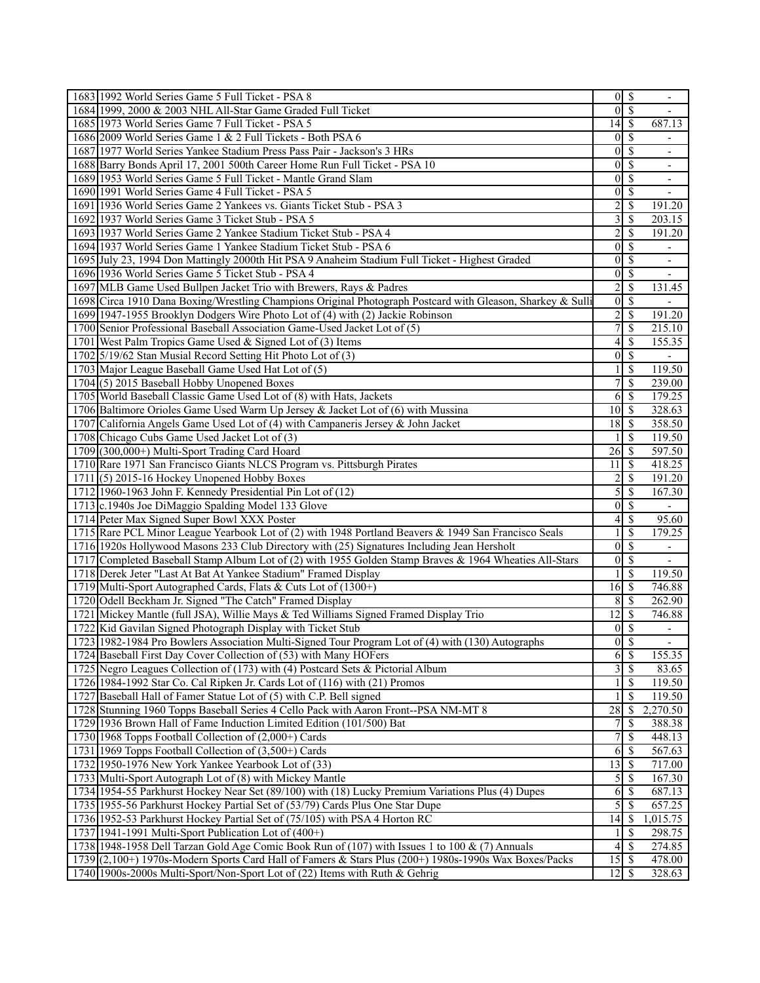| 1683 1992 World Series Game 5 Full Ticket - PSA 8                                                          |                  | $\overline{0 S}$                          | $\overline{\phantom{a}}$ |
|------------------------------------------------------------------------------------------------------------|------------------|-------------------------------------------|--------------------------|
| 1684 1999, 2000 & 2003 NHL All-Star Game Graded Full Ticket                                                | $\vert$          | $\overline{\mathcal{S}}$                  |                          |
| 1685 1973 World Series Game 7 Full Ticket - PSA 5                                                          | $14$ S           |                                           | 687.13                   |
| 1686 2009 World Series Game 1 & 2 Full Tickets - Both PSA 6                                                | $\mathbf{0}$     | $\mathcal{S}$                             |                          |
| 1687 1977 World Series Yankee Stadium Press Pass Pair - Jackson's 3 HRs                                    | $\mathbf{0}$     | S                                         |                          |
| 1688 Barry Bonds April 17, 2001 500th Career Home Run Full Ticket - PSA 10                                 | $\vert 0 \vert$  | -S                                        | $\overline{\phantom{0}}$ |
| 1689 1953 World Series Game 5 Full Ticket - Mantle Grand Slam                                              | $\mathbf{0}$     | $\overline{\mathcal{S}}$                  | $\overline{\phantom{a}}$ |
| 1690 1991 World Series Game 4 Full Ticket - PSA 5                                                          | $\mathbf{0}$     | \$                                        |                          |
| 1691 1936 World Series Game 2 Yankees vs. Giants Ticket Stub - PSA 3                                       | 2                | \$                                        | 191.20                   |
| 1692 1937 World Series Game 3 Ticket Stub - PSA 5                                                          | 3                | \$                                        | 203.15                   |
| 1693 1937 World Series Game 2 Yankee Stadium Ticket Stub - PSA 4                                           | $\overline{c}$   | $\mathbf S$                               | 191.20                   |
| 1694 1937 World Series Game 1 Yankee Stadium Ticket Stub - PSA 6                                           | $\vert 0 \vert$  | -\$                                       | $\overline{\phantom{0}}$ |
| 1695 July 23, 1994 Don Mattingly 2000th Hit PSA 9 Anaheim Stadium Full Ticket - Highest Graded             | $\mathbf{0}$     | -\$                                       | $\blacksquare$           |
| 1696 1936 World Series Game 5 Ticket Stub - PSA 4                                                          | $\vert 0 \vert$  | $\overline{\mathcal{S}}$                  |                          |
| 1697 MLB Game Used Bullpen Jacket Trio with Brewers, Rays & Padres                                         | $\overline{c}$   | <sup>\$</sup>                             | 131.45                   |
| 1698 Circa 1910 Dana Boxing/Wrestling Champions Original Photograph Postcard with Gleason, Sharkey & Sulli | $\overline{0}$   | $\mathcal{S}$                             |                          |
| 1699 1947-1955 Brooklyn Dodgers Wire Photo Lot of (4) with (2) Jackie Robinson                             | $\overline{c}$   | $\mathcal{S}$                             | 191.20                   |
| 1700 Senior Professional Baseball Association Game-Used Jacket Lot of (5)                                  | $\overline{7}$   | $\overline{\mathcal{S}}$                  | 215.10                   |
| 1701 West Palm Tropics Game Used & Signed Lot of (3) Items                                                 | 4                | $\mathcal{S}$                             | 155.35                   |
| 1702 5/19/62 Stan Musial Record Setting Hit Photo Lot of (3)                                               | $\vert 0 \vert$  | $\overline{\mathcal{S}}$                  |                          |
| 1703 Major League Baseball Game Used Hat Lot of (5)                                                        |                  | <sup>\$</sup>                             | 119.50                   |
| 1704 (5) 2015 Baseball Hobby Unopened Boxes                                                                | 7                | \$                                        | 239.00                   |
| 1705 World Baseball Classic Game Used Lot of (8) with Hats, Jackets                                        | 6                | $\mathcal{S}$                             | 179.25                   |
| 1706 Baltimore Orioles Game Used Warm Up Jersey & Jacket Lot of (6) with Mussina                           | 10               | $\sqrt{S}$                                | 328.63                   |
| 1707 California Angels Game Used Lot of (4) with Campaneris Jersey & John Jacket                           | 18               | -\$                                       | 358.50                   |
| 1708 Chicago Cubs Game Used Jacket Lot of (3)                                                              |                  | $\mathcal{S}$                             | 119.50                   |
| 1709 (300,000+) Multi-Sport Trading Card Hoard                                                             | 26               | -\$                                       | 597.50                   |
| 1710 Rare 1971 San Francisco Giants NLCS Program vs. Pittsburgh Pirates                                    | 11               | $\mathcal{S}$                             | 418.25                   |
| $1711(5)$ 2015-16 Hockey Unopened Hobby Boxes                                                              | $\overline{2}$   | $\mathcal{S}$                             | 191.20                   |
|                                                                                                            | 5                |                                           |                          |
| 1712 1960-1963 John F. Kennedy Presidential Pin Lot of (12)                                                |                  | $\mathcal{S}$<br>$\overline{\mathcal{S}}$ | 167.30                   |
| 1713 c.1940s Joe DiMaggio Spalding Model 133 Glove                                                         | $\mathbf{0}$     |                                           | $\overline{\phantom{a}}$ |
| 1714 Peter Max Signed Super Bowl XXX Poster                                                                | 4                | $\overline{\mathcal{S}}$                  | 95.60                    |
| 1715 Rare PCL Minor League Yearbook Lot of (2) with 1948 Portland Beavers & 1949 San Francisco Seals       |                  | <sup>\$</sup>                             | 179.25                   |
| 1716 1920s Hollywood Masons 233 Club Directory with (25) Signatures Including Jean Hersholt                | $\mathbf{0}$     | $\mathcal{S}$                             | ۰.                       |
| 1717 [Completed Baseball Stamp Album Lot of (2) with 1955 Golden Stamp Braves & 1964 Wheaties All-Stars    | $\mathbf{0}$     | $\mathcal{S}$                             | ÷,                       |
| 1718 Derek Jeter "Last At Bat At Yankee Stadium" Framed Display                                            |                  | $\mathcal{S}$                             | 119.50                   |
| 1719 Multi-Sport Autographed Cards, Flats & Cuts Lot of (1300+)                                            | $16$ $\sqrt{ }$  |                                           | 746.88                   |
| 1720 Odell Beckham Jr. Signed "The Catch" Framed Display                                                   | 8                | $\sqrt{S}$                                | 262.90                   |
| 1721 Mickey Mantle (full JSA), Willie Mays & Ted Williams Signed Framed Display Trio                       | 12               | $\mathbf{\hat{s}}$                        | 746.88                   |
| 1722 Kid Gavilan Signed Photograph Display with Ticket Stub                                                | $\boldsymbol{0}$ | -S                                        | $\overline{\phantom{a}}$ |
| 1723 1982-1984 Pro Bowlers Association Multi-Signed Tour Program Lot of (4) with (130) Autographs          | $\overline{0}$   | $\overline{\mathcal{S}}$                  | $\mathbf{r}$             |
| 1724 Baseball First Day Cover Collection of (53) with Many HOFers                                          |                  | $6 \,$ $\,$                               | 155.35                   |
| 1725 Negro Leagues Collection of (173) with (4) Postcard Sets & Pictorial Album                            | 3                | $\overline{\mathcal{S}}$                  | 83.65                    |
| 1726 1984-1992 Star Co. Cal Ripken Jr. Cards Lot of (116) with (21) Promos                                 |                  | -\$                                       | 119.50                   |
| 1727 Baseball Hall of Famer Statue Lot of (5) with C.P. Bell signed                                        |                  | $\mathbb{S}$                              | 119.50                   |
| 1728 Stunning 1960 Topps Baseball Series 4 Cello Pack with Aaron Front--PSA NM-MT 8                        | 28               | -S                                        | 2,270.50                 |
| 1729 1936 Brown Hall of Fame Induction Limited Edition (101/500) Bat                                       | 7                | <sup>\$</sup>                             | 388.38                   |
| 1730 1968 Topps Football Collection of (2,000+) Cards                                                      | 7                | $\mathbb{S}$                              | 448.13                   |
| 1731 1969 Topps Football Collection of (3,500+) Cards                                                      | 6                | $\mathcal{S}$                             | 567.63                   |
| 1732 1950-1976 New York Yankee Yearbook Lot of (33)                                                        | 13               | 8                                         | 717.00                   |
| 1733 Multi-Sport Autograph Lot of (8) with Mickey Mantle                                                   | 5                | $\mathbb{S}$                              | 167.30                   |
| 1734 1954-55 Parkhurst Hockey Near Set (89/100) with (18) Lucky Premium Variations Plus (4) Dupes          | 6                | \$                                        | 687.13                   |
| 1735 1955-56 Parkhurst Hockey Partial Set of (53/79) Cards Plus One Star Dupe                              | 5                | -S                                        | 657.25                   |
| 1736 1952-53 Parkhurst Hockey Partial Set of (75/105) with PSA 4 Horton RC                                 | 14               | -\$                                       | 1,015.75                 |
| 1737 1941-1991 Multi-Sport Publication Lot of $(400+)$                                                     |                  | -S                                        | 298.75                   |
| 1738 1948-1958 Dell Tarzan Gold Age Comic Book Run of (107) with Issues 1 to 100 & (7) Annuals             | 4                | - \$                                      | 274.85                   |
| 1739 (2,100+) 1970s-Modern Sports Card Hall of Famers & Stars Plus (200+) 1980s-1990s Wax Boxes/Packs      | 15               | <sup>5</sup>                              | 478.00                   |
| 1740 1900s-2000s Multi-Sport/Non-Sport Lot of (22) Items with Ruth & Gehrig                                | $12 \mid$ \$     |                                           | 328.63                   |